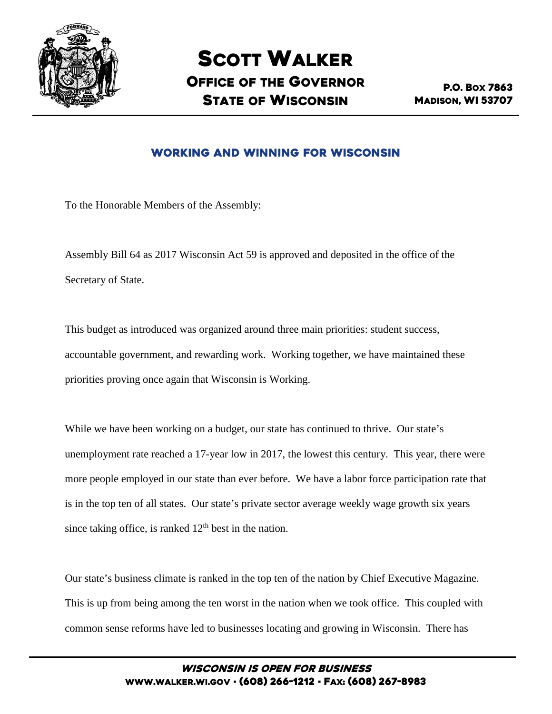

# SCOTT WALKER OFFICE OF THE GOVERNOR STATE OF WISCONSIN

P.O. BOX 7863 MADISON, WI 53707

## Working and Winning for Wisconsin

To the Honorable Members of the Assembly:

Assembly Bill 64 as 2017 Wisconsin Act 59 is approved and deposited in the office of the Secretary of State.

This budget as introduced was organized around three main priorities: student success, accountable government, and rewarding work. Working together, we have maintained these priorities proving once again that Wisconsin is Working.

While we have been working on a budget, our state has continued to thrive. Our state's unemployment rate reached a 17-year low in 2017, the lowest this century. This year, there were more people employed in our state than ever before. We have a labor force participation rate that is in the top ten of all states. Our state's private sector average weekly wage growth six years since taking office, is ranked  $12<sup>th</sup>$  best in the nation.

Our state's business climate is ranked in the top ten of the nation by Chief Executive Magazine. This is up from being among the ten worst in the nation when we took office. This coupled with common sense reforms have led to businesses locating and growing in Wisconsin. There has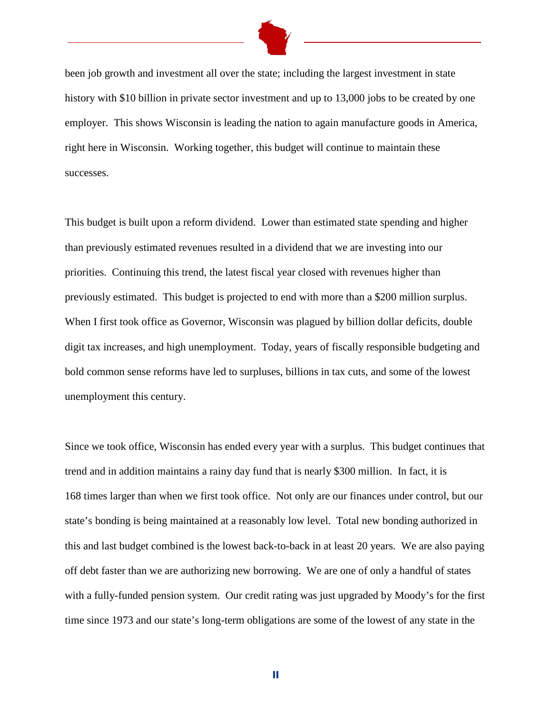

been job growth and investment all over the state; including the largest investment in state history with \$10 billion in private sector investment and up to 13,000 jobs to be created by one employer. This shows Wisconsin is leading the nation to again manufacture goods in America, right here in Wisconsin. Working together, this budget will continue to maintain these successes.

This budget is built upon a reform dividend. Lower than estimated state spending and higher than previously estimated revenues resulted in a dividend that we are investing into our priorities. Continuing this trend, the latest fiscal year closed with revenues higher than previously estimated. This budget is projected to end with more than a \$200 million surplus. When I first took office as Governor, Wisconsin was plagued by billion dollar deficits, double digit tax increases, and high unemployment. Today, years of fiscally responsible budgeting and bold common sense reforms have led to surpluses, billions in tax cuts, and some of the lowest unemployment this century.

Since we took office, Wisconsin has ended every year with a surplus. This budget continues that trend and in addition maintains a rainy day fund that is nearly \$300 million. In fact, it is 168 times larger than when we first took office. Not only are our finances under control, but our state's bonding is being maintained at a reasonably low level. Total new bonding authorized in this and last budget combined is the lowest back-to-back in at least 20 years. We are also paying off debt faster than we are authorizing new borrowing. We are one of only a handful of states with a fully-funded pension system. Our credit rating was just upgraded by Moody's for the first time since 1973 and our state's long-term obligations are some of the lowest of any state in the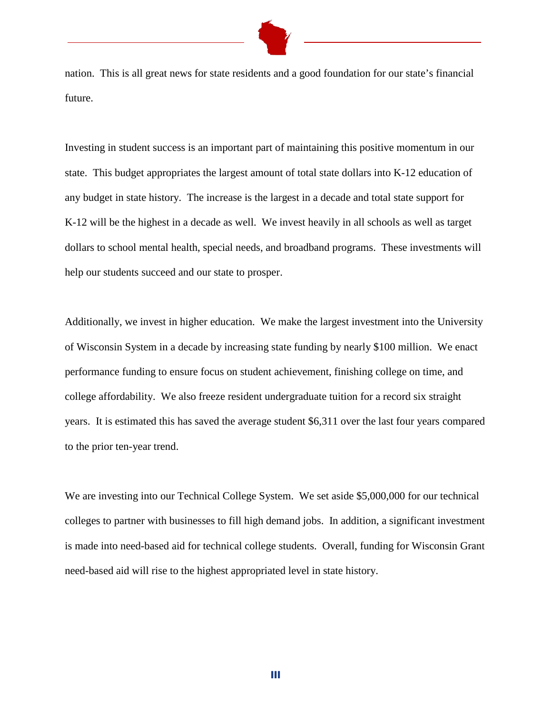nation. This is all great news for state residents and a good foundation for our state's financial future.

Investing in student success is an important part of maintaining this positive momentum in our state. This budget appropriates the largest amount of total state dollars into K-12 education of any budget in state history. The increase is the largest in a decade and total state support for K-12 will be the highest in a decade as well. We invest heavily in all schools as well as target dollars to school mental health, special needs, and broadband programs. These investments will help our students succeed and our state to prosper.

Additionally, we invest in higher education. We make the largest investment into the University of Wisconsin System in a decade by increasing state funding by nearly \$100 million. We enact performance funding to ensure focus on student achievement, finishing college on time, and college affordability. We also freeze resident undergraduate tuition for a record six straight years. It is estimated this has saved the average student \$6,311 over the last four years compared to the prior ten-year trend.

We are investing into our Technical College System. We set aside \$5,000,000 for our technical colleges to partner with businesses to fill high demand jobs. In addition, a significant investment is made into need-based aid for technical college students. Overall, funding for Wisconsin Grant need-based aid will rise to the highest appropriated level in state history.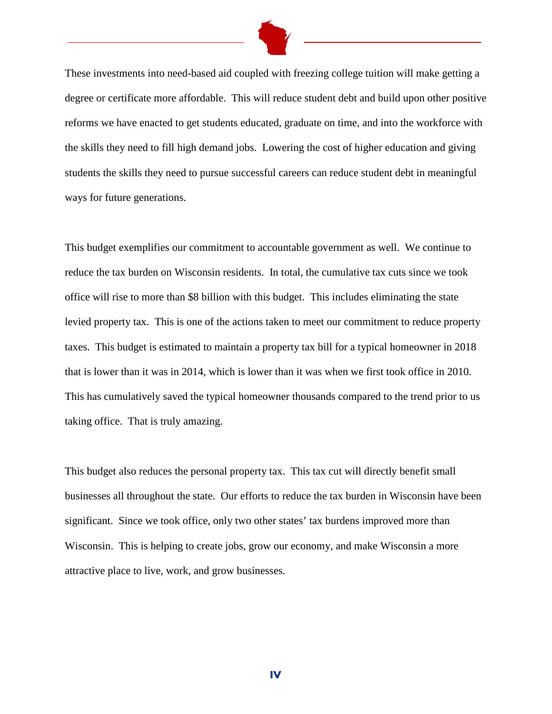

These investments into need-based aid coupled with freezing college tuition will make getting a degree or certificate more affordable. This will reduce student debt and build upon other positive reforms we have enacted to get students educated, graduate on time, and into the workforce with the skills they need to fill high demand jobs. Lowering the cost of higher education and giving students the skills they need to pursue successful careers can reduce student debt in meaningful ways for future generations.

This budget exemplifies our commitment to accountable government as well. We continue to reduce the tax burden on Wisconsin residents. In total, the cumulative tax cuts since we took office will rise to more than \$8 billion with this budget. This includes eliminating the state levied property tax. This is one of the actions taken to meet our commitment to reduce property taxes. This budget is estimated to maintain a property tax bill for a typical homeowner in 2018 that is lower than it was in 2014, which is lower than it was when we first took office in 2010. This has cumulatively saved the typical homeowner thousands compared to the trend prior to us taking office. That is truly amazing.

This budget also reduces the personal property tax. This tax cut will directly benefit small businesses all throughout the state. Our efforts to reduce the tax burden in Wisconsin have been significant. Since we took office, only two other states' tax burdens improved more than Wisconsin. This is helping to create jobs, grow our economy, and make Wisconsin a more attractive place to live, work, and grow businesses.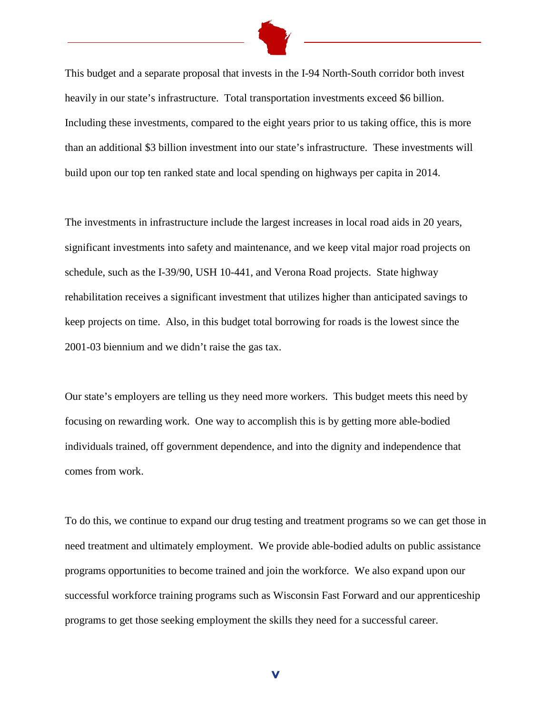

This budget and a separate proposal that invests in the I-94 North-South corridor both invest heavily in our state's infrastructure. Total transportation investments exceed \$6 billion. Including these investments, compared to the eight years prior to us taking office, this is more than an additional \$3 billion investment into our state's infrastructure. These investments will build upon our top ten ranked state and local spending on highways per capita in 2014.

The investments in infrastructure include the largest increases in local road aids in 20 years, significant investments into safety and maintenance, and we keep vital major road projects on schedule, such as the I-39/90, USH 10-441, and Verona Road projects. State highway rehabilitation receives a significant investment that utilizes higher than anticipated savings to keep projects on time. Also, in this budget total borrowing for roads is the lowest since the 2001-03 biennium and we didn't raise the gas tax.

Our state's employers are telling us they need more workers. This budget meets this need by focusing on rewarding work. One way to accomplish this is by getting more able-bodied individuals trained, off government dependence, and into the dignity and independence that comes from work.

To do this, we continue to expand our drug testing and treatment programs so we can get those in need treatment and ultimately employment. We provide able-bodied adults on public assistance programs opportunities to become trained and join the workforce. We also expand upon our successful workforce training programs such as Wisconsin Fast Forward and our apprenticeship programs to get those seeking employment the skills they need for a successful career.

v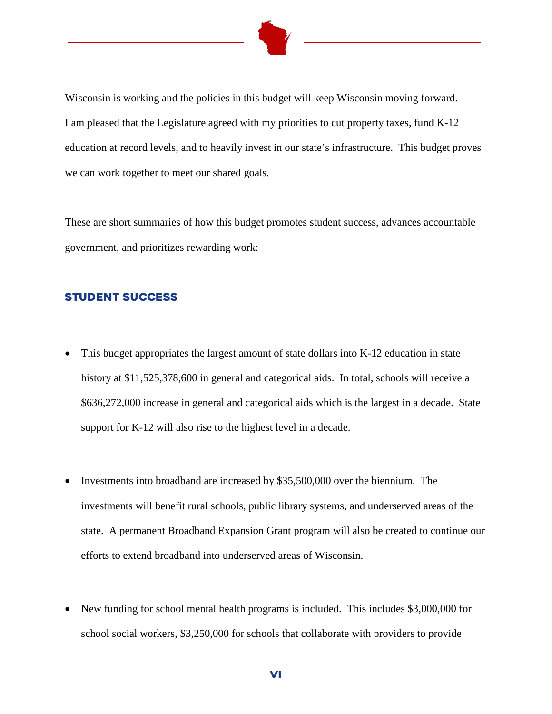

Wisconsin is working and the policies in this budget will keep Wisconsin moving forward. I am pleased that the Legislature agreed with my priorities to cut property taxes, fund K-12 education at record levels, and to heavily invest in our state's infrastructure. This budget proves we can work together to meet our shared goals.

These are short summaries of how this budget promotes student success, advances accountable government, and prioritizes rewarding work:

#### Student Success

- This budget appropriates the largest amount of state dollars into K-12 education in state history at \$11,525,378,600 in general and categorical aids. In total, schools will receive a \$636,272,000 increase in general and categorical aids which is the largest in a decade. State support for K-12 will also rise to the highest level in a decade.
- Investments into broadband are increased by \$35,500,000 over the biennium. The investments will benefit rural schools, public library systems, and underserved areas of the state. A permanent Broadband Expansion Grant program will also be created to continue our efforts to extend broadband into underserved areas of Wisconsin.
- New funding for school mental health programs is included. This includes \$3,000,000 for school social workers, \$3,250,000 for schools that collaborate with providers to provide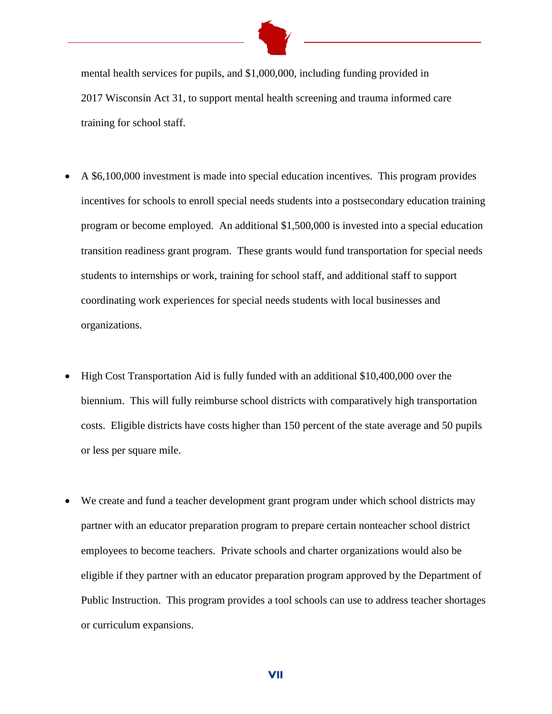

mental health services for pupils, and \$1,000,000, including funding provided in 2017 Wisconsin Act 31, to support mental health screening and trauma informed care training for school staff.

- A \$6,100,000 investment is made into special education incentives. This program provides incentives for schools to enroll special needs students into a postsecondary education training program or become employed. An additional \$1,500,000 is invested into a special education transition readiness grant program. These grants would fund transportation for special needs students to internships or work, training for school staff, and additional staff to support coordinating work experiences for special needs students with local businesses and organizations.
- High Cost Transportation Aid is fully funded with an additional \$10,400,000 over the biennium. This will fully reimburse school districts with comparatively high transportation costs. Eligible districts have costs higher than 150 percent of the state average and 50 pupils or less per square mile.
- We create and fund a teacher development grant program under which school districts may partner with an educator preparation program to prepare certain nonteacher school district employees to become teachers. Private schools and charter organizations would also be eligible if they partner with an educator preparation program approved by the Department of Public Instruction. This program provides a tool schools can use to address teacher shortages or curriculum expansions.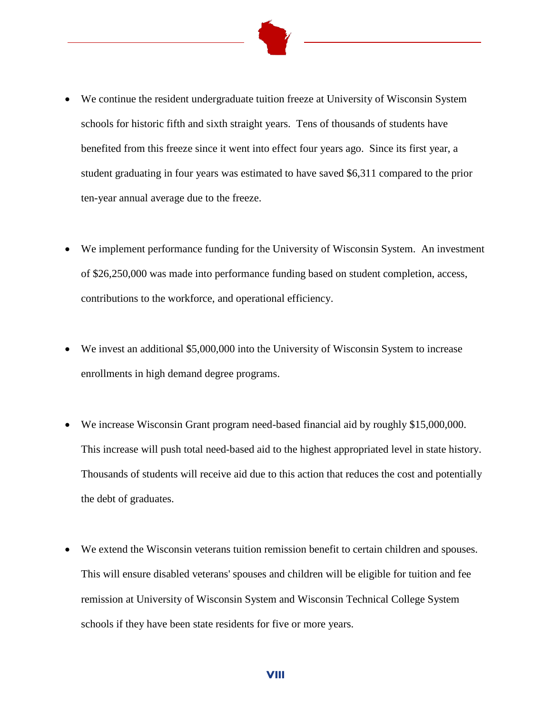

- We continue the resident undergraduate tuition freeze at University of Wisconsin System schools for historic fifth and sixth straight years. Tens of thousands of students have benefited from this freeze since it went into effect four years ago. Since its first year, a student graduating in four years was estimated to have saved \$6,311 compared to the prior ten-year annual average due to the freeze.
- We implement performance funding for the University of Wisconsin System. An investment of \$26,250,000 was made into performance funding based on student completion, access, contributions to the workforce, and operational efficiency.
- We invest an additional \$5,000,000 into the University of Wisconsin System to increase enrollments in high demand degree programs.
- We increase Wisconsin Grant program need-based financial aid by roughly \$15,000,000. This increase will push total need-based aid to the highest appropriated level in state history. Thousands of students will receive aid due to this action that reduces the cost and potentially the debt of graduates.
- We extend the Wisconsin veterans tuition remission benefit to certain children and spouses. This will ensure disabled veterans' spouses and children will be eligible for tuition and fee remission at University of Wisconsin System and Wisconsin Technical College System schools if they have been state residents for five or more years.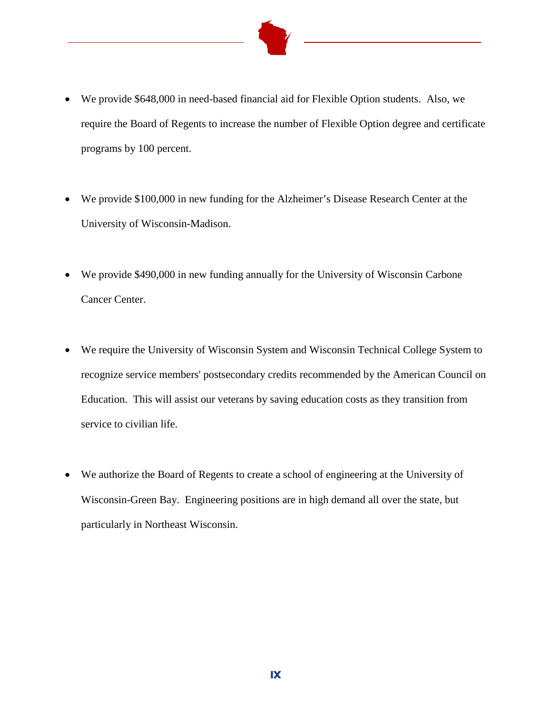

- We provide \$648,000 in need-based financial aid for Flexible Option students. Also, we require the Board of Regents to increase the number of Flexible Option degree and certificate programs by 100 percent.
- We provide \$100,000 in new funding for the Alzheimer's Disease Research Center at the University of Wisconsin-Madison.
- We provide \$490,000 in new funding annually for the University of Wisconsin Carbone Cancer Center.
- We require the University of Wisconsin System and Wisconsin Technical College System to recognize service members' postsecondary credits recommended by the American Council on Education. This will assist our veterans by saving education costs as they transition from service to civilian life.
- We authorize the Board of Regents to create a school of engineering at the University of Wisconsin-Green Bay. Engineering positions are in high demand all over the state, but particularly in Northeast Wisconsin.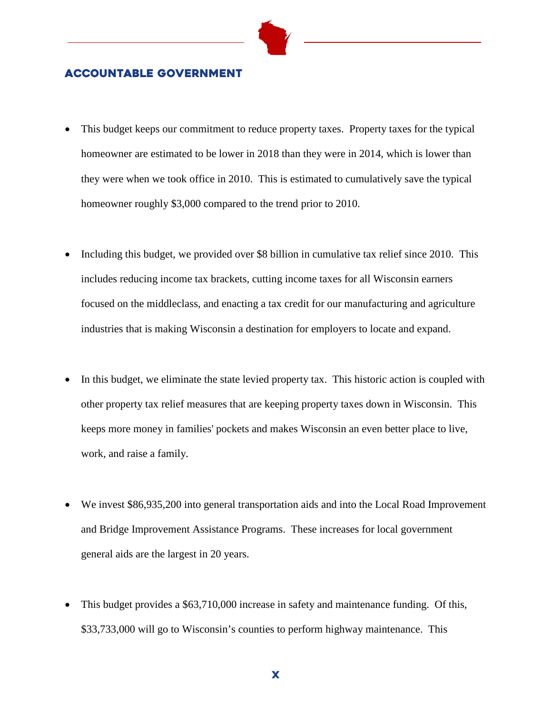

#### Accountable Government

- This budget keeps our commitment to reduce property taxes. Property taxes for the typical homeowner are estimated to be lower in 2018 than they were in 2014, which is lower than they were when we took office in 2010. This is estimated to cumulatively save the typical homeowner roughly \$3,000 compared to the trend prior to 2010.
- Including this budget, we provided over \$8 billion in cumulative tax relief since 2010. This includes reducing income tax brackets, cutting income taxes for all Wisconsin earners focused on the middleclass, and enacting a tax credit for our manufacturing and agriculture industries that is making Wisconsin a destination for employers to locate and expand.
- In this budget, we eliminate the state levied property tax. This historic action is coupled with other property tax relief measures that are keeping property taxes down in Wisconsin. This keeps more money in families' pockets and makes Wisconsin an even better place to live, work, and raise a family.
- We invest \$86,935,200 into general transportation aids and into the Local Road Improvement and Bridge Improvement Assistance Programs. These increases for local government general aids are the largest in 20 years.
- This budget provides a \$63,710,000 increase in safety and maintenance funding. Of this, \$33,733,000 will go to Wisconsin's counties to perform highway maintenance. This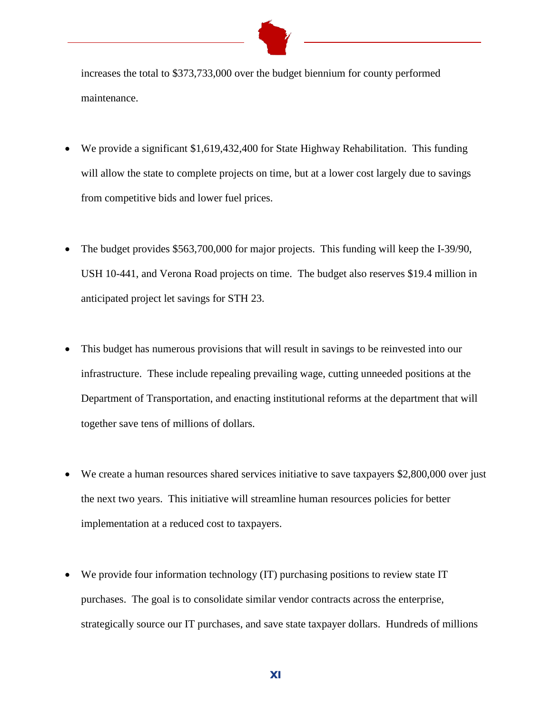

increases the total to \$373,733,000 over the budget biennium for county performed maintenance.

- We provide a significant \$1,619,432,400 for State Highway Rehabilitation. This funding will allow the state to complete projects on time, but at a lower cost largely due to savings from competitive bids and lower fuel prices.
- The budget provides \$563,700,000 for major projects. This funding will keep the I-39/90, USH 10-441, and Verona Road projects on time. The budget also reserves \$19.4 million in anticipated project let savings for STH 23.
- This budget has numerous provisions that will result in savings to be reinvested into our infrastructure. These include repealing prevailing wage, cutting unneeded positions at the Department of Transportation, and enacting institutional reforms at the department that will together save tens of millions of dollars.
- We create a human resources shared services initiative to save taxpayers \$2,800,000 over just the next two years. This initiative will streamline human resources policies for better implementation at a reduced cost to taxpayers.
- We provide four information technology (IT) purchasing positions to review state IT purchases. The goal is to consolidate similar vendor contracts across the enterprise, strategically source our IT purchases, and save state taxpayer dollars. Hundreds of millions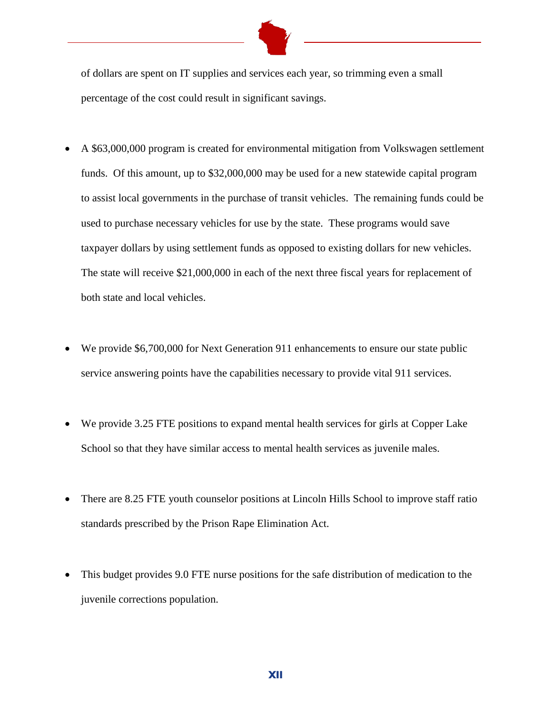

of dollars are spent on IT supplies and services each year, so trimming even a small percentage of the cost could result in significant savings.

- A \$63,000,000 program is created for environmental mitigation from Volkswagen settlement funds. Of this amount, up to \$32,000,000 may be used for a new statewide capital program to assist local governments in the purchase of transit vehicles. The remaining funds could be used to purchase necessary vehicles for use by the state. These programs would save taxpayer dollars by using settlement funds as opposed to existing dollars for new vehicles. The state will receive \$21,000,000 in each of the next three fiscal years for replacement of both state and local vehicles.
- We provide \$6,700,000 for Next Generation 911 enhancements to ensure our state public service answering points have the capabilities necessary to provide vital 911 services.
- We provide 3.25 FTE positions to expand mental health services for girls at Copper Lake School so that they have similar access to mental health services as juvenile males.
- There are 8.25 FTE youth counselor positions at Lincoln Hills School to improve staff ratio standards prescribed by the Prison Rape Elimination Act.
- This budget provides 9.0 FTE nurse positions for the safe distribution of medication to the juvenile corrections population.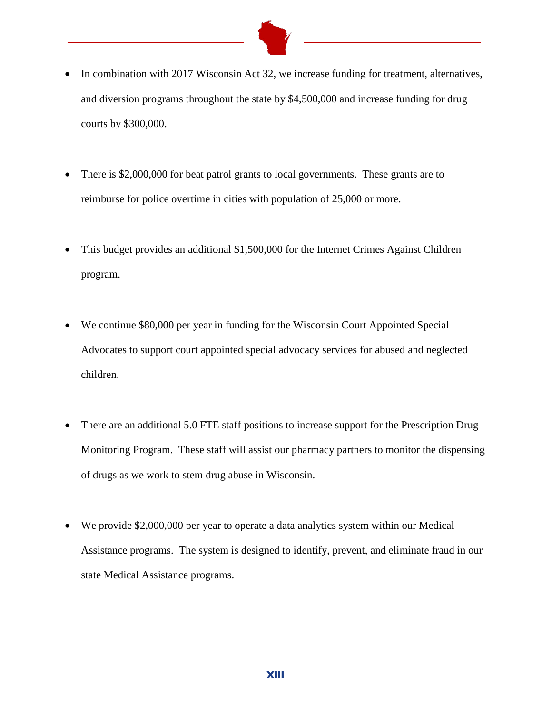

- In combination with 2017 Wisconsin Act 32, we increase funding for treatment, alternatives, and diversion programs throughout the state by \$4,500,000 and increase funding for drug courts by \$300,000.
- There is \$2,000,000 for beat patrol grants to local governments. These grants are to reimburse for police overtime in cities with population of 25,000 or more.
- This budget provides an additional \$1,500,000 for the Internet Crimes Against Children program.
- We continue \$80,000 per year in funding for the Wisconsin Court Appointed Special Advocates to support court appointed special advocacy services for abused and neglected children.
- There are an additional 5.0 FTE staff positions to increase support for the Prescription Drug Monitoring Program. These staff will assist our pharmacy partners to monitor the dispensing of drugs as we work to stem drug abuse in Wisconsin.
- We provide \$2,000,000 per year to operate a data analytics system within our Medical Assistance programs. The system is designed to identify, prevent, and eliminate fraud in our state Medical Assistance programs.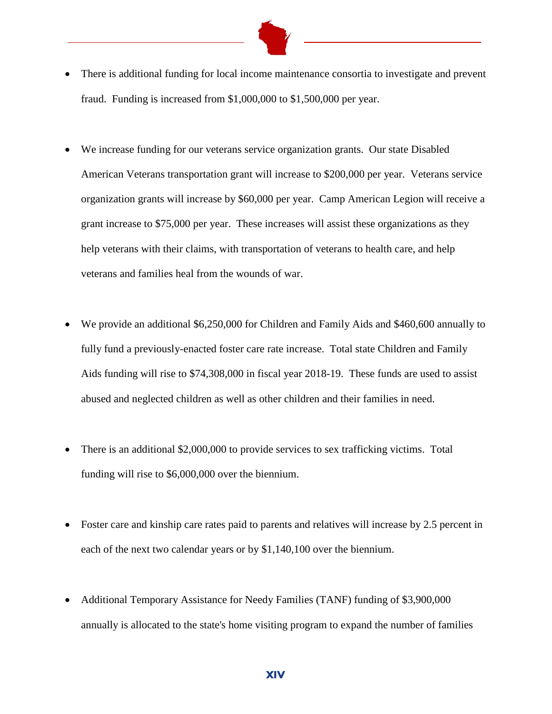- There is additional funding for local income maintenance consortia to investigate and prevent fraud. Funding is increased from \$1,000,000 to \$1,500,000 per year.
- We increase funding for our veterans service organization grants. Our state Disabled American Veterans transportation grant will increase to \$200,000 per year. Veterans service organization grants will increase by \$60,000 per year. Camp American Legion will receive a grant increase to \$75,000 per year. These increases will assist these organizations as they help veterans with their claims, with transportation of veterans to health care, and help veterans and families heal from the wounds of war.
- We provide an additional \$6,250,000 for Children and Family Aids and \$460,600 annually to fully fund a previously-enacted foster care rate increase. Total state Children and Family Aids funding will rise to \$74,308,000 in fiscal year 2018-19. These funds are used to assist abused and neglected children as well as other children and their families in need.
- There is an additional \$2,000,000 to provide services to sex trafficking victims. Total funding will rise to \$6,000,000 over the biennium.
- Foster care and kinship care rates paid to parents and relatives will increase by 2.5 percent in each of the next two calendar years or by \$1,140,100 over the biennium.
- Additional Temporary Assistance for Needy Families (TANF) funding of \$3,900,000 annually is allocated to the state's home visiting program to expand the number of families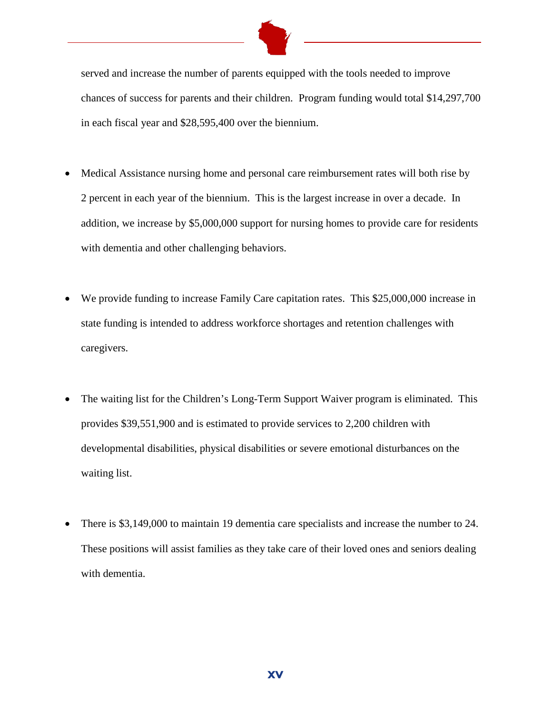

served and increase the number of parents equipped with the tools needed to improve chances of success for parents and their children. Program funding would total \$14,297,700 in each fiscal year and \$28,595,400 over the biennium.

- Medical Assistance nursing home and personal care reimbursement rates will both rise by 2 percent in each year of the biennium. This is the largest increase in over a decade. In addition, we increase by \$5,000,000 support for nursing homes to provide care for residents with dementia and other challenging behaviors.
- We provide funding to increase Family Care capitation rates. This \$25,000,000 increase in state funding is intended to address workforce shortages and retention challenges with caregivers.
- The waiting list for the Children's Long-Term Support Waiver program is eliminated. This provides \$39,551,900 and is estimated to provide services to 2,200 children with developmental disabilities, physical disabilities or severe emotional disturbances on the waiting list.
- There is \$3,149,000 to maintain 19 dementia care specialists and increase the number to 24. These positions will assist families as they take care of their loved ones and seniors dealing with dementia.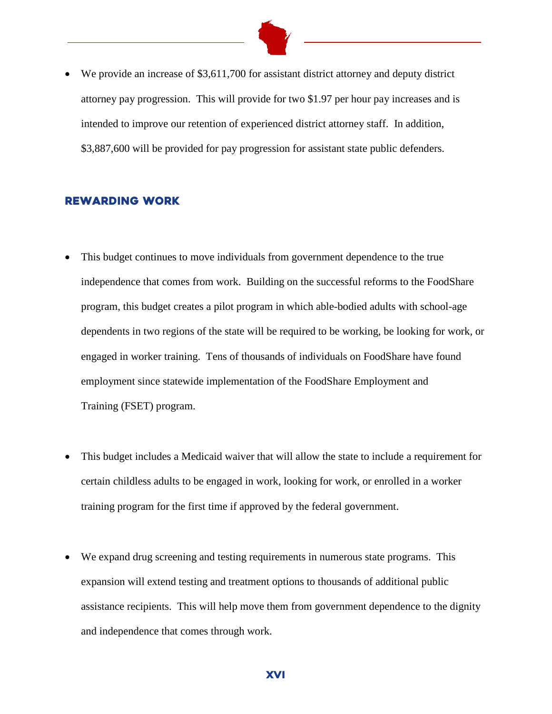

• We provide an increase of \$3,611,700 for assistant district attorney and deputy district attorney pay progression. This will provide for two \$1.97 per hour pay increases and is intended to improve our retention of experienced district attorney staff. In addition, \$3,887,600 will be provided for pay progression for assistant state public defenders.

#### Rewarding Work

- This budget continues to move individuals from government dependence to the true independence that comes from work. Building on the successful reforms to the FoodShare program, this budget creates a pilot program in which able-bodied adults with school-age dependents in two regions of the state will be required to be working, be looking for work, or engaged in worker training. Tens of thousands of individuals on FoodShare have found employment since statewide implementation of the FoodShare Employment and Training (FSET) program.
- This budget includes a Medicaid waiver that will allow the state to include a requirement for certain childless adults to be engaged in work, looking for work, or enrolled in a worker training program for the first time if approved by the federal government.
- We expand drug screening and testing requirements in numerous state programs. This expansion will extend testing and treatment options to thousands of additional public assistance recipients. This will help move them from government dependence to the dignity and independence that comes through work.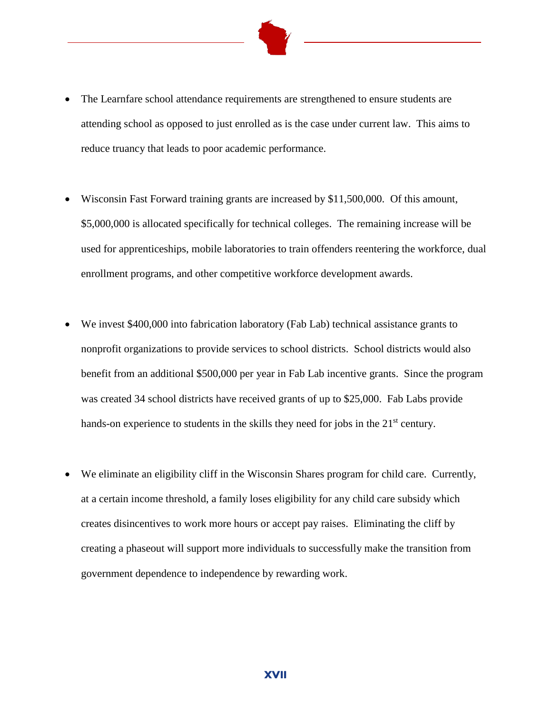

- The Learnfare school attendance requirements are strengthened to ensure students are attending school as opposed to just enrolled as is the case under current law. This aims to reduce truancy that leads to poor academic performance.
- Wisconsin Fast Forward training grants are increased by \$11,500,000. Of this amount, \$5,000,000 is allocated specifically for technical colleges. The remaining increase will be used for apprenticeships, mobile laboratories to train offenders reentering the workforce, dual enrollment programs, and other competitive workforce development awards.
- We invest \$400,000 into fabrication laboratory (Fab Lab) technical assistance grants to nonprofit organizations to provide services to school districts. School districts would also benefit from an additional \$500,000 per year in Fab Lab incentive grants. Since the program was created 34 school districts have received grants of up to \$25,000. Fab Labs provide hands-on experience to students in the skills they need for jobs in the  $21<sup>st</sup>$  century.
- We eliminate an eligibility cliff in the Wisconsin Shares program for child care. Currently, at a certain income threshold, a family loses eligibility for any child care subsidy which creates disincentives to work more hours or accept pay raises. Eliminating the cliff by creating a phaseout will support more individuals to successfully make the transition from government dependence to independence by rewarding work.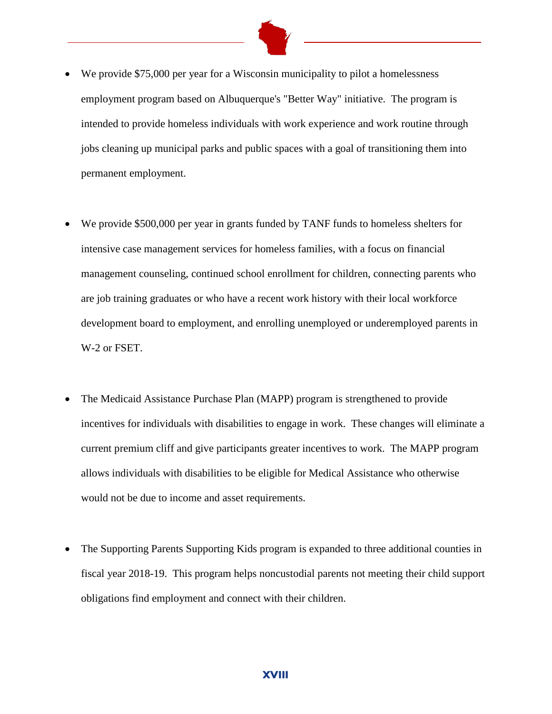

- We provide \$75,000 per year for a Wisconsin municipality to pilot a homelessness employment program based on Albuquerque's "Better Way" initiative. The program is intended to provide homeless individuals with work experience and work routine through jobs cleaning up municipal parks and public spaces with a goal of transitioning them into permanent employment.
- We provide \$500,000 per year in grants funded by TANF funds to homeless shelters for intensive case management services for homeless families, with a focus on financial management counseling, continued school enrollment for children, connecting parents who are job training graduates or who have a recent work history with their local workforce development board to employment, and enrolling unemployed or underemployed parents in W-2 or FSET.
- The Medicaid Assistance Purchase Plan (MAPP) program is strengthened to provide incentives for individuals with disabilities to engage in work. These changes will eliminate a current premium cliff and give participants greater incentives to work. The MAPP program allows individuals with disabilities to be eligible for Medical Assistance who otherwise would not be due to income and asset requirements.
- The Supporting Parents Supporting Kids program is expanded to three additional counties in fiscal year 2018-19. This program helps noncustodial parents not meeting their child support obligations find employment and connect with their children.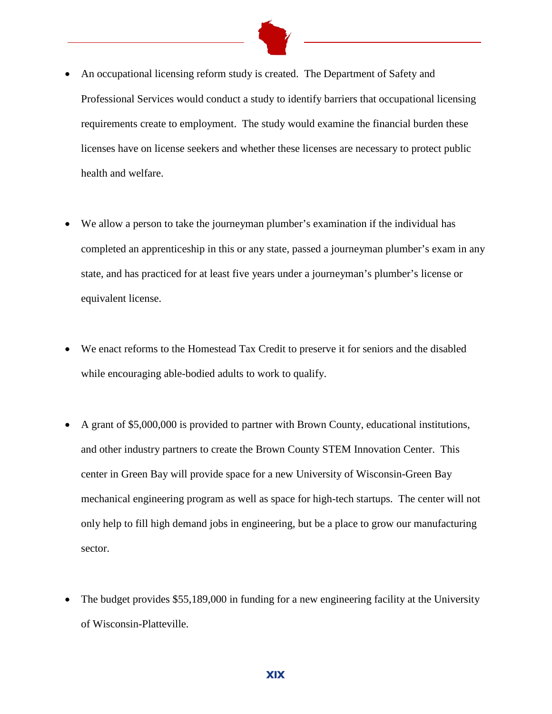

- An occupational licensing reform study is created. The Department of Safety and Professional Services would conduct a study to identify barriers that occupational licensing requirements create to employment. The study would examine the financial burden these licenses have on license seekers and whether these licenses are necessary to protect public health and welfare.
- We allow a person to take the journeyman plumber's examination if the individual has completed an apprenticeship in this or any state, passed a journeyman plumber's exam in any state, and has practiced for at least five years under a journeyman's plumber's license or equivalent license.
- We enact reforms to the Homestead Tax Credit to preserve it for seniors and the disabled while encouraging able-bodied adults to work to qualify.
- A grant of \$5,000,000 is provided to partner with Brown County, educational institutions, and other industry partners to create the Brown County STEM Innovation Center. This center in Green Bay will provide space for a new University of Wisconsin-Green Bay mechanical engineering program as well as space for high-tech startups. The center will not only help to fill high demand jobs in engineering, but be a place to grow our manufacturing sector.
- The budget provides \$55,189,000 in funding for a new engineering facility at the University of Wisconsin-Platteville.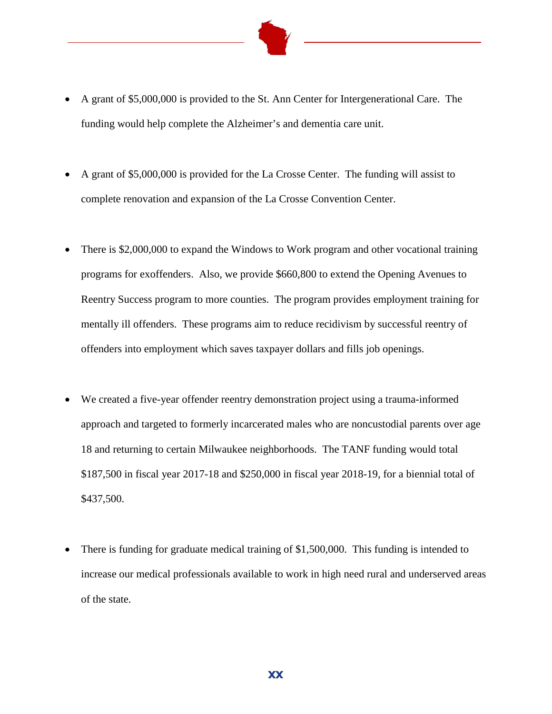

- A grant of \$5,000,000 is provided to the St. Ann Center for Intergenerational Care. The funding would help complete the Alzheimer's and dementia care unit.
- A grant of \$5,000,000 is provided for the La Crosse Center. The funding will assist to complete renovation and expansion of the La Crosse Convention Center.
- There is \$2,000,000 to expand the Windows to Work program and other vocational training programs for exoffenders. Also, we provide \$660,800 to extend the Opening Avenues to Reentry Success program to more counties. The program provides employment training for mentally ill offenders. These programs aim to reduce recidivism by successful reentry of offenders into employment which saves taxpayer dollars and fills job openings.
- We created a five-year offender reentry demonstration project using a trauma-informed approach and targeted to formerly incarcerated males who are noncustodial parents over age 18 and returning to certain Milwaukee neighborhoods. The TANF funding would total \$187,500 in fiscal year 2017-18 and \$250,000 in fiscal year 2018-19, for a biennial total of \$437,500.
- There is funding for graduate medical training of \$1,500,000. This funding is intended to increase our medical professionals available to work in high need rural and underserved areas of the state.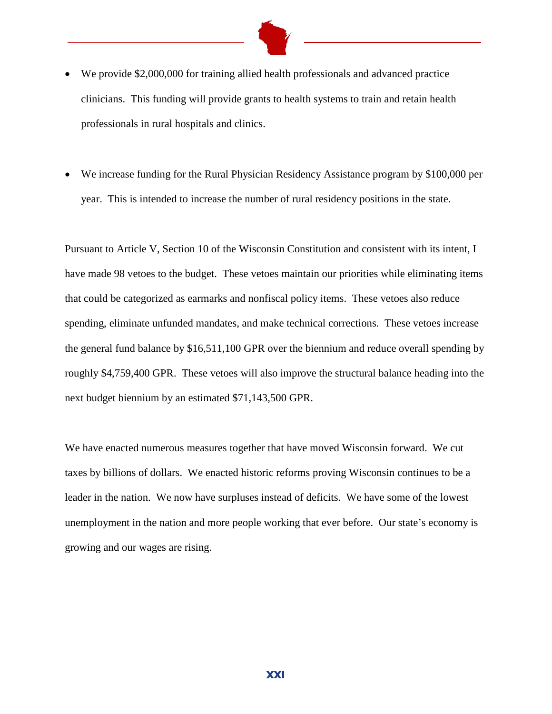

- We provide \$2,000,000 for training allied health professionals and advanced practice clinicians. This funding will provide grants to health systems to train and retain health professionals in rural hospitals and clinics.
- We increase funding for the Rural Physician Residency Assistance program by \$100,000 per year. This is intended to increase the number of rural residency positions in the state.

Pursuant to Article V, Section 10 of the Wisconsin Constitution and consistent with its intent, I have made 98 vetoes to the budget. These vetoes maintain our priorities while eliminating items that could be categorized as earmarks and nonfiscal policy items. These vetoes also reduce spending, eliminate unfunded mandates, and make technical corrections. These vetoes increase the general fund balance by \$16,511,100 GPR over the biennium and reduce overall spending by roughly \$4,759,400 GPR. These vetoes will also improve the structural balance heading into the next budget biennium by an estimated \$71,143,500 GPR.

We have enacted numerous measures together that have moved Wisconsin forward. We cut taxes by billions of dollars. We enacted historic reforms proving Wisconsin continues to be a leader in the nation. We now have surpluses instead of deficits. We have some of the lowest unemployment in the nation and more people working that ever before. Our state's economy is growing and our wages are rising.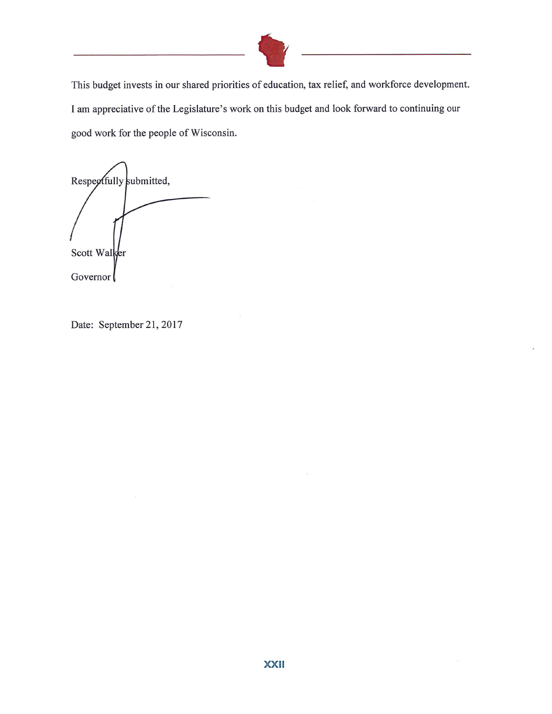

This budget invests in our shared priorities of education, tax relief, and workforce development. I am appreciative of the Legislature's work on this budget and look forward to continuing our good work for the people of Wisconsin.

Respectfully submitted, Scott Walker Governor

Date: September 21, 2017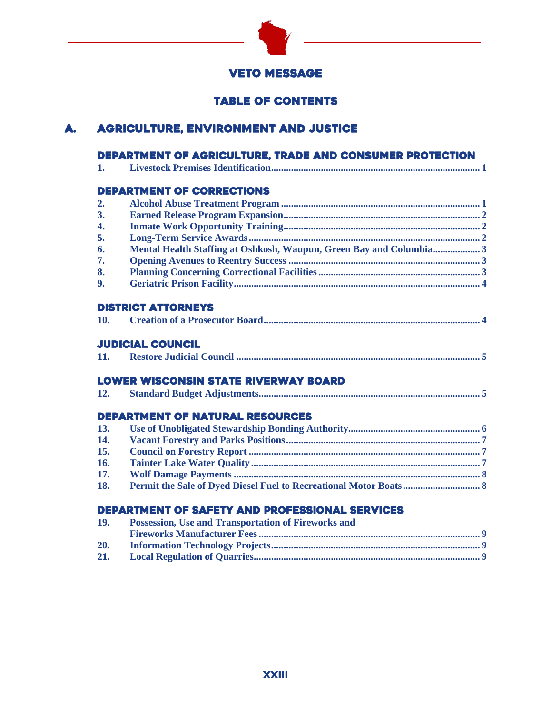

### **VETO MESSAGE**

## Table of Contents

## A. Agriculture, Environment and Justice

|                  | DEPARTMENT OF AGRICULTURE, TRADE AND CONSUMER PROTECTION            |
|------------------|---------------------------------------------------------------------|
| 1.               |                                                                     |
|                  | <b>DEPARTMENT OF CORRECTIONS</b>                                    |
| 2.               |                                                                     |
| 3.               |                                                                     |
| $\overline{4}$ . |                                                                     |
| 5.               |                                                                     |
| 6.               | Mental Health Staffing at Oshkosh, Waupun, Green Bay and Columbia 3 |
| 7.               |                                                                     |
| 8.               |                                                                     |
| 9.               |                                                                     |
|                  | <b>DISTRICT ATTORNEYS</b>                                           |
| 10.              |                                                                     |
|                  | <b>JUDICIAL COUNCIL</b>                                             |
| 11.              |                                                                     |
|                  | <b>LOWER WISCONSIN STATE RIVERWAY BOARD</b>                         |
| 12.              |                                                                     |
|                  | <b>DEPARTMENT OF NATURAL RESOURCES</b>                              |
| 13.              |                                                                     |
| 14.              |                                                                     |
| 15.              |                                                                     |
| 16.              |                                                                     |
| 17.              |                                                                     |
| 18.              |                                                                     |
|                  | <b>DEPARTMENT OF SAFETY AND PROFESSIONAL SERVICES</b>               |
| 19.              | Possession, Use and Transportation of Fireworks and                 |
|                  |                                                                     |
| 20.              |                                                                     |
| 21.              |                                                                     |

**21. Local Regulation of Quarries........................................................................................... 9**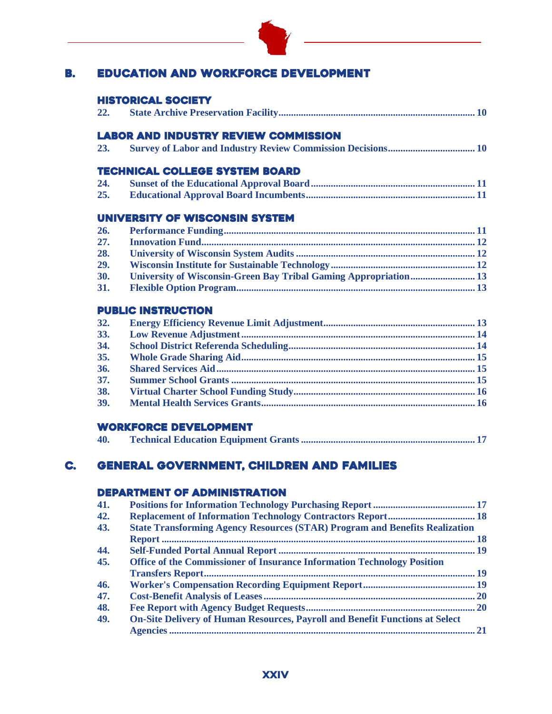

## B. Education and Workforce Development

#### Historical Society

| 22. |  |
|-----|--|
|     |  |

### Labor and Industry Review Commission

| 23. |  |  |  |
|-----|--|--|--|
|-----|--|--|--|

#### Technical College System Board

| 24. |  |  |
|-----|--|--|
| 25. |  |  |

#### University of Wisconsin System

| 26.        |                                                                         |  |
|------------|-------------------------------------------------------------------------|--|
| 27.        |                                                                         |  |
| 28.        |                                                                         |  |
| 29.        |                                                                         |  |
| <b>30.</b> | <b>University of Wisconsin-Green Bay Tribal Gaming Appropriation 13</b> |  |
| <b>31.</b> |                                                                         |  |

#### PUBLIC INSTRUCTION

| 32. |  |
|-----|--|
| 33. |  |
| 34. |  |
| 35. |  |
| 36. |  |
| 37. |  |
| 38. |  |
| 39. |  |
|     |  |

#### Workforce Development

| 40. |  |  |  |
|-----|--|--|--|
|-----|--|--|--|

## C. General Government, Children and Families

#### Department of Administration

| 41. |                                                                                     |  |
|-----|-------------------------------------------------------------------------------------|--|
| 42. | <b>Replacement of Information Technology Contractors Report 18</b>                  |  |
| 43. | <b>State Transforming Agency Resources (STAR) Program and Benefits Realization</b>  |  |
|     |                                                                                     |  |
| 44. |                                                                                     |  |
| 45. | Office of the Commissioner of Insurance Information Technology Position             |  |
|     |                                                                                     |  |
| 46. |                                                                                     |  |
| 47. |                                                                                     |  |
| 48. |                                                                                     |  |
| 49. | <b>On-Site Delivery of Human Resources, Payroll and Benefit Functions at Select</b> |  |
|     |                                                                                     |  |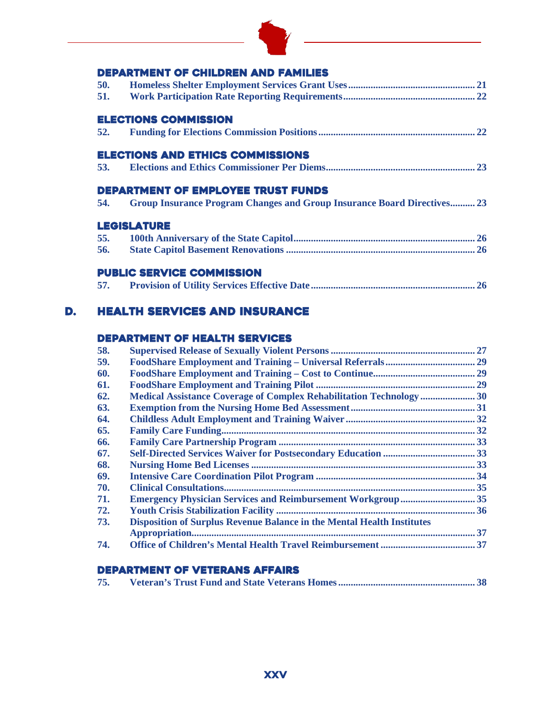

<u> 1989 - Johann Stoff, fransk politik (</u>

## DEDARTMENT OF CHILDREN AND FAMILI

|     | DEPARTMENT OF CHILDREN AND FAMILIES                                            |
|-----|--------------------------------------------------------------------------------|
| 50. |                                                                                |
| 51. |                                                                                |
|     | <b>ELECTIONS COMMISSION</b>                                                    |
| 52. |                                                                                |
|     | <b>ELECTIONS AND ETHICS COMMISSIONS</b>                                        |
| 53. |                                                                                |
|     | <b>DEPARTMENT OF EMPLOYEE TRUST FUNDS</b>                                      |
| 54. | <b>Group Insurance Program Changes and Group Insurance Board Directives 23</b> |
|     | <b>LEGISLATURE</b>                                                             |
| 55. |                                                                                |
| 56. |                                                                                |
|     | <b>PUBLIC SERVICE COMMISSION</b>                                               |
| 57. |                                                                                |
|     |                                                                                |

## D. Health Services and Insurance

## Department of Health Services

| 58. |                                                                        |  |
|-----|------------------------------------------------------------------------|--|
| 59. |                                                                        |  |
| 60. |                                                                        |  |
| 61. |                                                                        |  |
| 62. | Medical Assistance Coverage of Complex Rehabilitation Technology 30    |  |
| 63. |                                                                        |  |
| 64. |                                                                        |  |
| 65. |                                                                        |  |
| 66. |                                                                        |  |
| 67. |                                                                        |  |
| 68. |                                                                        |  |
| 69. |                                                                        |  |
| 70. |                                                                        |  |
| 71. | <b>Emergency Physician Services and Reimbursement Workgroup 35</b>     |  |
| 72. |                                                                        |  |
| 73. | Disposition of Surplus Revenue Balance in the Mental Health Institutes |  |
|     |                                                                        |  |
| 74. |                                                                        |  |

#### Department of Veterans Affairs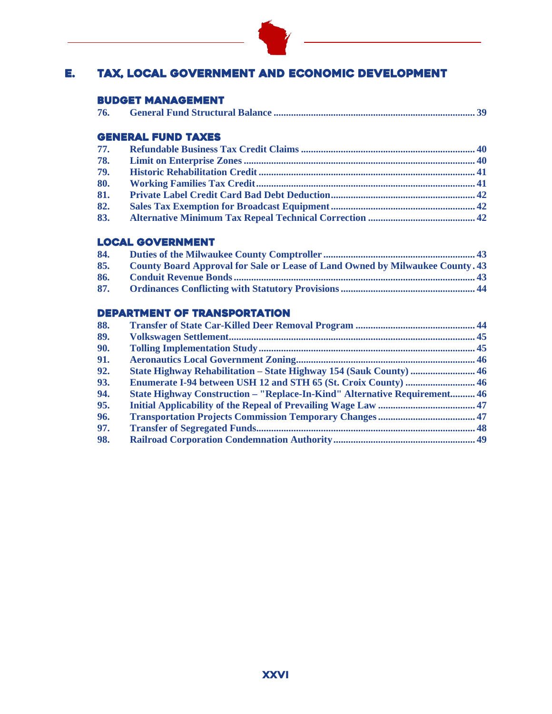

## E. Tax, Local Government and Economic Development

#### Budget management

| 76. |  |
|-----|--|
|-----|--|

#### General Fund Taxes

| 78. |  |
|-----|--|
| 79. |  |
| 80. |  |
| 81. |  |
| 82. |  |
| 83. |  |

#### Local Government

| 84. |                                                                                      |
|-----|--------------------------------------------------------------------------------------|
| 85. | <b>County Board Approval for Sale or Lease of Land Owned by Milwaukee County. 43</b> |
| 86. |                                                                                      |
| 87. |                                                                                      |

### DEPARTMENT OF Transportation

| 88. |                                                                                  |  |
|-----|----------------------------------------------------------------------------------|--|
| 89. |                                                                                  |  |
| 90. |                                                                                  |  |
| 91. |                                                                                  |  |
| 92. | <b>State Highway Rehabilitation – State Highway 154 (Sauk County)  46</b>        |  |
| 93. |                                                                                  |  |
| 94. | <b>State Highway Construction – "Replace-In-Kind" Alternative Requirement 46</b> |  |
| 95. |                                                                                  |  |
| 96. |                                                                                  |  |
| 97. |                                                                                  |  |
| 98. |                                                                                  |  |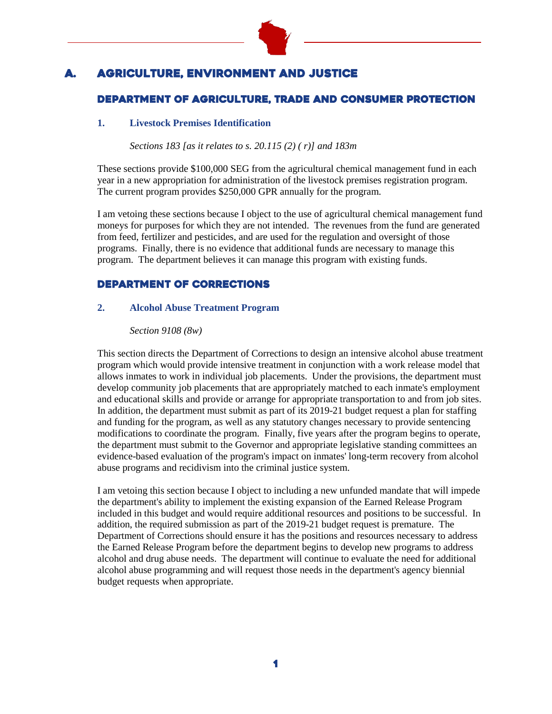

## **AGRICULTURE, ENVIRONMENT AND JUSTICE**

### Department of AGRICULTURE, TRADE AND CONSUMER PROTECTION

#### **1. Livestock Premises Identification**

*Sections 183 [as it relates to s. 20.115 (2) ( r)] and 183m*

These sections provide \$100,000 SEG from the agricultural chemical management fund in each year in a new appropriation for administration of the livestock premises registration program. The current program provides \$250,000 GPR annually for the program.

I am vetoing these sections because I object to the use of agricultural chemical management fund moneys for purposes for which they are not intended. The revenues from the fund are generated from feed, fertilizer and pesticides, and are used for the regulation and oversight of those programs. Finally, there is no evidence that additional funds are necessary to manage this program. The department believes it can manage this program with existing funds.

#### Department of Corrections

#### **2. Alcohol Abuse Treatment Program**

#### *Section 9108 (8w)*

This section directs the Department of Corrections to design an intensive alcohol abuse treatment program which would provide intensive treatment in conjunction with a work release model that allows inmates to work in individual job placements. Under the provisions, the department must develop community job placements that are appropriately matched to each inmate's employment and educational skills and provide or arrange for appropriate transportation to and from job sites. In addition, the department must submit as part of its 2019-21 budget request a plan for staffing and funding for the program, as well as any statutory changes necessary to provide sentencing modifications to coordinate the program. Finally, five years after the program begins to operate, the department must submit to the Governor and appropriate legislative standing committees an evidence-based evaluation of the program's impact on inmates' long-term recovery from alcohol abuse programs and recidivism into the criminal justice system.

I am vetoing this section because I object to including a new unfunded mandate that will impede the department's ability to implement the existing expansion of the Earned Release Program included in this budget and would require additional resources and positions to be successful. In addition, the required submission as part of the 2019-21 budget request is premature. The Department of Corrections should ensure it has the positions and resources necessary to address the Earned Release Program before the department begins to develop new programs to address alcohol and drug abuse needs. The department will continue to evaluate the need for additional alcohol abuse programming and will request those needs in the department's agency biennial budget requests when appropriate.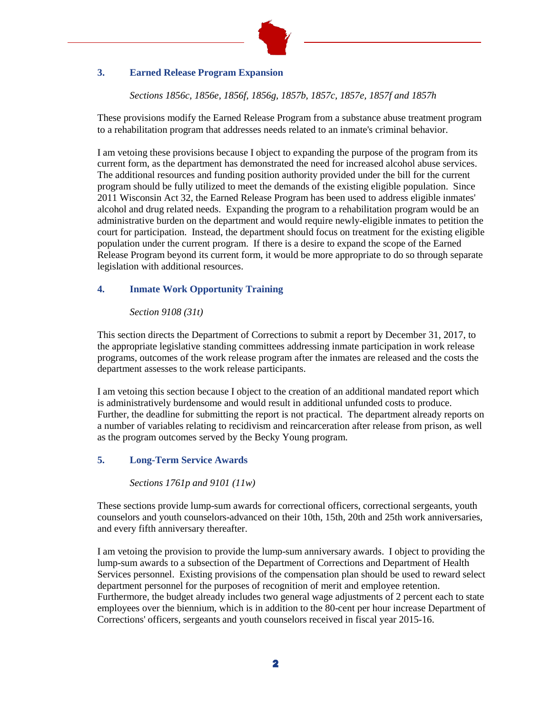

#### **3. Earned Release Program Expansion**

*Sections 1856c, 1856e, 1856f, 1856g, 1857b, 1857c, 1857e, 1857f and 1857h*

These provisions modify the Earned Release Program from a substance abuse treatment program to a rehabilitation program that addresses needs related to an inmate's criminal behavior.

I am vetoing these provisions because I object to expanding the purpose of the program from its current form, as the department has demonstrated the need for increased alcohol abuse services. The additional resources and funding position authority provided under the bill for the current program should be fully utilized to meet the demands of the existing eligible population. Since 2011 Wisconsin Act 32, the Earned Release Program has been used to address eligible inmates' alcohol and drug related needs. Expanding the program to a rehabilitation program would be an administrative burden on the department and would require newly-eligible inmates to petition the court for participation. Instead, the department should focus on treatment for the existing eligible population under the current program. If there is a desire to expand the scope of the Earned Release Program beyond its current form, it would be more appropriate to do so through separate legislation with additional resources.

#### **4. Inmate Work Opportunity Training**

#### *Section 9108 (31t)*

This section directs the Department of Corrections to submit a report by December 31, 2017, to the appropriate legislative standing committees addressing inmate participation in work release programs, outcomes of the work release program after the inmates are released and the costs the department assesses to the work release participants.

I am vetoing this section because I object to the creation of an additional mandated report which is administratively burdensome and would result in additional unfunded costs to produce. Further, the deadline for submitting the report is not practical. The department already reports on a number of variables relating to recidivism and reincarceration after release from prison, as well as the program outcomes served by the Becky Young program.

#### **5. Long-Term Service Awards**

*Sections 1761p and 9101 (11w)* 

These sections provide lump-sum awards for correctional officers, correctional sergeants, youth counselors and youth counselors-advanced on their 10th, 15th, 20th and 25th work anniversaries, and every fifth anniversary thereafter.

I am vetoing the provision to provide the lump-sum anniversary awards. I object to providing the lump-sum awards to a subsection of the Department of Corrections and Department of Health Services personnel. Existing provisions of the compensation plan should be used to reward select department personnel for the purposes of recognition of merit and employee retention. Furthermore, the budget already includes two general wage adjustments of 2 percent each to state employees over the biennium, which is in addition to the 80-cent per hour increase Department of Corrections' officers, sergeants and youth counselors received in fiscal year 2015-16.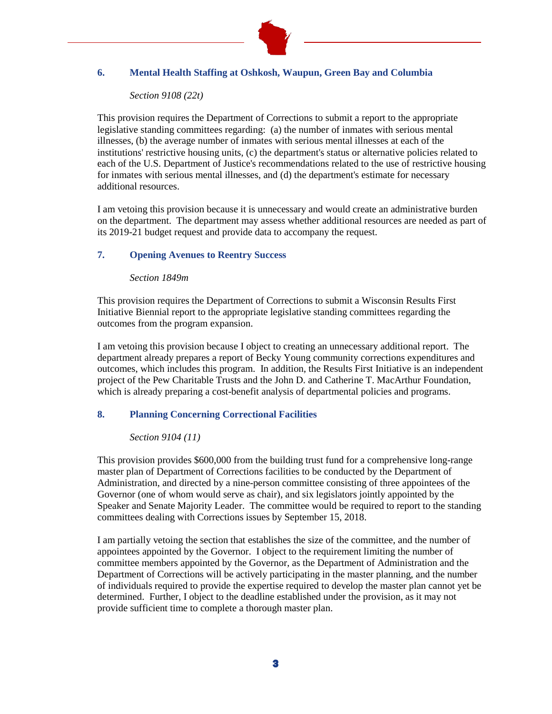

#### **6. Mental Health Staffing at Oshkosh, Waupun, Green Bay and Columbia**

#### *Section 9108 (22t)*

This provision requires the Department of Corrections to submit a report to the appropriate legislative standing committees regarding: (a) the number of inmates with serious mental illnesses, (b) the average number of inmates with serious mental illnesses at each of the institutions' restrictive housing units, (c) the department's status or alternative policies related to each of the U.S. Department of Justice's recommendations related to the use of restrictive housing for inmates with serious mental illnesses, and (d) the department's estimate for necessary additional resources.

I am vetoing this provision because it is unnecessary and would create an administrative burden on the department. The department may assess whether additional resources are needed as part of its 2019-21 budget request and provide data to accompany the request.

#### **7. Opening Avenues to Reentry Success**

#### *Section 1849m*

This provision requires the Department of Corrections to submit a Wisconsin Results First Initiative Biennial report to the appropriate legislative standing committees regarding the outcomes from the program expansion.

I am vetoing this provision because I object to creating an unnecessary additional report. The department already prepares a report of Becky Young community corrections expenditures and outcomes, which includes this program. In addition, the Results First Initiative is an independent project of the Pew Charitable Trusts and the John D. and Catherine T. MacArthur Foundation, which is already preparing a cost-benefit analysis of departmental policies and programs.

#### **8. Planning Concerning Correctional Facilities**

#### *Section 9104 (11)*

This provision provides \$600,000 from the building trust fund for a comprehensive long-range master plan of Department of Corrections facilities to be conducted by the Department of Administration, and directed by a nine-person committee consisting of three appointees of the Governor (one of whom would serve as chair), and six legislators jointly appointed by the Speaker and Senate Majority Leader. The committee would be required to report to the standing committees dealing with Corrections issues by September 15, 2018.

I am partially vetoing the section that establishes the size of the committee, and the number of appointees appointed by the Governor. I object to the requirement limiting the number of committee members appointed by the Governor, as the Department of Administration and the Department of Corrections will be actively participating in the master planning, and the number of individuals required to provide the expertise required to develop the master plan cannot yet be determined. Further, I object to the deadline established under the provision, as it may not provide sufficient time to complete a thorough master plan.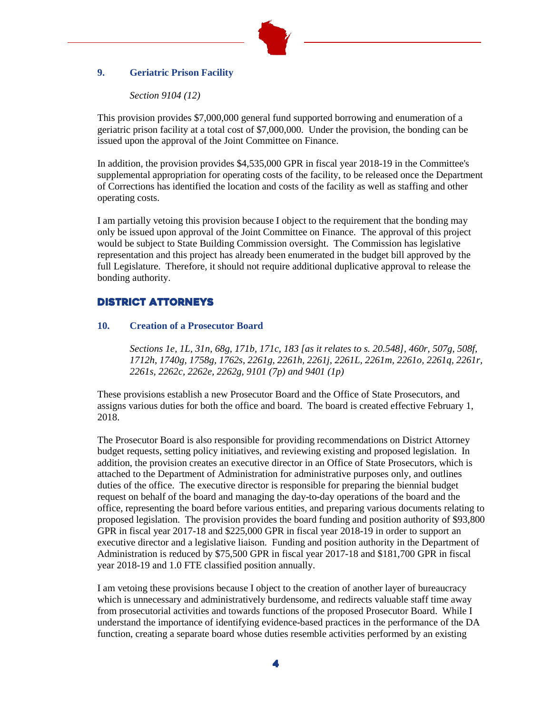

#### **9. Geriatric Prison Facility**

*Section 9104 (12)*

This provision provides \$7,000,000 general fund supported borrowing and enumeration of a geriatric prison facility at a total cost of \$7,000,000. Under the provision, the bonding can be issued upon the approval of the Joint Committee on Finance.

In addition, the provision provides \$4,535,000 GPR in fiscal year 2018-19 in the Committee's supplemental appropriation for operating costs of the facility, to be released once the Department of Corrections has identified the location and costs of the facility as well as staffing and other operating costs.

I am partially vetoing this provision because I object to the requirement that the bonding may only be issued upon approval of the Joint Committee on Finance. The approval of this project would be subject to State Building Commission oversight. The Commission has legislative representation and this project has already been enumerated in the budget bill approved by the full Legislature. Therefore, it should not require additional duplicative approval to release the bonding authority.

#### District Attorneys

#### **10. Creation of a Prosecutor Board**

*Sections 1e, 1L, 31n, 68g, 171b, 171c, 183 [as it relates to s. 20.548], 460r, 507g, 508f, 1712h, 1740g, 1758g, 1762s, 2261g, 2261h, 2261j, 2261L, 2261m, 2261o, 2261q, 2261r, 2261s, 2262c, 2262e, 2262g, 9101 (7p) and 9401 (1p)*

These provisions establish a new Prosecutor Board and the Office of State Prosecutors, and assigns various duties for both the office and board. The board is created effective February 1, 2018.

The Prosecutor Board is also responsible for providing recommendations on District Attorney budget requests, setting policy initiatives, and reviewing existing and proposed legislation. In addition, the provision creates an executive director in an Office of State Prosecutors, which is attached to the Department of Administration for administrative purposes only, and outlines duties of the office. The executive director is responsible for preparing the biennial budget request on behalf of the board and managing the day-to-day operations of the board and the office, representing the board before various entities, and preparing various documents relating to proposed legislation. The provision provides the board funding and position authority of \$93,800 GPR in fiscal year 2017-18 and \$225,000 GPR in fiscal year 2018-19 in order to support an executive director and a legislative liaison. Funding and position authority in the Department of Administration is reduced by \$75,500 GPR in fiscal year 2017-18 and \$181,700 GPR in fiscal year 2018-19 and 1.0 FTE classified position annually.

I am vetoing these provisions because I object to the creation of another layer of bureaucracy which is unnecessary and administratively burdensome, and redirects valuable staff time away from prosecutorial activities and towards functions of the proposed Prosecutor Board. While I understand the importance of identifying evidence-based practices in the performance of the DA function, creating a separate board whose duties resemble activities performed by an existing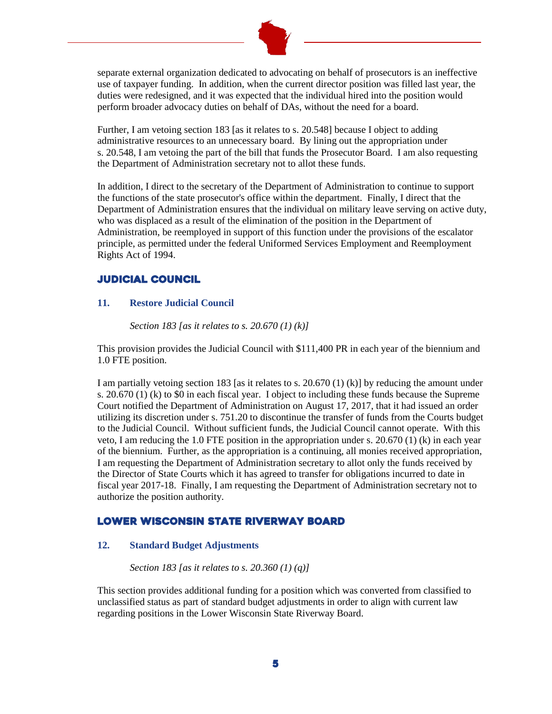

separate external organization dedicated to advocating on behalf of prosecutors is an ineffective use of taxpayer funding. In addition, when the current director position was filled last year, the duties were redesigned, and it was expected that the individual hired into the position would perform broader advocacy duties on behalf of DAs, without the need for a board.

Further, I am vetoing section 183 [as it relates to s. 20.548] because I object to adding administrative resources to an unnecessary board. By lining out the appropriation under s. 20.548, I am vetoing the part of the bill that funds the Prosecutor Board. I am also requesting the Department of Administration secretary not to allot these funds.

In addition, I direct to the secretary of the Department of Administration to continue to support the functions of the state prosecutor's office within the department. Finally, I direct that the Department of Administration ensures that the individual on military leave serving on active duty, who was displaced as a result of the elimination of the position in the Department of Administration, be reemployed in support of this function under the provisions of the escalator principle, as permitted under the federal Uniformed Services Employment and Reemployment Rights Act of 1994.

#### Judicial council

#### **11. Restore Judicial Council**

*Section 183 [as it relates to s. 20.670 (1) (k)]*

This provision provides the Judicial Council with \$111,400 PR in each year of the biennium and 1.0 FTE position.

I am partially vetoing section 183 [as it relates to s. 20.670 (1) (k)] by reducing the amount under s. 20.670 (1) (k) to \$0 in each fiscal year. I object to including these funds because the Supreme Court notified the Department of Administration on August 17, 2017, that it had issued an order utilizing its discretion under s. 751.20 to discontinue the transfer of funds from the Courts budget to the Judicial Council. Without sufficient funds, the Judicial Council cannot operate. With this veto, I am reducing the 1.0 FTE position in the appropriation under s. 20.670 (1) (k) in each year of the biennium. Further, as the appropriation is a continuing, all monies received appropriation, I am requesting the Department of Administration secretary to allot only the funds received by the Director of State Courts which it has agreed to transfer for obligations incurred to date in fiscal year 2017-18. Finally, I am requesting the Department of Administration secretary not to authorize the position authority.

#### LOWER WISCONSIN STATE RIVERWAY BOARD

#### **12. Standard Budget Adjustments**

*Section 183 [as it relates to s. 20.360 (1) (q)]*

This section provides additional funding for a position which was converted from classified to unclassified status as part of standard budget adjustments in order to align with current law regarding positions in the Lower Wisconsin State Riverway Board.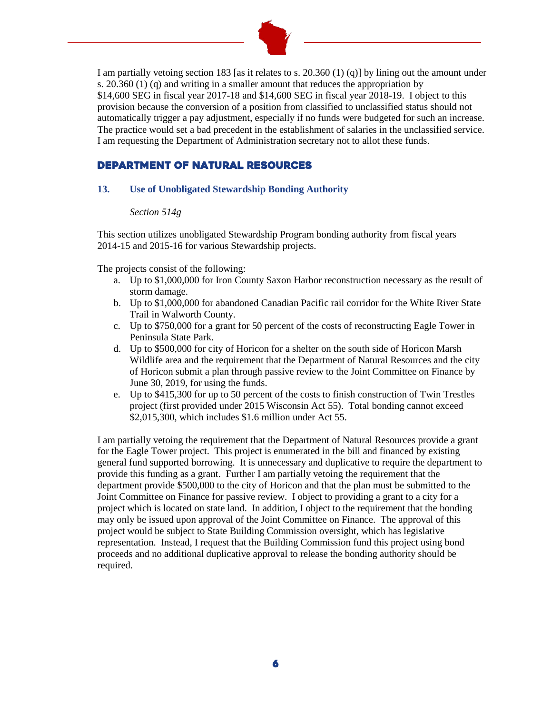

I am partially vetoing section 183 [as it relates to s. 20.360 (1) (q)] by lining out the amount under s. 20.360 (1) (q) and writing in a smaller amount that reduces the appropriation by \$14,600 SEG in fiscal year 2017-18 and \$14,600 SEG in fiscal year 2018-19. I object to this provision because the conversion of a position from classified to unclassified status should not automatically trigger a pay adjustment, especially if no funds were budgeted for such an increase. The practice would set a bad precedent in the establishment of salaries in the unclassified service. I am requesting the Department of Administration secretary not to allot these funds.

#### DEPARTMENT OF natural resources

#### **13. Use of Unobligated Stewardship Bonding Authority**

#### *Section 514g*

This section utilizes unobligated Stewardship Program bonding authority from fiscal years 2014-15 and 2015-16 for various Stewardship projects.

The projects consist of the following:

- a. Up to \$1,000,000 for Iron County Saxon Harbor reconstruction necessary as the result of storm damage.
- b. Up to \$1,000,000 for abandoned Canadian Pacific rail corridor for the White River State Trail in Walworth County.
- c. Up to \$750,000 for a grant for 50 percent of the costs of reconstructing Eagle Tower in Peninsula State Park.
- d. Up to \$500,000 for city of Horicon for a shelter on the south side of Horicon Marsh Wildlife area and the requirement that the Department of Natural Resources and the city of Horicon submit a plan through passive review to the Joint Committee on Finance by June 30, 2019, for using the funds.
- e. Up to \$415,300 for up to 50 percent of the costs to finish construction of Twin Trestles project (first provided under 2015 Wisconsin Act 55). Total bonding cannot exceed \$2,015,300, which includes \$1.6 million under Act 55.

I am partially vetoing the requirement that the Department of Natural Resources provide a grant for the Eagle Tower project. This project is enumerated in the bill and financed by existing general fund supported borrowing. It is unnecessary and duplicative to require the department to provide this funding as a grant. Further I am partially vetoing the requirement that the department provide \$500,000 to the city of Horicon and that the plan must be submitted to the Joint Committee on Finance for passive review. I object to providing a grant to a city for a project which is located on state land. In addition, I object to the requirement that the bonding may only be issued upon approval of the Joint Committee on Finance. The approval of this project would be subject to State Building Commission oversight, which has legislative representation. Instead, I request that the Building Commission fund this project using bond proceeds and no additional duplicative approval to release the bonding authority should be required.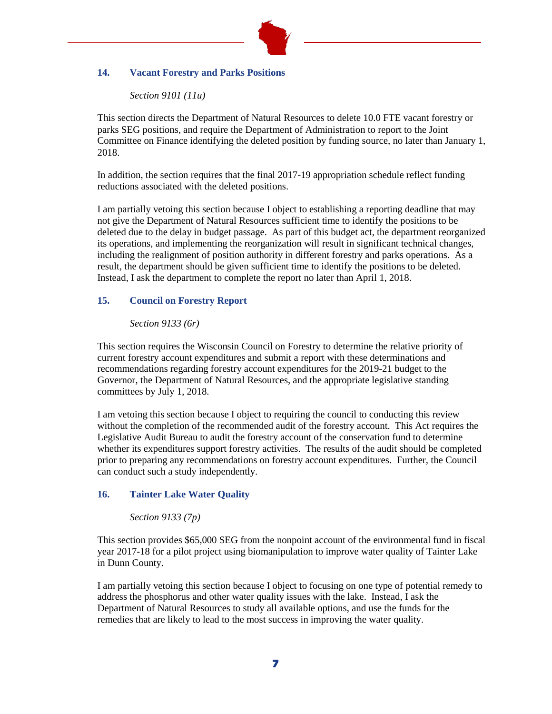

#### **14. Vacant Forestry and Parks Positions**

*Section 9101 (11u)*

This section directs the Department of Natural Resources to delete 10.0 FTE vacant forestry or parks SEG positions, and require the Department of Administration to report to the Joint Committee on Finance identifying the deleted position by funding source, no later than January 1, 2018.

In addition, the section requires that the final 2017-19 appropriation schedule reflect funding reductions associated with the deleted positions.

I am partially vetoing this section because I object to establishing a reporting deadline that may not give the Department of Natural Resources sufficient time to identify the positions to be deleted due to the delay in budget passage. As part of this budget act, the department reorganized its operations, and implementing the reorganization will result in significant technical changes, including the realignment of position authority in different forestry and parks operations. As a result, the department should be given sufficient time to identify the positions to be deleted. Instead, I ask the department to complete the report no later than April 1, 2018.

#### **15. Council on Forestry Report**

#### *Section 9133 (6r)*

This section requires the Wisconsin Council on Forestry to determine the relative priority of current forestry account expenditures and submit a report with these determinations and recommendations regarding forestry account expenditures for the 2019-21 budget to the Governor, the Department of Natural Resources, and the appropriate legislative standing committees by July 1, 2018.

I am vetoing this section because I object to requiring the council to conducting this review without the completion of the recommended audit of the forestry account. This Act requires the Legislative Audit Bureau to audit the forestry account of the conservation fund to determine whether its expenditures support forestry activities. The results of the audit should be completed prior to preparing any recommendations on forestry account expenditures. Further, the Council can conduct such a study independently.

#### **16. Tainter Lake Water Quality**

#### *Section 9133 (7p)*

This section provides \$65,000 SEG from the nonpoint account of the environmental fund in fiscal year 2017-18 for a pilot project using biomanipulation to improve water quality of Tainter Lake in Dunn County.

I am partially vetoing this section because I object to focusing on one type of potential remedy to address the phosphorus and other water quality issues with the lake. Instead, I ask the Department of Natural Resources to study all available options, and use the funds for the remedies that are likely to lead to the most success in improving the water quality.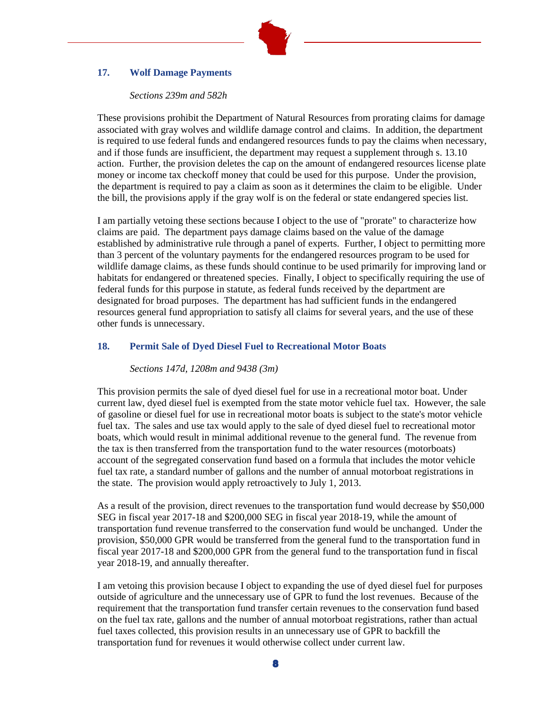#### **17. Wolf Damage Payments**

#### *Sections 239m and 582h*

These provisions prohibit the Department of Natural Resources from prorating claims for damage associated with gray wolves and wildlife damage control and claims. In addition, the department is required to use federal funds and endangered resources funds to pay the claims when necessary, and if those funds are insufficient, the department may request a supplement through s. 13.10 action. Further, the provision deletes the cap on the amount of endangered resources license plate money or income tax checkoff money that could be used for this purpose. Under the provision, the department is required to pay a claim as soon as it determines the claim to be eligible. Under the bill, the provisions apply if the gray wolf is on the federal or state endangered species list.

I am partially vetoing these sections because I object to the use of "prorate" to characterize how claims are paid. The department pays damage claims based on the value of the damage established by administrative rule through a panel of experts. Further, I object to permitting more than 3 percent of the voluntary payments for the endangered resources program to be used for wildlife damage claims, as these funds should continue to be used primarily for improving land or habitats for endangered or threatened species. Finally, I object to specifically requiring the use of federal funds for this purpose in statute, as federal funds received by the department are designated for broad purposes. The department has had sufficient funds in the endangered resources general fund appropriation to satisfy all claims for several years, and the use of these other funds is unnecessary.

#### **18. Permit Sale of Dyed Diesel Fuel to Recreational Motor Boats**

*Sections 147d, 1208m and 9438 (3m)*

This provision permits the sale of dyed diesel fuel for use in a recreational motor boat. Under current law, dyed diesel fuel is exempted from the state motor vehicle fuel tax. However, the sale of gasoline or diesel fuel for use in recreational motor boats is subject to the state's motor vehicle fuel tax. The sales and use tax would apply to the sale of dyed diesel fuel to recreational motor boats, which would result in minimal additional revenue to the general fund. The revenue from the tax is then transferred from the transportation fund to the water resources (motorboats) account of the segregated conservation fund based on a formula that includes the motor vehicle fuel tax rate, a standard number of gallons and the number of annual motorboat registrations in the state. The provision would apply retroactively to July 1, 2013.

As a result of the provision, direct revenues to the transportation fund would decrease by \$50,000 SEG in fiscal year 2017-18 and \$200,000 SEG in fiscal year 2018-19, while the amount of transportation fund revenue transferred to the conservation fund would be unchanged. Under the provision, \$50,000 GPR would be transferred from the general fund to the transportation fund in fiscal year 2017-18 and \$200,000 GPR from the general fund to the transportation fund in fiscal year 2018-19, and annually thereafter.

I am vetoing this provision because I object to expanding the use of dyed diesel fuel for purposes outside of agriculture and the unnecessary use of GPR to fund the lost revenues. Because of the requirement that the transportation fund transfer certain revenues to the conservation fund based on the fuel tax rate, gallons and the number of annual motorboat registrations, rather than actual fuel taxes collected, this provision results in an unnecessary use of GPR to backfill the transportation fund for revenues it would otherwise collect under current law.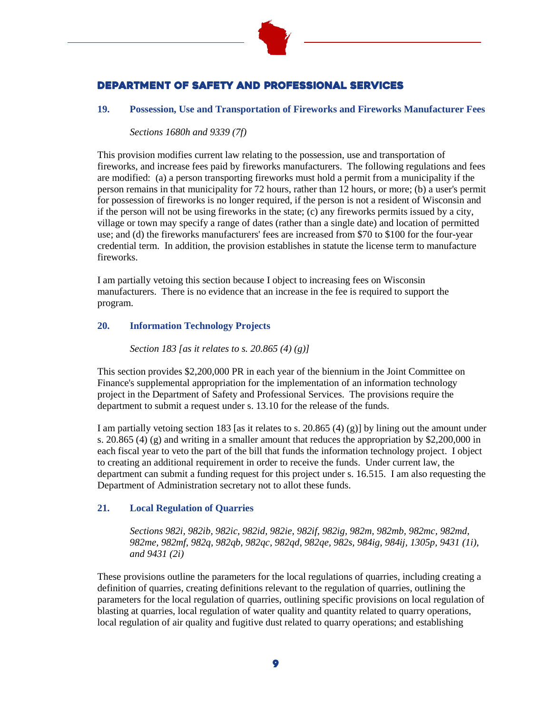

## DEPARTMENT OF SAFETY AND PROFESSIONAL SERVICES

#### **19. Possession, Use and Transportation of Fireworks and Fireworks Manufacturer Fees**

*Sections 1680h and 9339 (7f)*

This provision modifies current law relating to the possession, use and transportation of fireworks, and increase fees paid by fireworks manufacturers. The following regulations and fees are modified: (a) a person transporting fireworks must hold a permit from a municipality if the person remains in that municipality for 72 hours, rather than 12 hours, or more; (b) a user's permit for possession of fireworks is no longer required, if the person is not a resident of Wisconsin and if the person will not be using fireworks in the state; (c) any fireworks permits issued by a city, village or town may specify a range of dates (rather than a single date) and location of permitted use; and (d) the fireworks manufacturers' fees are increased from \$70 to \$100 for the four-year credential term. In addition, the provision establishes in statute the license term to manufacture fireworks.

I am partially vetoing this section because I object to increasing fees on Wisconsin manufacturers. There is no evidence that an increase in the fee is required to support the program.

#### **20. Information Technology Projects**

*Section 183 [as it relates to s. 20.865 (4) (g)]*

This section provides \$2,200,000 PR in each year of the biennium in the Joint Committee on Finance's supplemental appropriation for the implementation of an information technology project in the Department of Safety and Professional Services. The provisions require the department to submit a request under s. 13.10 for the release of the funds.

I am partially vetoing section 183 [as it relates to s. 20.865 (4) (g)] by lining out the amount under s. 20.865 (4) (g) and writing in a smaller amount that reduces the appropriation by \$2,200,000 in each fiscal year to veto the part of the bill that funds the information technology project. I object to creating an additional requirement in order to receive the funds. Under current law, the department can submit a funding request for this project under s. 16.515. I am also requesting the Department of Administration secretary not to allot these funds.

#### **21. Local Regulation of Quarries**

*Sections 982i, 982ib, 982ic, 982id, 982ie, 982if, 982ig, 982m, 982mb, 982mc, 982md, 982me, 982mf, 982q, 982qb, 982qc, 982qd, 982qe, 982s, 984ig, 984ij, 1305p, 9431 (1i), and 9431 (2i)*

These provisions outline the parameters for the local regulations of quarries, including creating a definition of quarries, creating definitions relevant to the regulation of quarries, outlining the parameters for the local regulation of quarries, outlining specific provisions on local regulation of blasting at quarries, local regulation of water quality and quantity related to quarry operations, local regulation of air quality and fugitive dust related to quarry operations; and establishing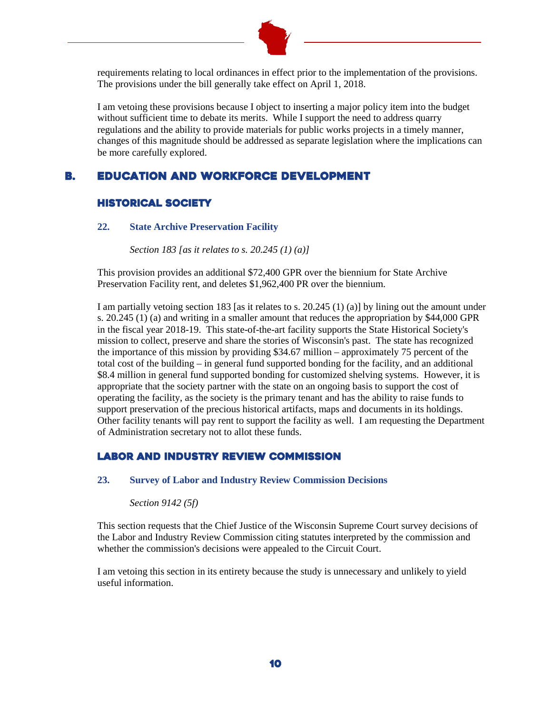

requirements relating to local ordinances in effect prior to the implementation of the provisions. The provisions under the bill generally take effect on April 1, 2018.

I am vetoing these provisions because I object to inserting a major policy item into the budget without sufficient time to debate its merits. While I support the need to address quarry regulations and the ability to provide materials for public works projects in a timely manner, changes of this magnitude should be addressed as separate legislation where the implications can be more carefully explored.

#### B. Education and Workforce Development

#### HISTORICAL SOCIETY

#### **22. State Archive Preservation Facility**

*Section 183 [as it relates to s. 20.245 (1) (a)]*

This provision provides an additional \$72,400 GPR over the biennium for State Archive Preservation Facility rent, and deletes \$1,962,400 PR over the biennium.

I am partially vetoing section 183 [as it relates to s. 20.245 (1) (a)] by lining out the amount under s. 20.245 (1) (a) and writing in a smaller amount that reduces the appropriation by \$44,000 GPR in the fiscal year 2018-19. This state-of-the-art facility supports the State Historical Society's mission to collect, preserve and share the stories of Wisconsin's past. The state has recognized the importance of this mission by providing \$34.67 million – approximately 75 percent of the total cost of the building – in general fund supported bonding for the facility, and an additional \$8.4 million in general fund supported bonding for customized shelving systems. However, it is appropriate that the society partner with the state on an ongoing basis to support the cost of operating the facility, as the society is the primary tenant and has the ability to raise funds to support preservation of the precious historical artifacts, maps and documents in its holdings. Other facility tenants will pay rent to support the facility as well. I am requesting the Department of Administration secretary not to allot these funds.

#### LABOR AND INDUSTRY REVIEW COMMISSION

#### **23. Survey of Labor and Industry Review Commission Decisions**

*Section 9142 (5f)*

This section requests that the Chief Justice of the Wisconsin Supreme Court survey decisions of the Labor and Industry Review Commission citing statutes interpreted by the commission and whether the commission's decisions were appealed to the Circuit Court.

I am vetoing this section in its entirety because the study is unnecessary and unlikely to yield useful information.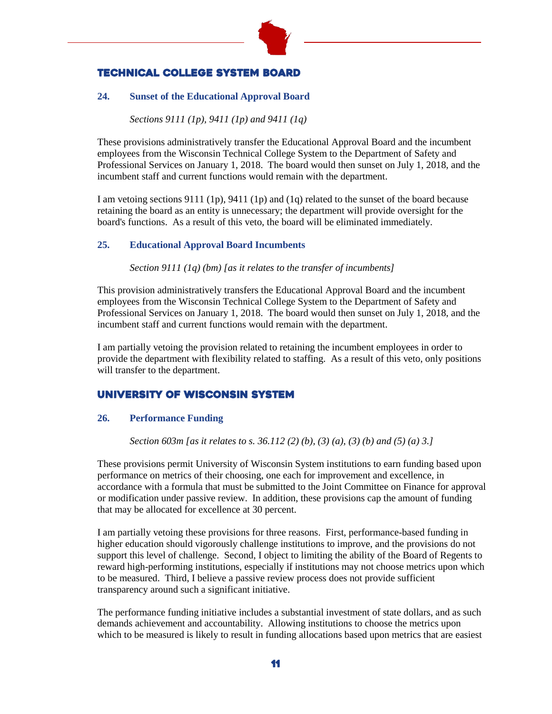

# TECHNICAL COLLEGE SYSTEM BOARD

# **24. Sunset of the Educational Approval Board**

*Sections 9111 (1p), 9411 (1p) and 9411 (1q)*

These provisions administratively transfer the Educational Approval Board and the incumbent employees from the Wisconsin Technical College System to the Department of Safety and Professional Services on January 1, 2018. The board would then sunset on July 1, 2018, and the incumbent staff and current functions would remain with the department.

I am vetoing sections 9111 (1p), 9411 (1p) and (1q) related to the sunset of the board because retaining the board as an entity is unnecessary; the department will provide oversight for the board's functions. As a result of this veto, the board will be eliminated immediately.

## **25. Educational Approval Board Incumbents**

*Section 9111 (1q) (bm) [as it relates to the transfer of incumbents]*

This provision administratively transfers the Educational Approval Board and the incumbent employees from the Wisconsin Technical College System to the Department of Safety and Professional Services on January 1, 2018. The board would then sunset on July 1, 2018, and the incumbent staff and current functions would remain with the department.

I am partially vetoing the provision related to retaining the incumbent employees in order to provide the department with flexibility related to staffing. As a result of this veto, only positions will transfer to the department.

# UNIVERSITY OF WISCONSIN SYSTEM

## **26. Performance Funding**

*Section 603m [as it relates to s. 36.112 (2) (b), (3) (a), (3) (b) and (5) (a) 3.]*

These provisions permit University of Wisconsin System institutions to earn funding based upon performance on metrics of their choosing, one each for improvement and excellence, in accordance with a formula that must be submitted to the Joint Committee on Finance for approval or modification under passive review. In addition, these provisions cap the amount of funding that may be allocated for excellence at 30 percent.

I am partially vetoing these provisions for three reasons. First, performance-based funding in higher education should vigorously challenge institutions to improve, and the provisions do not support this level of challenge. Second, I object to limiting the ability of the Board of Regents to reward high-performing institutions, especially if institutions may not choose metrics upon which to be measured. Third, I believe a passive review process does not provide sufficient transparency around such a significant initiative.

The performance funding initiative includes a substantial investment of state dollars, and as such demands achievement and accountability. Allowing institutions to choose the metrics upon which to be measured is likely to result in funding allocations based upon metrics that are easiest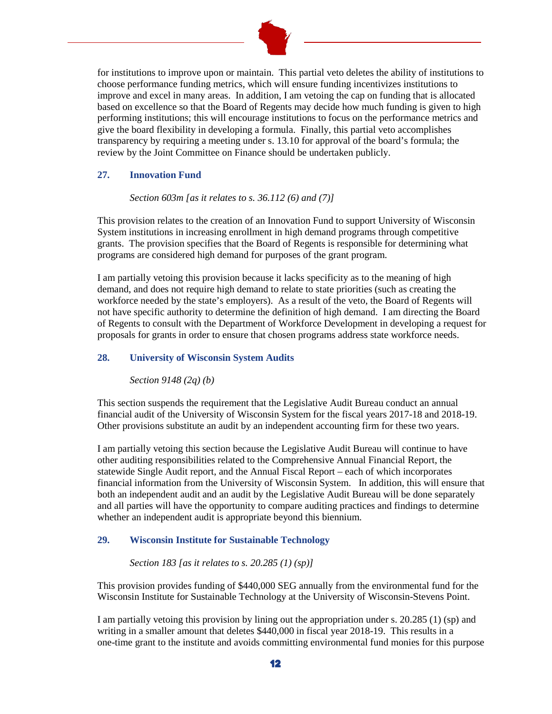

for institutions to improve upon or maintain. This partial veto deletes the ability of institutions to choose performance funding metrics, which will ensure funding incentivizes institutions to improve and excel in many areas. In addition, I am vetoing the cap on funding that is allocated based on excellence so that the Board of Regents may decide how much funding is given to high performing institutions; this will encourage institutions to focus on the performance metrics and give the board flexibility in developing a formula. Finally, this partial veto accomplishes transparency by requiring a meeting under s. 13.10 for approval of the board's formula; the review by the Joint Committee on Finance should be undertaken publicly.

#### **27. Innovation Fund**

*Section 603m [as it relates to s. 36.112 (6) and (7)]*

This provision relates to the creation of an Innovation Fund to support University of Wisconsin System institutions in increasing enrollment in high demand programs through competitive grants. The provision specifies that the Board of Regents is responsible for determining what programs are considered high demand for purposes of the grant program.

I am partially vetoing this provision because it lacks specificity as to the meaning of high demand, and does not require high demand to relate to state priorities (such as creating the workforce needed by the state's employers). As a result of the veto, the Board of Regents will not have specific authority to determine the definition of high demand. I am directing the Board of Regents to consult with the Department of Workforce Development in developing a request for proposals for grants in order to ensure that chosen programs address state workforce needs.

## **28. University of Wisconsin System Audits**

*Section 9148 (2q) (b)*

This section suspends the requirement that the Legislative Audit Bureau conduct an annual financial audit of the University of Wisconsin System for the fiscal years 2017-18 and 2018-19. Other provisions substitute an audit by an independent accounting firm for these two years.

I am partially vetoing this section because the Legislative Audit Bureau will continue to have other auditing responsibilities related to the Comprehensive Annual Financial Report, the statewide Single Audit report, and the Annual Fiscal Report – each of which incorporates financial information from the University of Wisconsin System. In addition, this will ensure that both an independent audit and an audit by the Legislative Audit Bureau will be done separately and all parties will have the opportunity to compare auditing practices and findings to determine whether an independent audit is appropriate beyond this biennium.

## **29. Wisconsin Institute for Sustainable Technology**

*Section 183 [as it relates to s. 20.285 (1) (sp)]*

This provision provides funding of \$440,000 SEG annually from the environmental fund for the Wisconsin Institute for Sustainable Technology at the University of Wisconsin-Stevens Point.

I am partially vetoing this provision by lining out the appropriation under s. 20.285 (1) (sp) and writing in a smaller amount that deletes \$440,000 in fiscal year 2018-19. This results in a one-time grant to the institute and avoids committing environmental fund monies for this purpose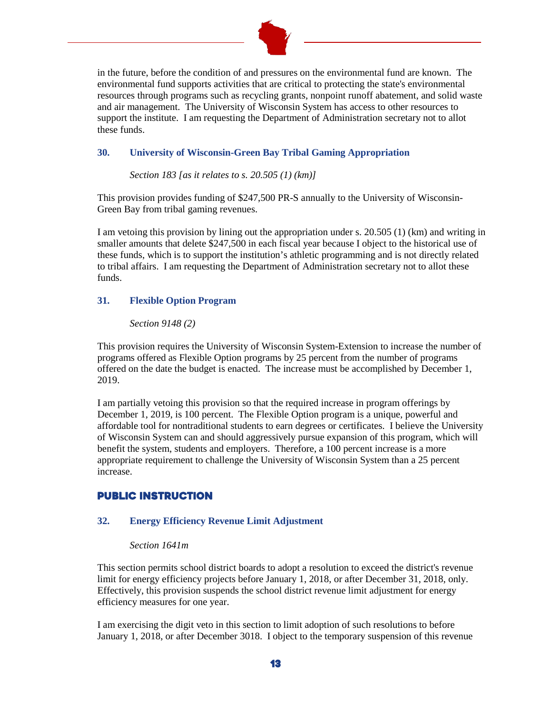

in the future, before the condition of and pressures on the environmental fund are known. The environmental fund supports activities that are critical to protecting the state's environmental resources through programs such as recycling grants, nonpoint runoff abatement, and solid waste and air management. The University of Wisconsin System has access to other resources to support the institute. I am requesting the Department of Administration secretary not to allot these funds.

#### **30. University of Wisconsin-Green Bay Tribal Gaming Appropriation**

*Section 183 [as it relates to s. 20.505 (1) (km)]*

This provision provides funding of \$247,500 PR-S annually to the University of Wisconsin-Green Bay from tribal gaming revenues.

I am vetoing this provision by lining out the appropriation under s. 20.505 (1) (km) and writing in smaller amounts that delete \$247,500 in each fiscal year because I object to the historical use of these funds, which is to support the institution's athletic programming and is not directly related to tribal affairs. I am requesting the Department of Administration secretary not to allot these funds.

## **31. Flexible Option Program**

#### *Section 9148 (2)*

This provision requires the University of Wisconsin System-Extension to increase the number of programs offered as Flexible Option programs by 25 percent from the number of programs offered on the date the budget is enacted. The increase must be accomplished by December 1, 2019.

I am partially vetoing this provision so that the required increase in program offerings by December 1, 2019, is 100 percent. The Flexible Option program is a unique, powerful and affordable tool for nontraditional students to earn degrees or certificates. I believe the University of Wisconsin System can and should aggressively pursue expansion of this program, which will benefit the system, students and employers. Therefore, a 100 percent increase is a more appropriate requirement to challenge the University of Wisconsin System than a 25 percent increase.

# PUBLIC INSTRUCTION

## **32. Energy Efficiency Revenue Limit Adjustment**

#### *Section 1641m*

This section permits school district boards to adopt a resolution to exceed the district's revenue limit for energy efficiency projects before January 1, 2018, or after December 31, 2018, only. Effectively, this provision suspends the school district revenue limit adjustment for energy efficiency measures for one year.

I am exercising the digit veto in this section to limit adoption of such resolutions to before January 1, 2018, or after December 3018. I object to the temporary suspension of this revenue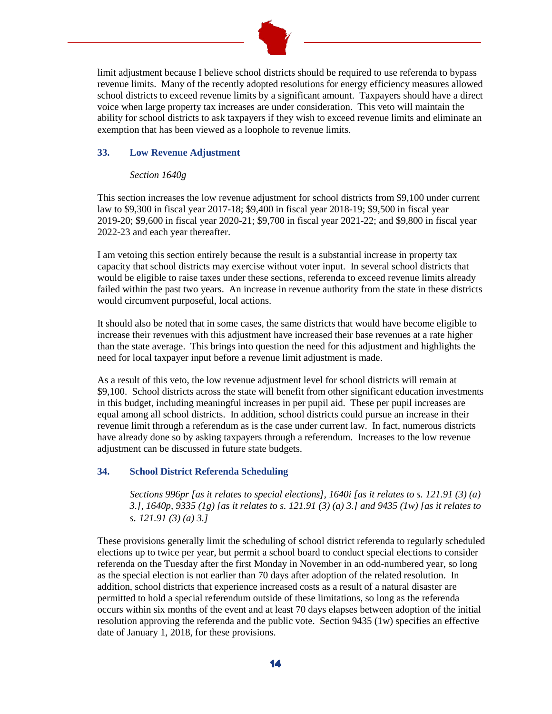

limit adjustment because I believe school districts should be required to use referenda to bypass revenue limits. Many of the recently adopted resolutions for energy efficiency measures allowed school districts to exceed revenue limits by a significant amount. Taxpayers should have a direct voice when large property tax increases are under consideration. This veto will maintain the ability for school districts to ask taxpayers if they wish to exceed revenue limits and eliminate an exemption that has been viewed as a loophole to revenue limits.

## **33. Low Revenue Adjustment**

## *Section 1640g*

This section increases the low revenue adjustment for school districts from \$9,100 under current law to \$9,300 in fiscal year 2017-18; \$9,400 in fiscal year 2018-19; \$9,500 in fiscal year 2019-20; \$9,600 in fiscal year 2020-21; \$9,700 in fiscal year 2021-22; and \$9,800 in fiscal year 2022-23 and each year thereafter.

I am vetoing this section entirely because the result is a substantial increase in property tax capacity that school districts may exercise without voter input. In several school districts that would be eligible to raise taxes under these sections, referenda to exceed revenue limits already failed within the past two years. An increase in revenue authority from the state in these districts would circumvent purposeful, local actions.

It should also be noted that in some cases, the same districts that would have become eligible to increase their revenues with this adjustment have increased their base revenues at a rate higher than the state average. This brings into question the need for this adjustment and highlights the need for local taxpayer input before a revenue limit adjustment is made.

As a result of this veto, the low revenue adjustment level for school districts will remain at \$9,100. School districts across the state will benefit from other significant education investments in this budget, including meaningful increases in per pupil aid. These per pupil increases are equal among all school districts. In addition, school districts could pursue an increase in their revenue limit through a referendum as is the case under current law. In fact, numerous districts have already done so by asking taxpayers through a referendum. Increases to the low revenue adjustment can be discussed in future state budgets.

# **34. School District Referenda Scheduling**

*Sections 996pr [as it relates to special elections], 1640i [as it relates to s. 121.91 (3) (a) 3.], 1640p, 9335 (1g) [as it relates to s. 121.91 (3) (a) 3.] and 9435 (1w) [as it relates to s. 121.91 (3) (a) 3.]*

These provisions generally limit the scheduling of school district referenda to regularly scheduled elections up to twice per year, but permit a school board to conduct special elections to consider referenda on the Tuesday after the first Monday in November in an odd-numbered year, so long as the special election is not earlier than 70 days after adoption of the related resolution. In addition, school districts that experience increased costs as a result of a natural disaster are permitted to hold a special referendum outside of these limitations, so long as the referenda occurs within six months of the event and at least 70 days elapses between adoption of the initial resolution approving the referenda and the public vote. Section 9435 (1w) specifies an effective date of January 1, 2018, for these provisions.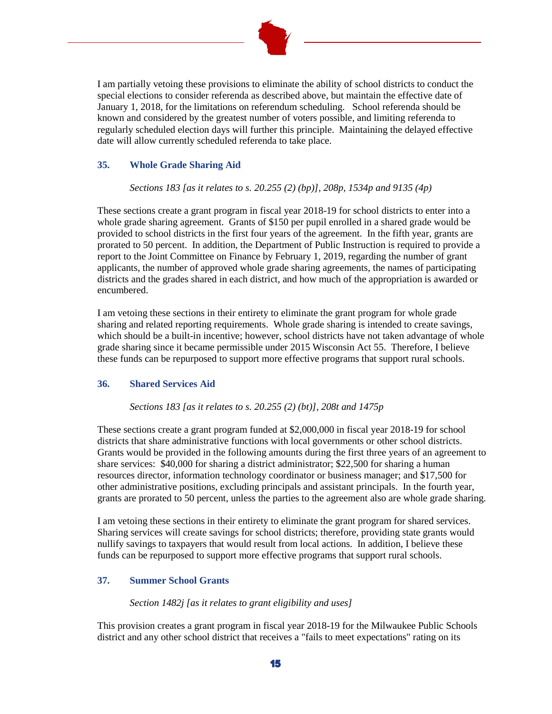

I am partially vetoing these provisions to eliminate the ability of school districts to conduct the special elections to consider referenda as described above, but maintain the effective date of January 1, 2018, for the limitations on referendum scheduling. School referenda should be known and considered by the greatest number of voters possible, and limiting referenda to regularly scheduled election days will further this principle. Maintaining the delayed effective date will allow currently scheduled referenda to take place.

## **35. Whole Grade Sharing Aid**

*Sections 183 [as it relates to s. 20.255 (2) (bp)], 208p, 1534p and 9135 (4p)*

These sections create a grant program in fiscal year 2018-19 for school districts to enter into a whole grade sharing agreement. Grants of \$150 per pupil enrolled in a shared grade would be provided to school districts in the first four years of the agreement. In the fifth year, grants are prorated to 50 percent. In addition, the Department of Public Instruction is required to provide a report to the Joint Committee on Finance by February 1, 2019, regarding the number of grant applicants, the number of approved whole grade sharing agreements, the names of participating districts and the grades shared in each district, and how much of the appropriation is awarded or encumbered.

I am vetoing these sections in their entirety to eliminate the grant program for whole grade sharing and related reporting requirements. Whole grade sharing is intended to create savings, which should be a built-in incentive; however, school districts have not taken advantage of whole grade sharing since it became permissible under 2015 Wisconsin Act 55. Therefore, I believe these funds can be repurposed to support more effective programs that support rural schools.

# **36. Shared Services Aid**

## *Sections 183 [as it relates to s. 20.255 (2) (bt)], 208t and 1475p*

These sections create a grant program funded at \$2,000,000 in fiscal year 2018-19 for school districts that share administrative functions with local governments or other school districts. Grants would be provided in the following amounts during the first three years of an agreement to share services: \$40,000 for sharing a district administrator; \$22,500 for sharing a human resources director, information technology coordinator or business manager; and \$17,500 for other administrative positions, excluding principals and assistant principals. In the fourth year, grants are prorated to 50 percent, unless the parties to the agreement also are whole grade sharing.

I am vetoing these sections in their entirety to eliminate the grant program for shared services. Sharing services will create savings for school districts; therefore, providing state grants would nullify savings to taxpayers that would result from local actions. In addition, I believe these funds can be repurposed to support more effective programs that support rural schools.

## **37. Summer School Grants**

## *Section 1482j [as it relates to grant eligibility and uses]*

This provision creates a grant program in fiscal year 2018-19 for the Milwaukee Public Schools district and any other school district that receives a "fails to meet expectations" rating on its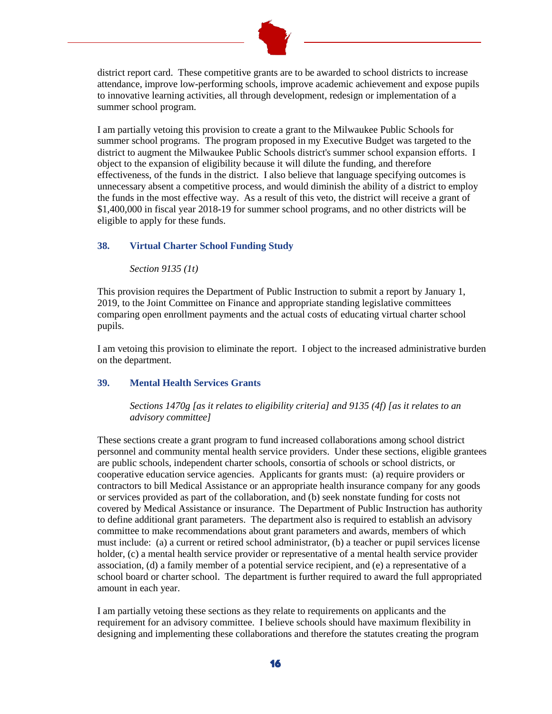

district report card. These competitive grants are to be awarded to school districts to increase attendance, improve low-performing schools, improve academic achievement and expose pupils to innovative learning activities, all through development, redesign or implementation of a summer school program.

I am partially vetoing this provision to create a grant to the Milwaukee Public Schools for summer school programs. The program proposed in my Executive Budget was targeted to the district to augment the Milwaukee Public Schools district's summer school expansion efforts. I object to the expansion of eligibility because it will dilute the funding, and therefore effectiveness, of the funds in the district. I also believe that language specifying outcomes is unnecessary absent a competitive process, and would diminish the ability of a district to employ the funds in the most effective way. As a result of this veto, the district will receive a grant of \$1,400,000 in fiscal year 2018-19 for summer school programs, and no other districts will be eligible to apply for these funds.

## **38. Virtual Charter School Funding Study**

*Section 9135 (1t)*

This provision requires the Department of Public Instruction to submit a report by January 1, 2019, to the Joint Committee on Finance and appropriate standing legislative committees comparing open enrollment payments and the actual costs of educating virtual charter school pupils.

I am vetoing this provision to eliminate the report. I object to the increased administrative burden on the department.

#### **39. Mental Health Services Grants**

*Sections 1470g [as it relates to eligibility criteria] and 9135 (4f) [as it relates to an advisory committee]*

These sections create a grant program to fund increased collaborations among school district personnel and community mental health service providers. Under these sections, eligible grantees are public schools, independent charter schools, consortia of schools or school districts, or cooperative education service agencies. Applicants for grants must: (a) require providers or contractors to bill Medical Assistance or an appropriate health insurance company for any goods or services provided as part of the collaboration, and (b) seek nonstate funding for costs not covered by Medical Assistance or insurance. The Department of Public Instruction has authority to define additional grant parameters. The department also is required to establish an advisory committee to make recommendations about grant parameters and awards, members of which must include: (a) a current or retired school administrator, (b) a teacher or pupil services license holder, (c) a mental health service provider or representative of a mental health service provider association, (d) a family member of a potential service recipient, and (e) a representative of a school board or charter school. The department is further required to award the full appropriated amount in each year.

I am partially vetoing these sections as they relate to requirements on applicants and the requirement for an advisory committee. I believe schools should have maximum flexibility in designing and implementing these collaborations and therefore the statutes creating the program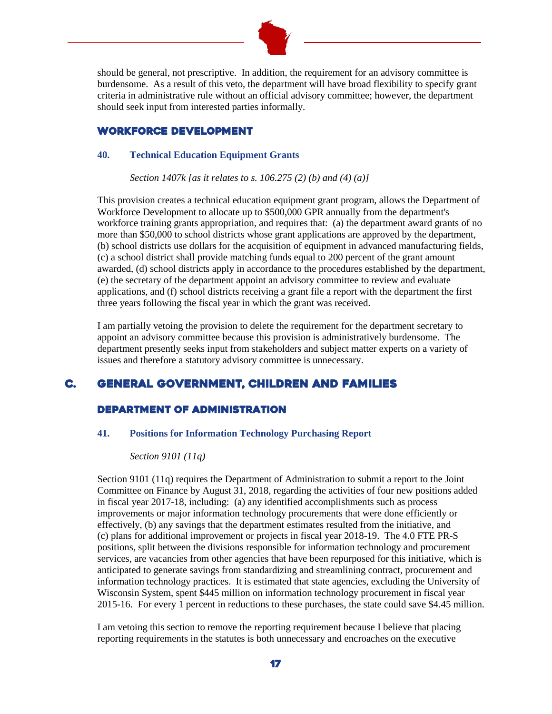

should be general, not prescriptive. In addition, the requirement for an advisory committee is burdensome. As a result of this veto, the department will have broad flexibility to specify grant criteria in administrative rule without an official advisory committee; however, the department should seek input from interested parties informally.

# WORKFORCE DEVELOPMENT

#### **40. Technical Education Equipment Grants**

*Section 1407k [as it relates to s. 106.275 (2) (b) and (4) (a)]*

This provision creates a technical education equipment grant program, allows the Department of Workforce Development to allocate up to \$500,000 GPR annually from the department's workforce training grants appropriation, and requires that: (a) the department award grants of no more than \$50,000 to school districts whose grant applications are approved by the department, (b) school districts use dollars for the acquisition of equipment in advanced manufacturing fields, (c) a school district shall provide matching funds equal to 200 percent of the grant amount awarded, (d) school districts apply in accordance to the procedures established by the department, (e) the secretary of the department appoint an advisory committee to review and evaluate applications, and (f) school districts receiving a grant file a report with the department the first three years following the fiscal year in which the grant was received.

I am partially vetoing the provision to delete the requirement for the department secretary to appoint an advisory committee because this provision is administratively burdensome. The department presently seeks input from stakeholders and subject matter experts on a variety of issues and therefore a statutory advisory committee is unnecessary.

# C. General Government, CHILDREN AND FAMILIES

# Department of Administration

## **41. Positions for Information Technology Purchasing Report**

## *Section 9101 (11q)*

Section 9101 (11q) requires the Department of Administration to submit a report to the Joint Committee on Finance by August 31, 2018, regarding the activities of four new positions added in fiscal year 2017-18, including: (a) any identified accomplishments such as process improvements or major information technology procurements that were done efficiently or effectively, (b) any savings that the department estimates resulted from the initiative, and (c) plans for additional improvement or projects in fiscal year 2018-19. The 4.0 FTE PR-S positions, split between the divisions responsible for information technology and procurement services, are vacancies from other agencies that have been repurposed for this initiative, which is anticipated to generate savings from standardizing and streamlining contract, procurement and information technology practices. It is estimated that state agencies, excluding the University of Wisconsin System, spent \$445 million on information technology procurement in fiscal year 2015-16. For every 1 percent in reductions to these purchases, the state could save \$4.45 million.

I am vetoing this section to remove the reporting requirement because I believe that placing reporting requirements in the statutes is both unnecessary and encroaches on the executive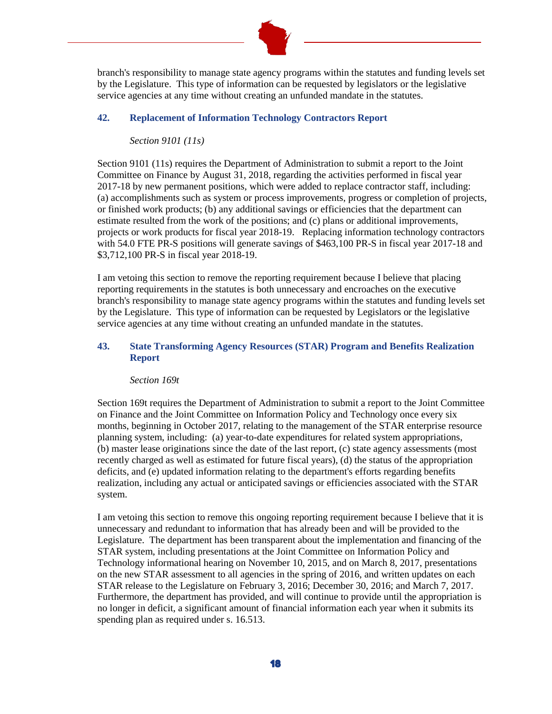

branch's responsibility to manage state agency programs within the statutes and funding levels set by the Legislature. This type of information can be requested by legislators or the legislative service agencies at any time without creating an unfunded mandate in the statutes.

## **42. Replacement of Information Technology Contractors Report**

*Section 9101 (11s)*

Section 9101 (11s) requires the Department of Administration to submit a report to the Joint Committee on Finance by August 31, 2018, regarding the activities performed in fiscal year 2017-18 by new permanent positions, which were added to replace contractor staff, including: (a) accomplishments such as system or process improvements, progress or completion of projects, or finished work products; (b) any additional savings or efficiencies that the department can estimate resulted from the work of the positions; and (c) plans or additional improvements, projects or work products for fiscal year 2018-19. Replacing information technology contractors with 54.0 FTE PR-S positions will generate savings of \$463,100 PR-S in fiscal year 2017-18 and \$3,712,100 PR-S in fiscal year 2018-19.

I am vetoing this section to remove the reporting requirement because I believe that placing reporting requirements in the statutes is both unnecessary and encroaches on the executive branch's responsibility to manage state agency programs within the statutes and funding levels set by the Legislature. This type of information can be requested by Legislators or the legislative service agencies at any time without creating an unfunded mandate in the statutes.

## **43. State Transforming Agency Resources (STAR) Program and Benefits Realization Report**

#### *Section 169t*

Section 169t requires the Department of Administration to submit a report to the Joint Committee on Finance and the Joint Committee on Information Policy and Technology once every six months, beginning in October 2017, relating to the management of the STAR enterprise resource planning system, including: (a) year-to-date expenditures for related system appropriations, (b) master lease originations since the date of the last report, (c) state agency assessments (most recently charged as well as estimated for future fiscal years), (d) the status of the appropriation deficits, and (e) updated information relating to the department's efforts regarding benefits realization, including any actual or anticipated savings or efficiencies associated with the STAR system.

I am vetoing this section to remove this ongoing reporting requirement because I believe that it is unnecessary and redundant to information that has already been and will be provided to the Legislature. The department has been transparent about the implementation and financing of the STAR system, including presentations at the Joint Committee on Information Policy and Technology informational hearing on November 10, 2015, and on March 8, 2017, presentations on the new STAR assessment to all agencies in the spring of 2016, and written updates on each STAR release to the Legislature on February 3, 2016; December 30, 2016; and March 7, 2017. Furthermore, the department has provided, and will continue to provide until the appropriation is no longer in deficit, a significant amount of financial information each year when it submits its spending plan as required under s. 16.513.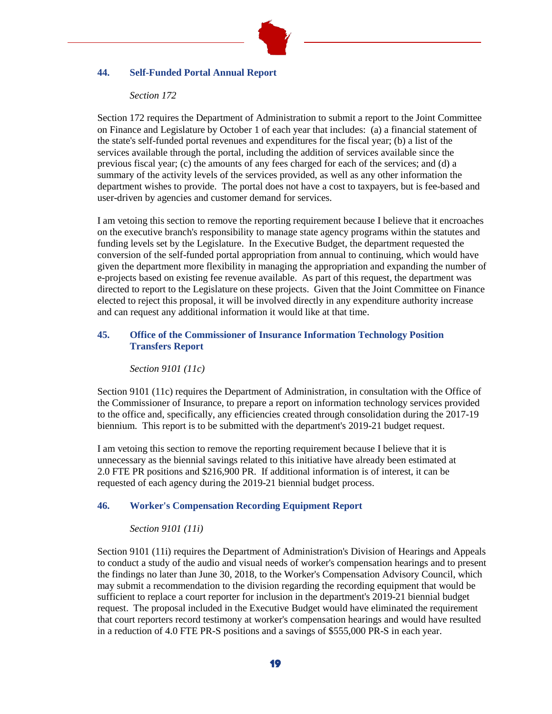

#### **44. Self-Funded Portal Annual Report**

#### *Section 172*

Section 172 requires the Department of Administration to submit a report to the Joint Committee on Finance and Legislature by October 1 of each year that includes: (a) a financial statement of the state's self-funded portal revenues and expenditures for the fiscal year; (b) a list of the services available through the portal, including the addition of services available since the previous fiscal year; (c) the amounts of any fees charged for each of the services; and (d) a summary of the activity levels of the services provided, as well as any other information the department wishes to provide. The portal does not have a cost to taxpayers, but is fee-based and user-driven by agencies and customer demand for services.

I am vetoing this section to remove the reporting requirement because I believe that it encroaches on the executive branch's responsibility to manage state agency programs within the statutes and funding levels set by the Legislature. In the Executive Budget, the department requested the conversion of the self-funded portal appropriation from annual to continuing, which would have given the department more flexibility in managing the appropriation and expanding the number of e-projects based on existing fee revenue available. As part of this request, the department was directed to report to the Legislature on these projects. Given that the Joint Committee on Finance elected to reject this proposal, it will be involved directly in any expenditure authority increase and can request any additional information it would like at that time.

## **45. Office of the Commissioner of Insurance Information Technology Position Transfers Report**

#### *Section 9101 (11c)*

Section 9101 (11c) requires the Department of Administration, in consultation with the Office of the Commissioner of Insurance, to prepare a report on information technology services provided to the office and, specifically, any efficiencies created through consolidation during the 2017-19 biennium. This report is to be submitted with the department's 2019-21 budget request.

I am vetoing this section to remove the reporting requirement because I believe that it is unnecessary as the biennial savings related to this initiative have already been estimated at 2.0 FTE PR positions and \$216,900 PR. If additional information is of interest, it can be requested of each agency during the 2019-21 biennial budget process.

#### **46. Worker's Compensation Recording Equipment Report**

#### *Section 9101 (11i)*

Section 9101 (11i) requires the Department of Administration's Division of Hearings and Appeals to conduct a study of the audio and visual needs of worker's compensation hearings and to present the findings no later than June 30, 2018, to the Worker's Compensation Advisory Council, which may submit a recommendation to the division regarding the recording equipment that would be sufficient to replace a court reporter for inclusion in the department's 2019-21 biennial budget request. The proposal included in the Executive Budget would have eliminated the requirement that court reporters record testimony at worker's compensation hearings and would have resulted in a reduction of 4.0 FTE PR-S positions and a savings of \$555,000 PR-S in each year.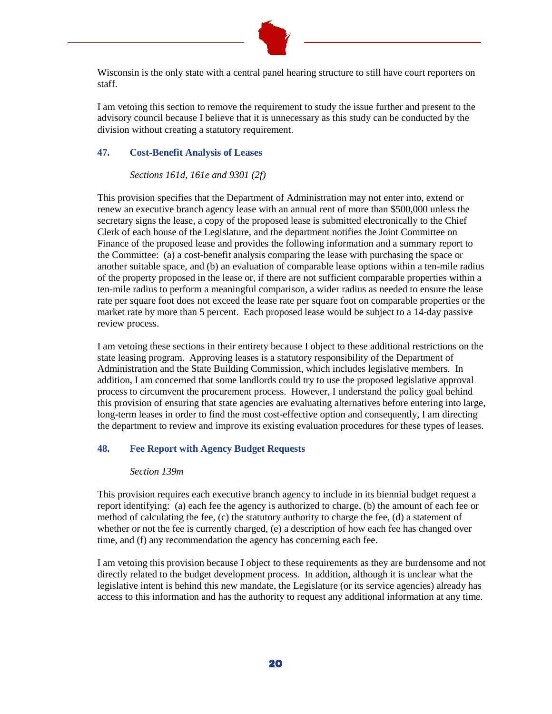

Wisconsin is the only state with a central panel hearing structure to still have court reporters on staff.

I am vetoing this section to remove the requirement to study the issue further and present to the advisory council because I believe that it is unnecessary as this study can be conducted by the division without creating a statutory requirement.

#### **47. Cost-Benefit Analysis of Leases**

#### *Sections 161d, 161e and 9301 (2f)*

This provision specifies that the Department of Administration may not enter into, extend or renew an executive branch agency lease with an annual rent of more than \$500,000 unless the secretary signs the lease, a copy of the proposed lease is submitted electronically to the Chief Clerk of each house of the Legislature, and the department notifies the Joint Committee on Finance of the proposed lease and provides the following information and a summary report to the Committee: (a) a cost-benefit analysis comparing the lease with purchasing the space or another suitable space, and (b) an evaluation of comparable lease options within a ten-mile radius of the property proposed in the lease or, if there are not sufficient comparable properties within a ten-mile radius to perform a meaningful comparison, a wider radius as needed to ensure the lease rate per square foot does not exceed the lease rate per square foot on comparable properties or the market rate by more than 5 percent. Each proposed lease would be subject to a 14-day passive review process.

I am vetoing these sections in their entirety because I object to these additional restrictions on the state leasing program. Approving leases is a statutory responsibility of the Department of Administration and the State Building Commission, which includes legislative members. In addition, I am concerned that some landlords could try to use the proposed legislative approval process to circumvent the procurement process. However, I understand the policy goal behind this provision of ensuring that state agencies are evaluating alternatives before entering into large, long-term leases in order to find the most cost-effective option and consequently, I am directing the department to review and improve its existing evaluation procedures for these types of leases.

## **48. Fee Report with Agency Budget Requests**

#### *Section 139m*

This provision requires each executive branch agency to include in its biennial budget request a report identifying: (a) each fee the agency is authorized to charge, (b) the amount of each fee or method of calculating the fee, (c) the statutory authority to charge the fee, (d) a statement of whether or not the fee is currently charged, (e) a description of how each fee has changed over time, and (f) any recommendation the agency has concerning each fee.

I am vetoing this provision because I object to these requirements as they are burdensome and not directly related to the budget development process. In addition, although it is unclear what the legislative intent is behind this new mandate, the Legislature (or its service agencies) already has access to this information and has the authority to request any additional information at any time.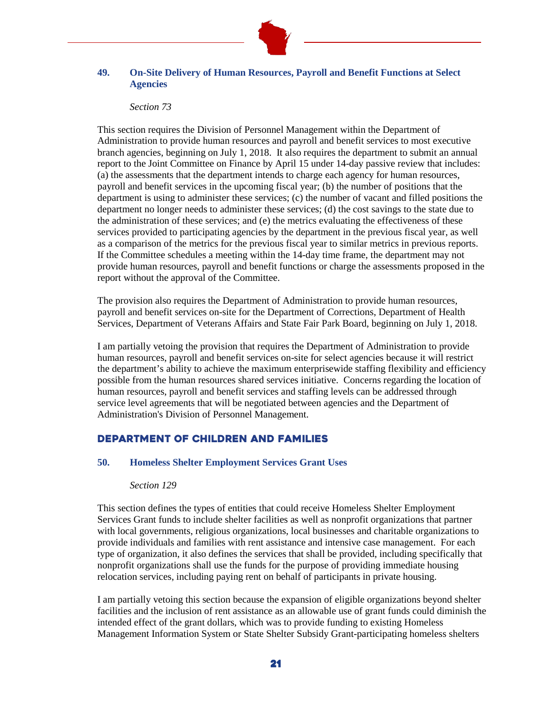

# **49. On-Site Delivery of Human Resources, Payroll and Benefit Functions at Select Agencies**

#### *Section 73*

This section requires the Division of Personnel Management within the Department of Administration to provide human resources and payroll and benefit services to most executive branch agencies, beginning on July 1, 2018. It also requires the department to submit an annual report to the Joint Committee on Finance by April 15 under 14-day passive review that includes: (a) the assessments that the department intends to charge each agency for human resources, payroll and benefit services in the upcoming fiscal year; (b) the number of positions that the department is using to administer these services; (c) the number of vacant and filled positions the department no longer needs to administer these services; (d) the cost savings to the state due to the administration of these services; and (e) the metrics evaluating the effectiveness of these services provided to participating agencies by the department in the previous fiscal year, as well as a comparison of the metrics for the previous fiscal year to similar metrics in previous reports. If the Committee schedules a meeting within the 14-day time frame, the department may not provide human resources, payroll and benefit functions or charge the assessments proposed in the report without the approval of the Committee.

The provision also requires the Department of Administration to provide human resources, payroll and benefit services on-site for the Department of Corrections, Department of Health Services, Department of Veterans Affairs and State Fair Park Board, beginning on July 1, 2018.

I am partially vetoing the provision that requires the Department of Administration to provide human resources, payroll and benefit services on-site for select agencies because it will restrict the department's ability to achieve the maximum enterprisewide staffing flexibility and efficiency possible from the human resources shared services initiative. Concerns regarding the location of human resources, payroll and benefit services and staffing levels can be addressed through service level agreements that will be negotiated between agencies and the Department of Administration's Division of Personnel Management.

# Department of Children and Families

## **50. Homeless Shelter Employment Services Grant Uses**

## *Section 129*

This section defines the types of entities that could receive Homeless Shelter Employment Services Grant funds to include shelter facilities as well as nonprofit organizations that partner with local governments, religious organizations, local businesses and charitable organizations to provide individuals and families with rent assistance and intensive case management. For each type of organization, it also defines the services that shall be provided, including specifically that nonprofit organizations shall use the funds for the purpose of providing immediate housing relocation services, including paying rent on behalf of participants in private housing.

I am partially vetoing this section because the expansion of eligible organizations beyond shelter facilities and the inclusion of rent assistance as an allowable use of grant funds could diminish the intended effect of the grant dollars, which was to provide funding to existing Homeless Management Information System or State Shelter Subsidy Grant-participating homeless shelters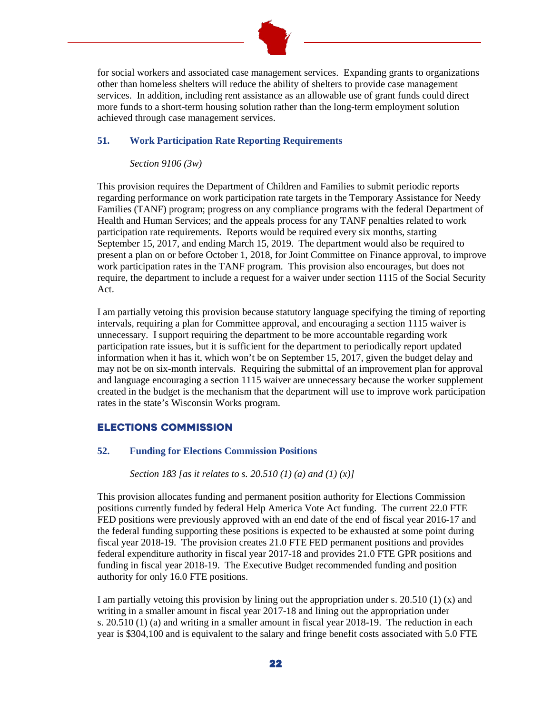

for social workers and associated case management services. Expanding grants to organizations other than homeless shelters will reduce the ability of shelters to provide case management services. In addition, including rent assistance as an allowable use of grant funds could direct more funds to a short-term housing solution rather than the long-term employment solution achieved through case management services.

## **51. Work Participation Rate Reporting Requirements**

#### *Section 9106 (3w)*

This provision requires the Department of Children and Families to submit periodic reports regarding performance on work participation rate targets in the Temporary Assistance for Needy Families (TANF) program; progress on any compliance programs with the federal Department of Health and Human Services; and the appeals process for any TANF penalties related to work participation rate requirements. Reports would be required every six months, starting September 15, 2017, and ending March 15, 2019. The department would also be required to present a plan on or before October 1, 2018, for Joint Committee on Finance approval, to improve work participation rates in the TANF program. This provision also encourages, but does not require, the department to include a request for a waiver under section 1115 of the Social Security Act.

I am partially vetoing this provision because statutory language specifying the timing of reporting intervals, requiring a plan for Committee approval, and encouraging a section 1115 waiver is unnecessary. I support requiring the department to be more accountable regarding work participation rate issues, but it is sufficient for the department to periodically report updated information when it has it, which won't be on September 15, 2017, given the budget delay and may not be on six-month intervals. Requiring the submittal of an improvement plan for approval and language encouraging a section 1115 waiver are unnecessary because the worker supplement created in the budget is the mechanism that the department will use to improve work participation rates in the state's Wisconsin Works program.

# Elections Commission

## **52. Funding for Elections Commission Positions**

#### *Section 183 [as it relates to s. 20.510 (1) (a) and (1) (x)]*

This provision allocates funding and permanent position authority for Elections Commission positions currently funded by federal Help America Vote Act funding. The current 22.0 FTE FED positions were previously approved with an end date of the end of fiscal year 2016-17 and the federal funding supporting these positions is expected to be exhausted at some point during fiscal year 2018-19. The provision creates 21.0 FTE FED permanent positions and provides federal expenditure authority in fiscal year 2017-18 and provides 21.0 FTE GPR positions and funding in fiscal year 2018-19. The Executive Budget recommended funding and position authority for only 16.0 FTE positions.

I am partially vetoing this provision by lining out the appropriation under s. 20.510 (1) (x) and writing in a smaller amount in fiscal year 2017-18 and lining out the appropriation under s. 20.510 (1) (a) and writing in a smaller amount in fiscal year 2018-19. The reduction in each year is \$304,100 and is equivalent to the salary and fringe benefit costs associated with 5.0 FTE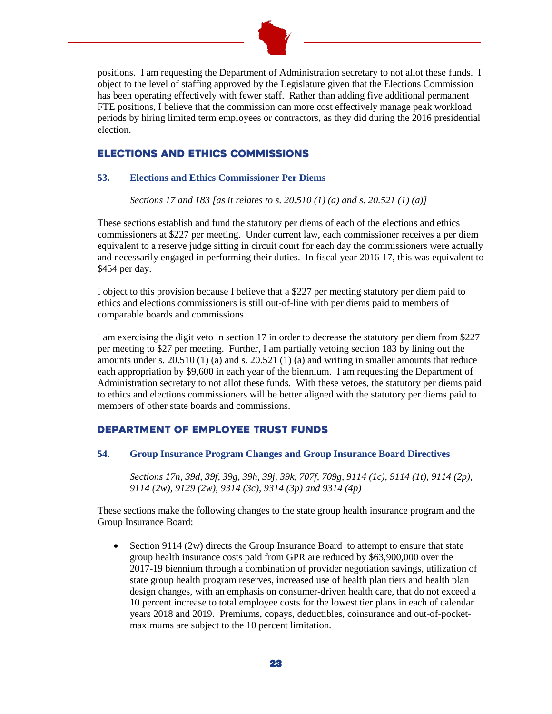

positions. I am requesting the Department of Administration secretary to not allot these funds. I object to the level of staffing approved by the Legislature given that the Elections Commission has been operating effectively with fewer staff. Rather than adding five additional permanent FTE positions, I believe that the commission can more cost effectively manage peak workload periods by hiring limited term employees or contractors, as they did during the 2016 presidential election.

# Elections and Ethics Commissions

# **53. Elections and Ethics Commissioner Per Diems**

*Sections 17 and 183 [as it relates to s. 20.510 (1) (a) and s. 20.521 (1) (a)]*

These sections establish and fund the statutory per diems of each of the elections and ethics commissioners at \$227 per meeting. Under current law, each commissioner receives a per diem equivalent to a reserve judge sitting in circuit court for each day the commissioners were actually and necessarily engaged in performing their duties. In fiscal year 2016-17, this was equivalent to \$454 per day.

I object to this provision because I believe that a \$227 per meeting statutory per diem paid to ethics and elections commissioners is still out-of-line with per diems paid to members of comparable boards and commissions.

I am exercising the digit veto in section 17 in order to decrease the statutory per diem from \$227 per meeting to \$27 per meeting. Further, I am partially vetoing section 183 by lining out the amounts under s.  $20.510(1)$  (a) and s.  $20.521(1)$  (a) and writing in smaller amounts that reduce each appropriation by \$9,600 in each year of the biennium. I am requesting the Department of Administration secretary to not allot these funds. With these vetoes, the statutory per diems paid to ethics and elections commissioners will be better aligned with the statutory per diems paid to members of other state boards and commissions.

# Department of Employee Trust Funds

## **54. Group Insurance Program Changes and Group Insurance Board Directives**

*Sections 17n, 39d, 39f, 39g, 39h, 39j, 39k, 707f, 709g, 9114 (1c), 9114 (1t), 9114 (2p), 9114 (2w), 9129 (2w), 9314 (3c), 9314 (3p) and 9314 (4p)*

These sections make the following changes to the state group health insurance program and the Group Insurance Board:

• Section 9114 (2w) directs the Group Insurance Board to attempt to ensure that state group health insurance costs paid from GPR are reduced by \$63,900,000 over the 2017-19 biennium through a combination of provider negotiation savings, utilization of state group health program reserves, increased use of health plan tiers and health plan design changes, with an emphasis on consumer-driven health care, that do not exceed a 10 percent increase to total employee costs for the lowest tier plans in each of calendar years 2018 and 2019. Premiums, copays, deductibles, coinsurance and out-of-pocketmaximums are subject to the 10 percent limitation.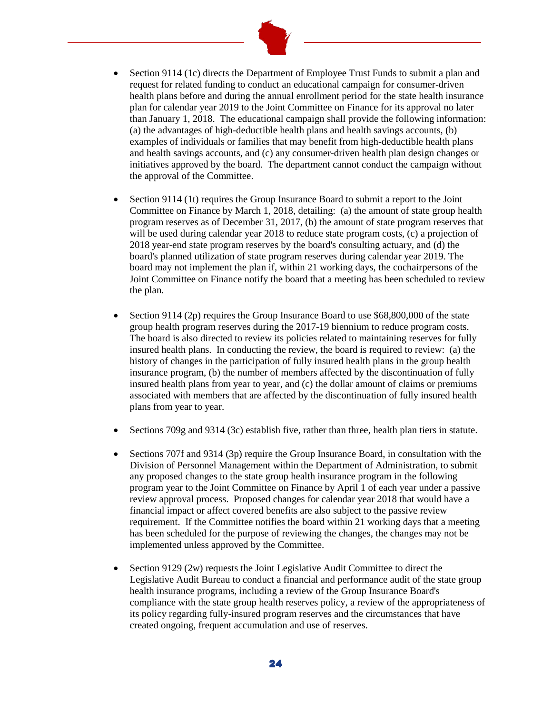

- Section 9114 (1c) directs the Department of Employee Trust Funds to submit a plan and request for related funding to conduct an educational campaign for consumer-driven health plans before and during the annual enrollment period for the state health insurance plan for calendar year 2019 to the Joint Committee on Finance for its approval no later than January 1, 2018. The educational campaign shall provide the following information: (a) the advantages of high-deductible health plans and health savings accounts, (b) examples of individuals or families that may benefit from high-deductible health plans and health savings accounts, and (c) any consumer-driven health plan design changes or initiatives approved by the board. The department cannot conduct the campaign without the approval of the Committee.
- Section 9114 (1t) requires the Group Insurance Board to submit a report to the Joint Committee on Finance by March 1, 2018, detailing: (a) the amount of state group health program reserves as of December 31, 2017, (b) the amount of state program reserves that will be used during calendar year 2018 to reduce state program costs, (c) a projection of 2018 year-end state program reserves by the board's consulting actuary, and (d) the board's planned utilization of state program reserves during calendar year 2019. The board may not implement the plan if, within 21 working days, the cochairpersons of the Joint Committee on Finance notify the board that a meeting has been scheduled to review the plan.
- Section 9114 (2p) requires the Group Insurance Board to use  $$68,800,000$  of the state group health program reserves during the 2017-19 biennium to reduce program costs. The board is also directed to review its policies related to maintaining reserves for fully insured health plans. In conducting the review, the board is required to review: (a) the history of changes in the participation of fully insured health plans in the group health insurance program, (b) the number of members affected by the discontinuation of fully insured health plans from year to year, and (c) the dollar amount of claims or premiums associated with members that are affected by the discontinuation of fully insured health plans from year to year.
- Sections 709g and 9314 (3c) establish five, rather than three, health plan tiers in statute.
- Sections 707f and 9314 (3p) require the Group Insurance Board, in consultation with the Division of Personnel Management within the Department of Administration, to submit any proposed changes to the state group health insurance program in the following program year to the Joint Committee on Finance by April 1 of each year under a passive review approval process. Proposed changes for calendar year 2018 that would have a financial impact or affect covered benefits are also subject to the passive review requirement. If the Committee notifies the board within 21 working days that a meeting has been scheduled for the purpose of reviewing the changes, the changes may not be implemented unless approved by the Committee.
- Section 9129 (2w) requests the Joint Legislative Audit Committee to direct the Legislative Audit Bureau to conduct a financial and performance audit of the state group health insurance programs, including a review of the Group Insurance Board's compliance with the state group health reserves policy, a review of the appropriateness of its policy regarding fully-insured program reserves and the circumstances that have created ongoing, frequent accumulation and use of reserves.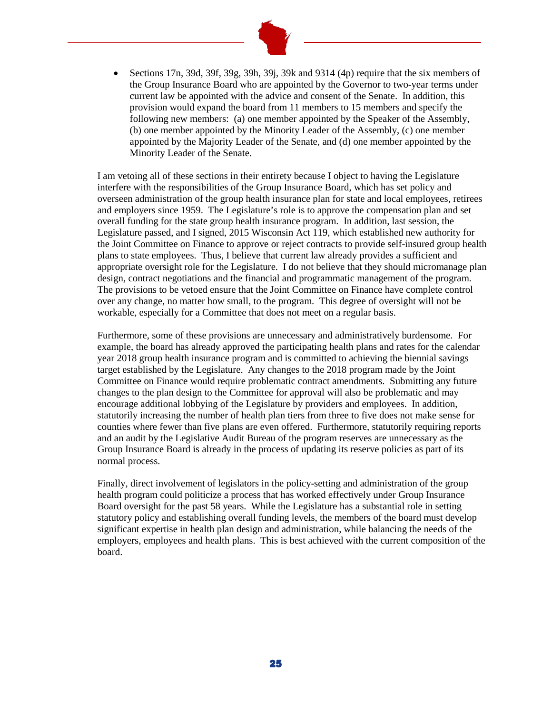

• Sections 17n, 39d, 39f, 39g, 39h, 39i, 39k and 9314 (4p) require that the six members of the Group Insurance Board who are appointed by the Governor to two-year terms under current law be appointed with the advice and consent of the Senate. In addition, this provision would expand the board from 11 members to 15 members and specify the following new members: (a) one member appointed by the Speaker of the Assembly, (b) one member appointed by the Minority Leader of the Assembly, (c) one member appointed by the Majority Leader of the Senate, and (d) one member appointed by the Minority Leader of the Senate.

I am vetoing all of these sections in their entirety because I object to having the Legislature interfere with the responsibilities of the Group Insurance Board, which has set policy and overseen administration of the group health insurance plan for state and local employees, retirees and employers since 1959. The Legislature's role is to approve the compensation plan and set overall funding for the state group health insurance program. In addition, last session, the Legislature passed, and I signed, 2015 Wisconsin Act 119, which established new authority for the Joint Committee on Finance to approve or reject contracts to provide self-insured group health plans to state employees. Thus, I believe that current law already provides a sufficient and appropriate oversight role for the Legislature. I do not believe that they should micromanage plan design, contract negotiations and the financial and programmatic management of the program. The provisions to be vetoed ensure that the Joint Committee on Finance have complete control over any change, no matter how small, to the program. This degree of oversight will not be workable, especially for a Committee that does not meet on a regular basis.

Furthermore, some of these provisions are unnecessary and administratively burdensome. For example, the board has already approved the participating health plans and rates for the calendar year 2018 group health insurance program and is committed to achieving the biennial savings target established by the Legislature. Any changes to the 2018 program made by the Joint Committee on Finance would require problematic contract amendments. Submitting any future changes to the plan design to the Committee for approval will also be problematic and may encourage additional lobbying of the Legislature by providers and employees. In addition, statutorily increasing the number of health plan tiers from three to five does not make sense for counties where fewer than five plans are even offered. Furthermore, statutorily requiring reports and an audit by the Legislative Audit Bureau of the program reserves are unnecessary as the Group Insurance Board is already in the process of updating its reserve policies as part of its normal process.

Finally, direct involvement of legislators in the policy-setting and administration of the group health program could politicize a process that has worked effectively under Group Insurance Board oversight for the past 58 years. While the Legislature has a substantial role in setting statutory policy and establishing overall funding levels, the members of the board must develop significant expertise in health plan design and administration, while balancing the needs of the employers, employees and health plans. This is best achieved with the current composition of the board.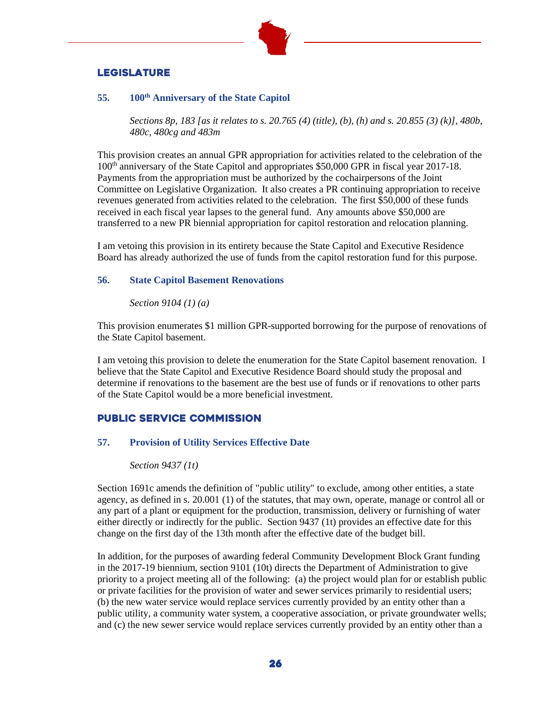

# **LEGISLATURE**

## **55. 100th Anniversary of the State Capitol**

*Sections 8p, 183 [as it relates to s. 20.765 (4) (title), (b), (h) and s. 20.855 (3) (k)], 480b, 480c, 480cg and 483m*

This provision creates an annual GPR appropriation for activities related to the celebration of the 100th anniversary of the State Capitol and appropriates \$50,000 GPR in fiscal year 2017-18. Payments from the appropriation must be authorized by the cochairpersons of the Joint Committee on Legislative Organization. It also creates a PR continuing appropriation to receive revenues generated from activities related to the celebration. The first \$50,000 of these funds received in each fiscal year lapses to the general fund. Any amounts above \$50,000 are transferred to a new PR biennial appropriation for capitol restoration and relocation planning.

I am vetoing this provision in its entirety because the State Capitol and Executive Residence Board has already authorized the use of funds from the capitol restoration fund for this purpose.

## **56. State Capitol Basement Renovations**

*Section 9104 (1) (a)*

This provision enumerates \$1 million GPR-supported borrowing for the purpose of renovations of the State Capitol basement.

I am vetoing this provision to delete the enumeration for the State Capitol basement renovation. I believe that the State Capitol and Executive Residence Board should study the proposal and determine if renovations to the basement are the best use of funds or if renovations to other parts of the State Capitol would be a more beneficial investment.

# Public Service Commission

## **57. Provision of Utility Services Effective Date**

*Section 9437 (1t)*

Section 1691c amends the definition of "public utility" to exclude, among other entities, a state agency, as defined in s. 20.001 (1) of the statutes, that may own, operate, manage or control all or any part of a plant or equipment for the production, transmission, delivery or furnishing of water either directly or indirectly for the public. Section 9437 (1t) provides an effective date for this change on the first day of the 13th month after the effective date of the budget bill.

In addition, for the purposes of awarding federal Community Development Block Grant funding in the 2017-19 biennium, section 9101 (10t) directs the Department of Administration to give priority to a project meeting all of the following: (a) the project would plan for or establish public or private facilities for the provision of water and sewer services primarily to residential users; (b) the new water service would replace services currently provided by an entity other than a public utility, a community water system, a cooperative association, or private groundwater wells; and (c) the new sewer service would replace services currently provided by an entity other than a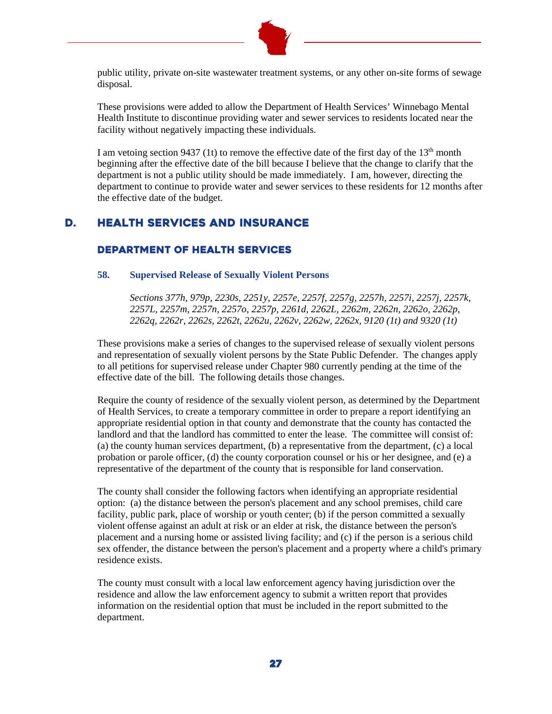

public utility, private on-site wastewater treatment systems, or any other on-site forms of sewage disposal.

These provisions were added to allow the Department of Health Services' Winnebago Mental Health Institute to discontinue providing water and sewer services to residents located near the facility without negatively impacting these individuals.

I am vetoing section 9437 (1t) to remove the effective date of the first day of the  $13<sup>th</sup>$  month beginning after the effective date of the bill because I believe that the change to clarify that the department is not a public utility should be made immediately. I am, however, directing the department to continue to provide water and sewer services to these residents for 12 months after the effective date of the budget.

# D. Health Services and Insurance

# Department of HEALTH SERVICES

#### **58. Supervised Release of Sexually Violent Persons**

*Sections 377h, 979p, 2230s, 2251y, 2257e, 2257f, 2257g, 2257h, 2257i, 2257j, 2257k, 2257L, 2257m, 2257n, 2257o, 2257p, 2261d, 2262L, 2262m, 2262n, 2262o, 2262p, 2262q, 2262r, 2262s, 2262t, 2262u, 2262v, 2262w, 2262x, 9120 (1t) and 9320 (1t)*

These provisions make a series of changes to the supervised release of sexually violent persons and representation of sexually violent persons by the State Public Defender. The changes apply to all petitions for supervised release under Chapter 980 currently pending at the time of the effective date of the bill. The following details those changes.

Require the county of residence of the sexually violent person, as determined by the Department of Health Services, to create a temporary committee in order to prepare a report identifying an appropriate residential option in that county and demonstrate that the county has contacted the landlord and that the landlord has committed to enter the lease. The committee will consist of: (a) the county human services department, (b) a representative from the department, (c) a local probation or parole officer, (d) the county corporation counsel or his or her designee, and (e) a representative of the department of the county that is responsible for land conservation.

The county shall consider the following factors when identifying an appropriate residential option: (a) the distance between the person's placement and any school premises, child care facility, public park, place of worship or youth center; (b) if the person committed a sexually violent offense against an adult at risk or an elder at risk, the distance between the person's placement and a nursing home or assisted living facility; and (c) if the person is a serious child sex offender, the distance between the person's placement and a property where a child's primary residence exists.

The county must consult with a local law enforcement agency having jurisdiction over the residence and allow the law enforcement agency to submit a written report that provides information on the residential option that must be included in the report submitted to the department.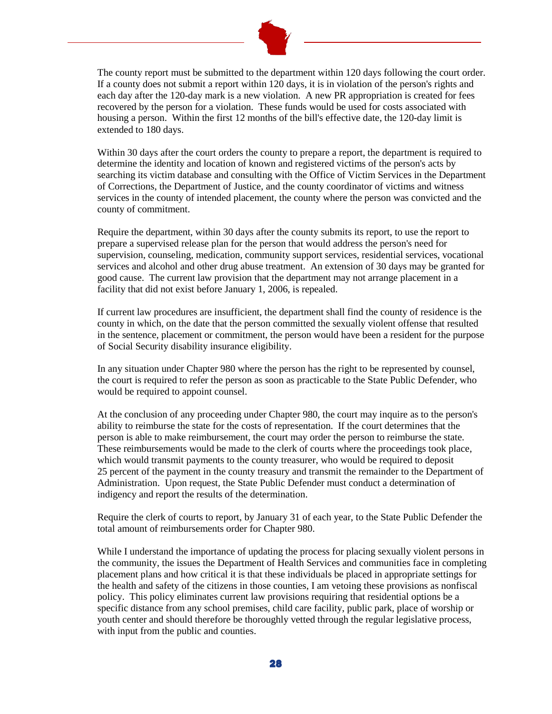

The county report must be submitted to the department within 120 days following the court order. If a county does not submit a report within 120 days, it is in violation of the person's rights and each day after the 120-day mark is a new violation. A new PR appropriation is created for fees recovered by the person for a violation. These funds would be used for costs associated with housing a person. Within the first 12 months of the bill's effective date, the 120-day limit is extended to 180 days.

Within 30 days after the court orders the county to prepare a report, the department is required to determine the identity and location of known and registered victims of the person's acts by searching its victim database and consulting with the Office of Victim Services in the Department of Corrections, the Department of Justice, and the county coordinator of victims and witness services in the county of intended placement, the county where the person was convicted and the county of commitment.

Require the department, within 30 days after the county submits its report, to use the report to prepare a supervised release plan for the person that would address the person's need for supervision, counseling, medication, community support services, residential services, vocational services and alcohol and other drug abuse treatment. An extension of 30 days may be granted for good cause. The current law provision that the department may not arrange placement in a facility that did not exist before January 1, 2006, is repealed.

If current law procedures are insufficient, the department shall find the county of residence is the county in which, on the date that the person committed the sexually violent offense that resulted in the sentence, placement or commitment, the person would have been a resident for the purpose of Social Security disability insurance eligibility.

In any situation under Chapter 980 where the person has the right to be represented by counsel, the court is required to refer the person as soon as practicable to the State Public Defender, who would be required to appoint counsel.

At the conclusion of any proceeding under Chapter 980, the court may inquire as to the person's ability to reimburse the state for the costs of representation. If the court determines that the person is able to make reimbursement, the court may order the person to reimburse the state. These reimbursements would be made to the clerk of courts where the proceedings took place, which would transmit payments to the county treasurer, who would be required to deposit 25 percent of the payment in the county treasury and transmit the remainder to the Department of Administration. Upon request, the State Public Defender must conduct a determination of indigency and report the results of the determination.

Require the clerk of courts to report, by January 31 of each year, to the State Public Defender the total amount of reimbursements order for Chapter 980.

While I understand the importance of updating the process for placing sexually violent persons in the community, the issues the Department of Health Services and communities face in completing placement plans and how critical it is that these individuals be placed in appropriate settings for the health and safety of the citizens in those counties, I am vetoing these provisions as nonfiscal policy. This policy eliminates current law provisions requiring that residential options be a specific distance from any school premises, child care facility, public park, place of worship or youth center and should therefore be thoroughly vetted through the regular legislative process, with input from the public and counties.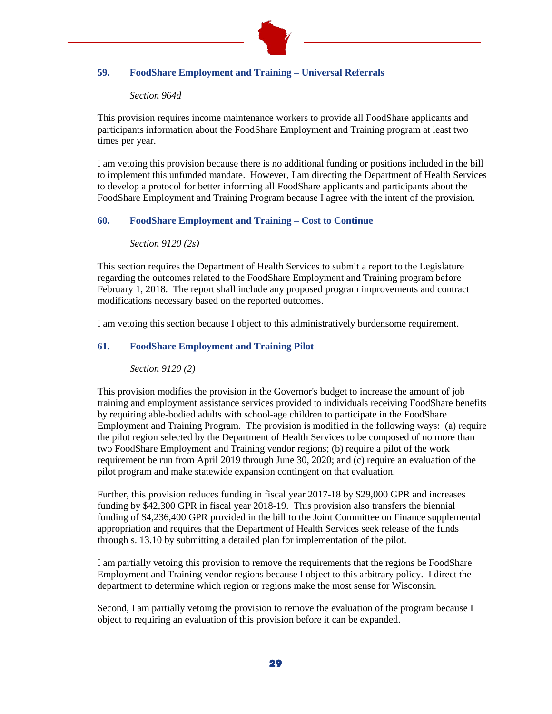

# **59. FoodShare Employment and Training – Universal Referrals**

## *Section 964d*

This provision requires income maintenance workers to provide all FoodShare applicants and participants information about the FoodShare Employment and Training program at least two times per year.

I am vetoing this provision because there is no additional funding or positions included in the bill to implement this unfunded mandate. However, I am directing the Department of Health Services to develop a protocol for better informing all FoodShare applicants and participants about the FoodShare Employment and Training Program because I agree with the intent of the provision.

# **60. FoodShare Employment and Training – Cost to Continue**

#### *Section 9120 (2s)*

This section requires the Department of Health Services to submit a report to the Legislature regarding the outcomes related to the FoodShare Employment and Training program before February 1, 2018. The report shall include any proposed program improvements and contract modifications necessary based on the reported outcomes.

I am vetoing this section because I object to this administratively burdensome requirement.

## **61. FoodShare Employment and Training Pilot**

*Section 9120 (2)*

This provision modifies the provision in the Governor's budget to increase the amount of job training and employment assistance services provided to individuals receiving FoodShare benefits by requiring able-bodied adults with school-age children to participate in the FoodShare Employment and Training Program. The provision is modified in the following ways: (a) require the pilot region selected by the Department of Health Services to be composed of no more than two FoodShare Employment and Training vendor regions; (b) require a pilot of the work requirement be run from April 2019 through June 30, 2020; and (c) require an evaluation of the pilot program and make statewide expansion contingent on that evaluation.

Further, this provision reduces funding in fiscal year 2017-18 by \$29,000 GPR and increases funding by \$42,300 GPR in fiscal year 2018-19. This provision also transfers the biennial funding of \$4,236,400 GPR provided in the bill to the Joint Committee on Finance supplemental appropriation and requires that the Department of Health Services seek release of the funds through s. 13.10 by submitting a detailed plan for implementation of the pilot.

I am partially vetoing this provision to remove the requirements that the regions be FoodShare Employment and Training vendor regions because I object to this arbitrary policy. I direct the department to determine which region or regions make the most sense for Wisconsin.

Second, I am partially vetoing the provision to remove the evaluation of the program because I object to requiring an evaluation of this provision before it can be expanded.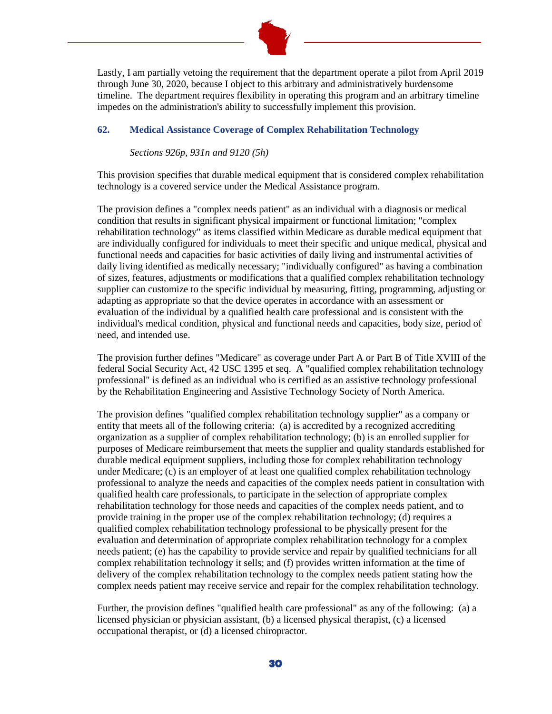

Lastly, I am partially vetoing the requirement that the department operate a pilot from April 2019 through June 30, 2020, because I object to this arbitrary and administratively burdensome timeline. The department requires flexibility in operating this program and an arbitrary timeline impedes on the administration's ability to successfully implement this provision.

## **62. Medical Assistance Coverage of Complex Rehabilitation Technology**

*Sections 926p, 931n and 9120 (5h)*

This provision specifies that durable medical equipment that is considered complex rehabilitation technology is a covered service under the Medical Assistance program.

The provision defines a "complex needs patient" as an individual with a diagnosis or medical condition that results in significant physical impairment or functional limitation; "complex rehabilitation technology" as items classified within Medicare as durable medical equipment that are individually configured for individuals to meet their specific and unique medical, physical and functional needs and capacities for basic activities of daily living and instrumental activities of daily living identified as medically necessary; "individually configured" as having a combination of sizes, features, adjustments or modifications that a qualified complex rehabilitation technology supplier can customize to the specific individual by measuring, fitting, programming, adjusting or adapting as appropriate so that the device operates in accordance with an assessment or evaluation of the individual by a qualified health care professional and is consistent with the individual's medical condition, physical and functional needs and capacities, body size, period of need, and intended use.

The provision further defines "Medicare" as coverage under Part A or Part B of Title XVIII of the federal Social Security Act, 42 USC 1395 et seq. A "qualified complex rehabilitation technology professional" is defined as an individual who is certified as an assistive technology professional by the Rehabilitation Engineering and Assistive Technology Society of North America.

The provision defines "qualified complex rehabilitation technology supplier" as a company or entity that meets all of the following criteria: (a) is accredited by a recognized accrediting organization as a supplier of complex rehabilitation technology; (b) is an enrolled supplier for purposes of Medicare reimbursement that meets the supplier and quality standards established for durable medical equipment suppliers, including those for complex rehabilitation technology under Medicare; (c) is an employer of at least one qualified complex rehabilitation technology professional to analyze the needs and capacities of the complex needs patient in consultation with qualified health care professionals, to participate in the selection of appropriate complex rehabilitation technology for those needs and capacities of the complex needs patient, and to provide training in the proper use of the complex rehabilitation technology; (d) requires a qualified complex rehabilitation technology professional to be physically present for the evaluation and determination of appropriate complex rehabilitation technology for a complex needs patient; (e) has the capability to provide service and repair by qualified technicians for all complex rehabilitation technology it sells; and (f) provides written information at the time of delivery of the complex rehabilitation technology to the complex needs patient stating how the complex needs patient may receive service and repair for the complex rehabilitation technology.

Further, the provision defines "qualified health care professional" as any of the following: (a) a licensed physician or physician assistant, (b) a licensed physical therapist, (c) a licensed occupational therapist, or (d) a licensed chiropractor.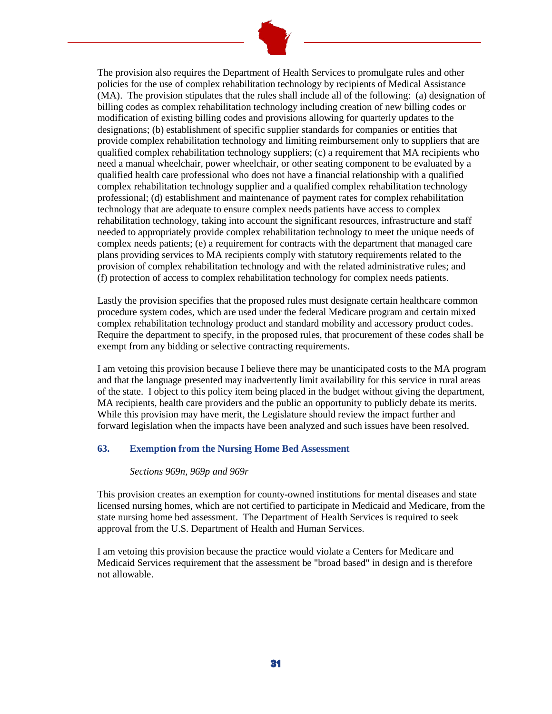

The provision also requires the Department of Health Services to promulgate rules and other policies for the use of complex rehabilitation technology by recipients of Medical Assistance (MA). The provision stipulates that the rules shall include all of the following: (a) designation of billing codes as complex rehabilitation technology including creation of new billing codes or modification of existing billing codes and provisions allowing for quarterly updates to the designations; (b) establishment of specific supplier standards for companies or entities that provide complex rehabilitation technology and limiting reimbursement only to suppliers that are qualified complex rehabilitation technology suppliers; (c) a requirement that MA recipients who need a manual wheelchair, power wheelchair, or other seating component to be evaluated by a qualified health care professional who does not have a financial relationship with a qualified complex rehabilitation technology supplier and a qualified complex rehabilitation technology professional; (d) establishment and maintenance of payment rates for complex rehabilitation technology that are adequate to ensure complex needs patients have access to complex rehabilitation technology, taking into account the significant resources, infrastructure and staff needed to appropriately provide complex rehabilitation technology to meet the unique needs of complex needs patients; (e) a requirement for contracts with the department that managed care plans providing services to MA recipients comply with statutory requirements related to the provision of complex rehabilitation technology and with the related administrative rules; and (f) protection of access to complex rehabilitation technology for complex needs patients.

Lastly the provision specifies that the proposed rules must designate certain healthcare common procedure system codes, which are used under the federal Medicare program and certain mixed complex rehabilitation technology product and standard mobility and accessory product codes. Require the department to specify, in the proposed rules, that procurement of these codes shall be exempt from any bidding or selective contracting requirements.

I am vetoing this provision because I believe there may be unanticipated costs to the MA program and that the language presented may inadvertently limit availability for this service in rural areas of the state. I object to this policy item being placed in the budget without giving the department, MA recipients, health care providers and the public an opportunity to publicly debate its merits. While this provision may have merit, the Legislature should review the impact further and forward legislation when the impacts have been analyzed and such issues have been resolved.

## **63. Exemption from the Nursing Home Bed Assessment**

#### *Sections 969n, 969p and 969r*

This provision creates an exemption for county-owned institutions for mental diseases and state licensed nursing homes, which are not certified to participate in Medicaid and Medicare, from the state nursing home bed assessment. The Department of Health Services is required to seek approval from the U.S. Department of Health and Human Services.

I am vetoing this provision because the practice would violate a Centers for Medicare and Medicaid Services requirement that the assessment be "broad based" in design and is therefore not allowable.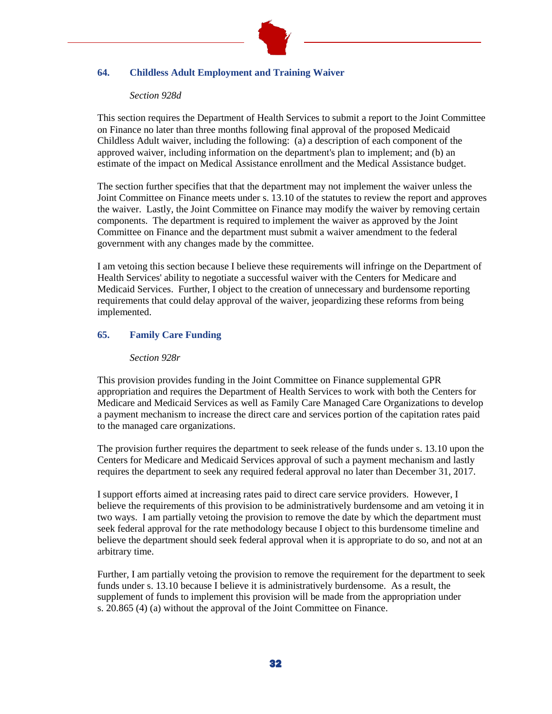

# **64. Childless Adult Employment and Training Waiver**

#### *Section 928d*

This section requires the Department of Health Services to submit a report to the Joint Committee on Finance no later than three months following final approval of the proposed Medicaid Childless Adult waiver, including the following: (a) a description of each component of the approved waiver, including information on the department's plan to implement; and (b) an estimate of the impact on Medical Assistance enrollment and the Medical Assistance budget.

The section further specifies that that the department may not implement the waiver unless the Joint Committee on Finance meets under s. 13.10 of the statutes to review the report and approves the waiver. Lastly, the Joint Committee on Finance may modify the waiver by removing certain components. The department is required to implement the waiver as approved by the Joint Committee on Finance and the department must submit a waiver amendment to the federal government with any changes made by the committee.

I am vetoing this section because I believe these requirements will infringe on the Department of Health Services' ability to negotiate a successful waiver with the Centers for Medicare and Medicaid Services. Further, I object to the creation of unnecessary and burdensome reporting requirements that could delay approval of the waiver, jeopardizing these reforms from being implemented.

# **65. Family Care Funding**

#### *Section 928r*

This provision provides funding in the Joint Committee on Finance supplemental GPR appropriation and requires the Department of Health Services to work with both the Centers for Medicare and Medicaid Services as well as Family Care Managed Care Organizations to develop a payment mechanism to increase the direct care and services portion of the capitation rates paid to the managed care organizations.

The provision further requires the department to seek release of the funds under s. 13.10 upon the Centers for Medicare and Medicaid Services approval of such a payment mechanism and lastly requires the department to seek any required federal approval no later than December 31, 2017.

I support efforts aimed at increasing rates paid to direct care service providers. However, I believe the requirements of this provision to be administratively burdensome and am vetoing it in two ways. I am partially vetoing the provision to remove the date by which the department must seek federal approval for the rate methodology because I object to this burdensome timeline and believe the department should seek federal approval when it is appropriate to do so, and not at an arbitrary time.

Further, I am partially vetoing the provision to remove the requirement for the department to seek funds under s. 13.10 because I believe it is administratively burdensome. As a result, the supplement of funds to implement this provision will be made from the appropriation under s. 20.865 (4) (a) without the approval of the Joint Committee on Finance.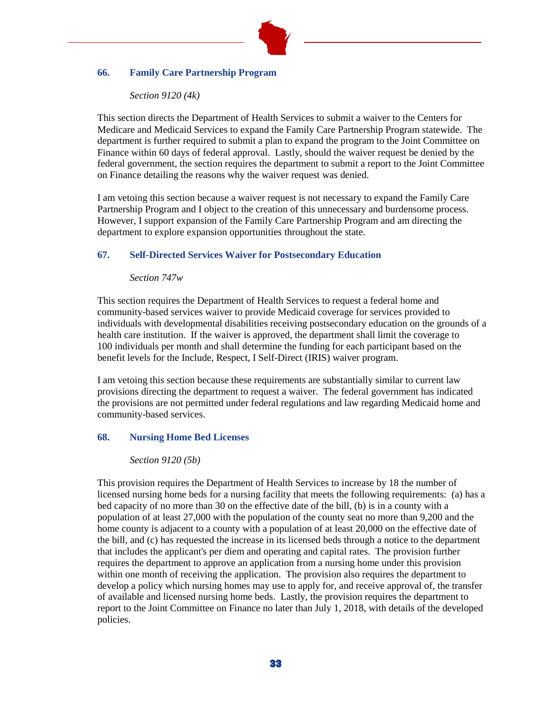

## **66. Family Care Partnership Program**

#### *Section 9120 (4k)*

This section directs the Department of Health Services to submit a waiver to the Centers for Medicare and Medicaid Services to expand the Family Care Partnership Program statewide. The department is further required to submit a plan to expand the program to the Joint Committee on Finance within 60 days of federal approval. Lastly, should the waiver request be denied by the federal government, the section requires the department to submit a report to the Joint Committee on Finance detailing the reasons why the waiver request was denied.

I am vetoing this section because a waiver request is not necessary to expand the Family Care Partnership Program and I object to the creation of this unnecessary and burdensome process. However, I support expansion of the Family Care Partnership Program and am directing the department to explore expansion opportunities throughout the state.

## **67. Self-Directed Services Waiver for Postsecondary Education**

## *Section 747w*

This section requires the Department of Health Services to request a federal home and community-based services waiver to provide Medicaid coverage for services provided to individuals with developmental disabilities receiving postsecondary education on the grounds of a health care institution. If the waiver is approved, the department shall limit the coverage to 100 individuals per month and shall determine the funding for each participant based on the benefit levels for the Include, Respect, I Self-Direct (IRIS) waiver program.

I am vetoing this section because these requirements are substantially similar to current law provisions directing the department to request a waiver. The federal government has indicated the provisions are not permitted under federal regulations and law regarding Medicaid home and community-based services.

#### **68. Nursing Home Bed Licenses**

#### *Section 9120 (5b)*

This provision requires the Department of Health Services to increase by 18 the number of licensed nursing home beds for a nursing facility that meets the following requirements: (a) has a bed capacity of no more than 30 on the effective date of the bill, (b) is in a county with a population of at least 27,000 with the population of the county seat no more than 9,200 and the home county is adjacent to a county with a population of at least 20,000 on the effective date of the bill, and (c) has requested the increase in its licensed beds through a notice to the department that includes the applicant's per diem and operating and capital rates. The provision further requires the department to approve an application from a nursing home under this provision within one month of receiving the application. The provision also requires the department to develop a policy which nursing homes may use to apply for, and receive approval of, the transfer of available and licensed nursing home beds. Lastly, the provision requires the department to report to the Joint Committee on Finance no later than July 1, 2018, with details of the developed policies.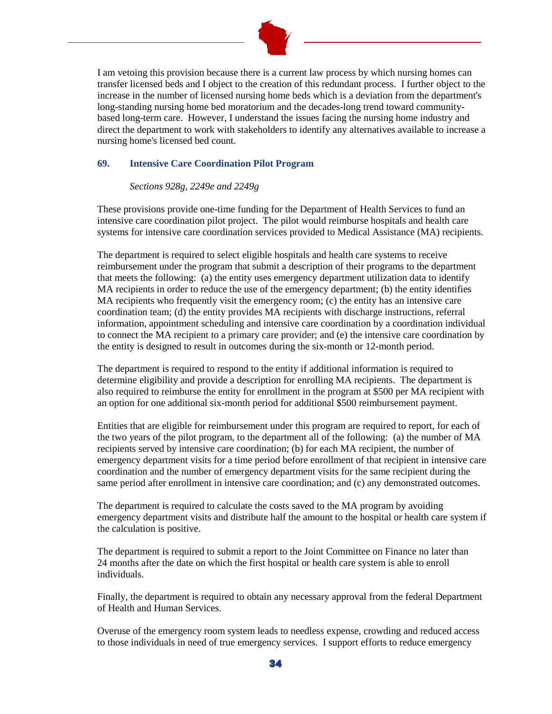

I am vetoing this provision because there is a current law process by which nursing homes can transfer licensed beds and I object to the creation of this redundant process. I further object to the increase in the number of licensed nursing home beds which is a deviation from the department's long-standing nursing home bed moratorium and the decades-long trend toward communitybased long-term care. However, I understand the issues facing the nursing home industry and direct the department to work with stakeholders to identify any alternatives available to increase a nursing home's licensed bed count.

## **69. Intensive Care Coordination Pilot Program**

## *Sections 928g, 2249e and 2249g*

These provisions provide one-time funding for the Department of Health Services to fund an intensive care coordination pilot project. The pilot would reimburse hospitals and health care systems for intensive care coordination services provided to Medical Assistance (MA) recipients.

The department is required to select eligible hospitals and health care systems to receive reimbursement under the program that submit a description of their programs to the department that meets the following: (a) the entity uses emergency department utilization data to identify MA recipients in order to reduce the use of the emergency department; (b) the entity identifies MA recipients who frequently visit the emergency room; (c) the entity has an intensive care coordination team; (d) the entity provides MA recipients with discharge instructions, referral information, appointment scheduling and intensive care coordination by a coordination individual to connect the MA recipient to a primary care provider; and (e) the intensive care coordination by the entity is designed to result in outcomes during the six-month or 12-month period.

The department is required to respond to the entity if additional information is required to determine eligibility and provide a description for enrolling MA recipients. The department is also required to reimburse the entity for enrollment in the program at \$500 per MA recipient with an option for one additional six-month period for additional \$500 reimbursement payment.

Entities that are eligible for reimbursement under this program are required to report, for each of the two years of the pilot program, to the department all of the following: (a) the number of MA recipients served by intensive care coordination; (b) for each MA recipient, the number of emergency department visits for a time period before enrollment of that recipient in intensive care coordination and the number of emergency department visits for the same recipient during the same period after enrollment in intensive care coordination; and (c) any demonstrated outcomes.

The department is required to calculate the costs saved to the MA program by avoiding emergency department visits and distribute half the amount to the hospital or health care system if the calculation is positive.

The department is required to submit a report to the Joint Committee on Finance no later than 24 months after the date on which the first hospital or health care system is able to enroll individuals.

Finally, the department is required to obtain any necessary approval from the federal Department of Health and Human Services.

Overuse of the emergency room system leads to needless expense, crowding and reduced access to those individuals in need of true emergency services. I support efforts to reduce emergency

34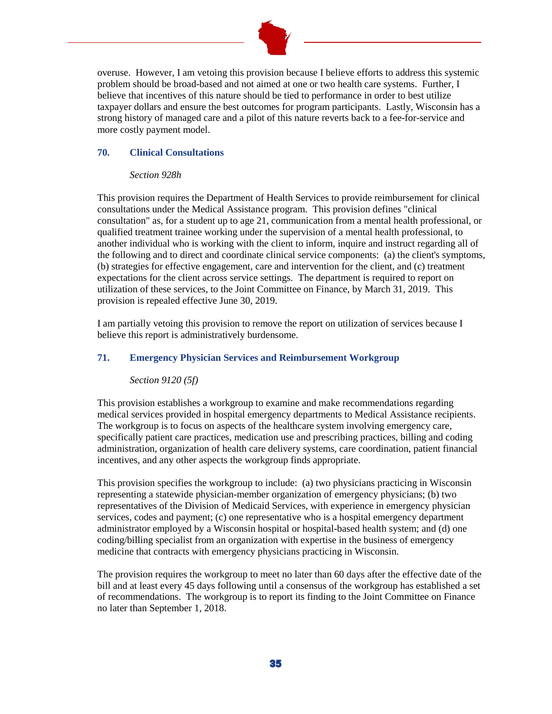

overuse. However, I am vetoing this provision because I believe efforts to address this systemic problem should be broad-based and not aimed at one or two health care systems. Further, I believe that incentives of this nature should be tied to performance in order to best utilize taxpayer dollars and ensure the best outcomes for program participants. Lastly, Wisconsin has a strong history of managed care and a pilot of this nature reverts back to a fee-for-service and more costly payment model.

#### **70. Clinical Consultations**

#### *Section 928h*

This provision requires the Department of Health Services to provide reimbursement for clinical consultations under the Medical Assistance program. This provision defines "clinical consultation" as, for a student up to age 21, communication from a mental health professional, or qualified treatment trainee working under the supervision of a mental health professional, to another individual who is working with the client to inform, inquire and instruct regarding all of the following and to direct and coordinate clinical service components: (a) the client's symptoms, (b) strategies for effective engagement, care and intervention for the client, and (c) treatment expectations for the client across service settings. The department is required to report on utilization of these services, to the Joint Committee on Finance, by March 31, 2019. This provision is repealed effective June 30, 2019.

I am partially vetoing this provision to remove the report on utilization of services because I believe this report is administratively burdensome.

## **71. Emergency Physician Services and Reimbursement Workgroup**

*Section 9120 (5f)*

This provision establishes a workgroup to examine and make recommendations regarding medical services provided in hospital emergency departments to Medical Assistance recipients. The workgroup is to focus on aspects of the healthcare system involving emergency care, specifically patient care practices, medication use and prescribing practices, billing and coding administration, organization of health care delivery systems, care coordination, patient financial incentives, and any other aspects the workgroup finds appropriate.

This provision specifies the workgroup to include: (a) two physicians practicing in Wisconsin representing a statewide physician-member organization of emergency physicians; (b) two representatives of the Division of Medicaid Services, with experience in emergency physician services, codes and payment; (c) one representative who is a hospital emergency department administrator employed by a Wisconsin hospital or hospital-based health system; and (d) one coding/billing specialist from an organization with expertise in the business of emergency medicine that contracts with emergency physicians practicing in Wisconsin.

The provision requires the workgroup to meet no later than 60 days after the effective date of the bill and at least every 45 days following until a consensus of the workgroup has established a set of recommendations. The workgroup is to report its finding to the Joint Committee on Finance no later than September 1, 2018.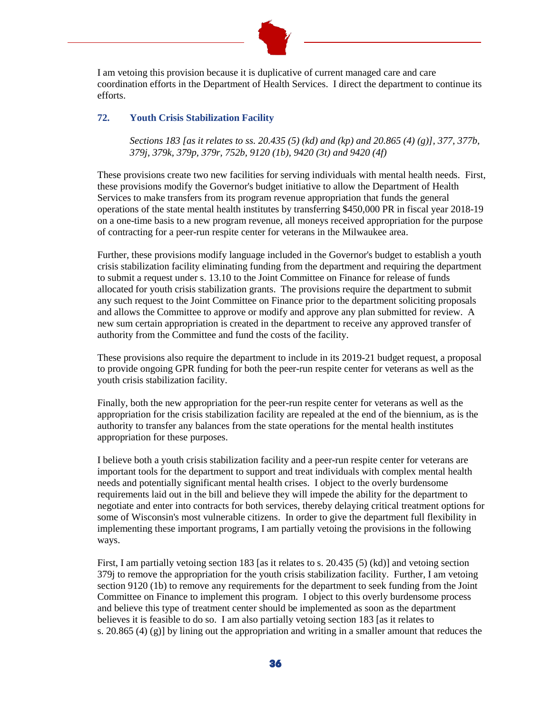

I am vetoing this provision because it is duplicative of current managed care and care coordination efforts in the Department of Health Services. I direct the department to continue its efforts.

## **72. Youth Crisis Stabilization Facility**

*Sections 183 [as it relates to ss. 20.435 (5) (kd) and (kp) and 20.865 (4) (g)], 377, 377b, 379j, 379k, 379p, 379r, 752b, 9120 (1b), 9420 (3t) and 9420 (4f)*

These provisions create two new facilities for serving individuals with mental health needs. First, these provisions modify the Governor's budget initiative to allow the Department of Health Services to make transfers from its program revenue appropriation that funds the general operations of the state mental health institutes by transferring \$450,000 PR in fiscal year 2018-19 on a one-time basis to a new program revenue, all moneys received appropriation for the purpose of contracting for a peer-run respite center for veterans in the Milwaukee area.

Further, these provisions modify language included in the Governor's budget to establish a youth crisis stabilization facility eliminating funding from the department and requiring the department to submit a request under s. 13.10 to the Joint Committee on Finance for release of funds allocated for youth crisis stabilization grants. The provisions require the department to submit any such request to the Joint Committee on Finance prior to the department soliciting proposals and allows the Committee to approve or modify and approve any plan submitted for review. A new sum certain appropriation is created in the department to receive any approved transfer of authority from the Committee and fund the costs of the facility.

These provisions also require the department to include in its 2019-21 budget request, a proposal to provide ongoing GPR funding for both the peer-run respite center for veterans as well as the youth crisis stabilization facility.

Finally, both the new appropriation for the peer-run respite center for veterans as well as the appropriation for the crisis stabilization facility are repealed at the end of the biennium, as is the authority to transfer any balances from the state operations for the mental health institutes appropriation for these purposes.

I believe both a youth crisis stabilization facility and a peer-run respite center for veterans are important tools for the department to support and treat individuals with complex mental health needs and potentially significant mental health crises. I object to the overly burdensome requirements laid out in the bill and believe they will impede the ability for the department to negotiate and enter into contracts for both services, thereby delaying critical treatment options for some of Wisconsin's most vulnerable citizens. In order to give the department full flexibility in implementing these important programs, I am partially vetoing the provisions in the following ways.

First, I am partially vetoing section 183 [as it relates to s. 20.435 (5) (kd)] and vetoing section 379j to remove the appropriation for the youth crisis stabilization facility. Further, I am vetoing section 9120 (1b) to remove any requirements for the department to seek funding from the Joint Committee on Finance to implement this program. I object to this overly burdensome process and believe this type of treatment center should be implemented as soon as the department believes it is feasible to do so. I am also partially vetoing section 183 [as it relates to s. 20.865 (4) (g)] by lining out the appropriation and writing in a smaller amount that reduces the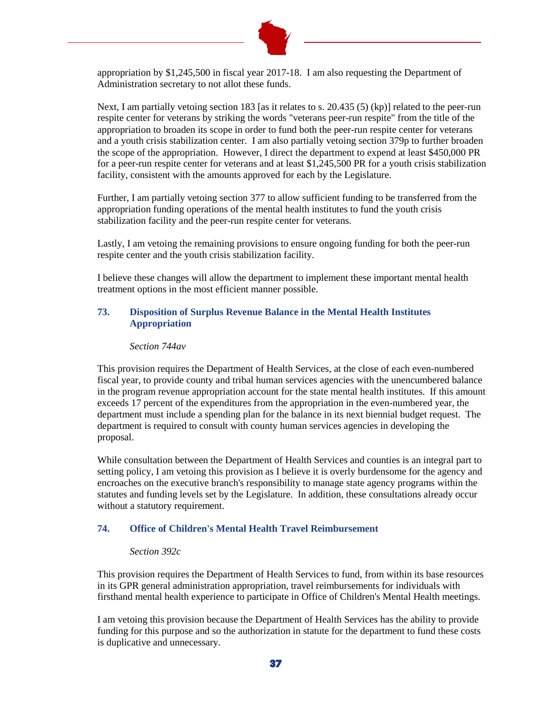

appropriation by \$1,245,500 in fiscal year 2017-18. I am also requesting the Department of Administration secretary to not allot these funds.

Next, I am partially vetoing section 183 [as it relates to s. 20.435 (5) (kp)] related to the peer-run respite center for veterans by striking the words "veterans peer-run respite" from the title of the appropriation to broaden its scope in order to fund both the peer-run respite center for veterans and a youth crisis stabilization center. I am also partially vetoing section 379p to further broaden the scope of the appropriation. However, I direct the department to expend at least \$450,000 PR for a peer-run respite center for veterans and at least \$1,245,500 PR for a youth crisis stabilization facility, consistent with the amounts approved for each by the Legislature.

Further, I am partially vetoing section 377 to allow sufficient funding to be transferred from the appropriation funding operations of the mental health institutes to fund the youth crisis stabilization facility and the peer-run respite center for veterans.

Lastly, I am vetoing the remaining provisions to ensure ongoing funding for both the peer-run respite center and the youth crisis stabilization facility.

I believe these changes will allow the department to implement these important mental health treatment options in the most efficient manner possible.

## **73. Disposition of Surplus Revenue Balance in the Mental Health Institutes Appropriation**

#### *Section 744av*

This provision requires the Department of Health Services, at the close of each even-numbered fiscal year, to provide county and tribal human services agencies with the unencumbered balance in the program revenue appropriation account for the state mental health institutes. If this amount exceeds 17 percent of the expenditures from the appropriation in the even-numbered year, the department must include a spending plan for the balance in its next biennial budget request. The department is required to consult with county human services agencies in developing the proposal.

While consultation between the Department of Health Services and counties is an integral part to setting policy, I am vetoing this provision as I believe it is overly burdensome for the agency and encroaches on the executive branch's responsibility to manage state agency programs within the statutes and funding levels set by the Legislature. In addition, these consultations already occur without a statutory requirement.

#### **74. Office of Children's Mental Health Travel Reimbursement**

#### *Section 392c*

This provision requires the Department of Health Services to fund, from within its base resources in its GPR general administration appropriation, travel reimbursements for individuals with firsthand mental health experience to participate in Office of Children's Mental Health meetings.

I am vetoing this provision because the Department of Health Services has the ability to provide funding for this purpose and so the authorization in statute for the department to fund these costs is duplicative and unnecessary.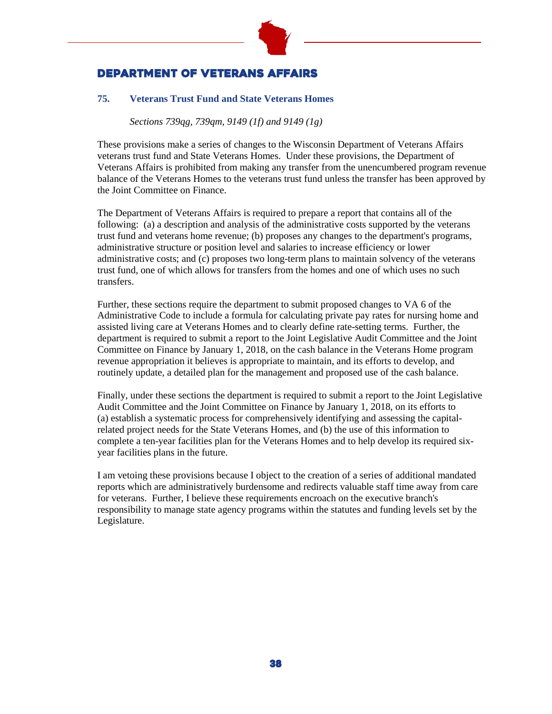

# Department of Veterans Affairs

# **75. Veterans Trust Fund and State Veterans Homes**

*Sections 739qg, 739qm, 9149 (1f) and 9149 (1g)*

These provisions make a series of changes to the Wisconsin Department of Veterans Affairs veterans trust fund and State Veterans Homes. Under these provisions, the Department of Veterans Affairs is prohibited from making any transfer from the unencumbered program revenue balance of the Veterans Homes to the veterans trust fund unless the transfer has been approved by the Joint Committee on Finance.

The Department of Veterans Affairs is required to prepare a report that contains all of the following: (a) a description and analysis of the administrative costs supported by the veterans trust fund and veterans home revenue; (b) proposes any changes to the department's programs, administrative structure or position level and salaries to increase efficiency or lower administrative costs; and (c) proposes two long-term plans to maintain solvency of the veterans trust fund, one of which allows for transfers from the homes and one of which uses no such transfers.

Further, these sections require the department to submit proposed changes to VA 6 of the Administrative Code to include a formula for calculating private pay rates for nursing home and assisted living care at Veterans Homes and to clearly define rate-setting terms. Further, the department is required to submit a report to the Joint Legislative Audit Committee and the Joint Committee on Finance by January 1, 2018, on the cash balance in the Veterans Home program revenue appropriation it believes is appropriate to maintain, and its efforts to develop, and routinely update, a detailed plan for the management and proposed use of the cash balance.

Finally, under these sections the department is required to submit a report to the Joint Legislative Audit Committee and the Joint Committee on Finance by January 1, 2018, on its efforts to (a) establish a systematic process for comprehensively identifying and assessing the capitalrelated project needs for the State Veterans Homes, and (b) the use of this information to complete a ten-year facilities plan for the Veterans Homes and to help develop its required sixyear facilities plans in the future.

I am vetoing these provisions because I object to the creation of a series of additional mandated reports which are administratively burdensome and redirects valuable staff time away from care for veterans. Further, I believe these requirements encroach on the executive branch's responsibility to manage state agency programs within the statutes and funding levels set by the Legislature.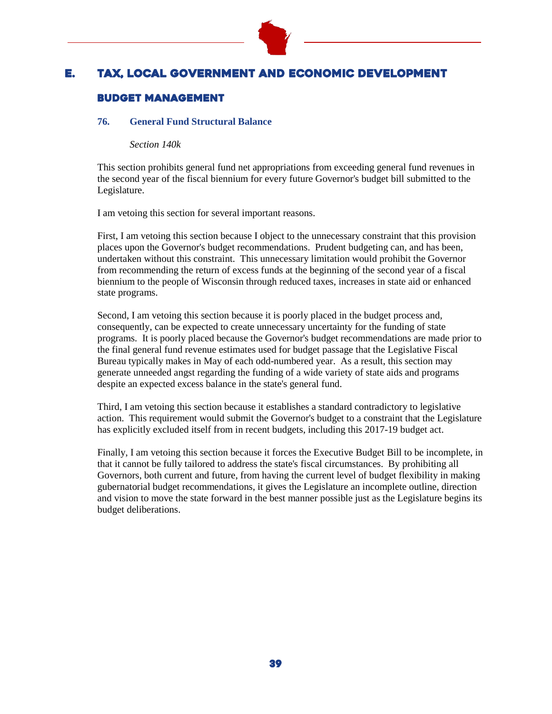

# E. Tax, Local Government and Economic Development

# Budget management

## **76. General Fund Structural Balance**

*Section 140k*

This section prohibits general fund net appropriations from exceeding general fund revenues in the second year of the fiscal biennium for every future Governor's budget bill submitted to the Legislature.

I am vetoing this section for several important reasons.

First, I am vetoing this section because I object to the unnecessary constraint that this provision places upon the Governor's budget recommendations. Prudent budgeting can, and has been, undertaken without this constraint. This unnecessary limitation would prohibit the Governor from recommending the return of excess funds at the beginning of the second year of a fiscal biennium to the people of Wisconsin through reduced taxes, increases in state aid or enhanced state programs.

Second, I am vetoing this section because it is poorly placed in the budget process and, consequently, can be expected to create unnecessary uncertainty for the funding of state programs. It is poorly placed because the Governor's budget recommendations are made prior to the final general fund revenue estimates used for budget passage that the Legislative Fiscal Bureau typically makes in May of each odd-numbered year. As a result, this section may generate unneeded angst regarding the funding of a wide variety of state aids and programs despite an expected excess balance in the state's general fund.

Third, I am vetoing this section because it establishes a standard contradictory to legislative action. This requirement would submit the Governor's budget to a constraint that the Legislature has explicitly excluded itself from in recent budgets, including this 2017-19 budget act.

Finally, I am vetoing this section because it forces the Executive Budget Bill to be incomplete, in that it cannot be fully tailored to address the state's fiscal circumstances. By prohibiting all Governors, both current and future, from having the current level of budget flexibility in making gubernatorial budget recommendations, it gives the Legislature an incomplete outline, direction and vision to move the state forward in the best manner possible just as the Legislature begins its budget deliberations.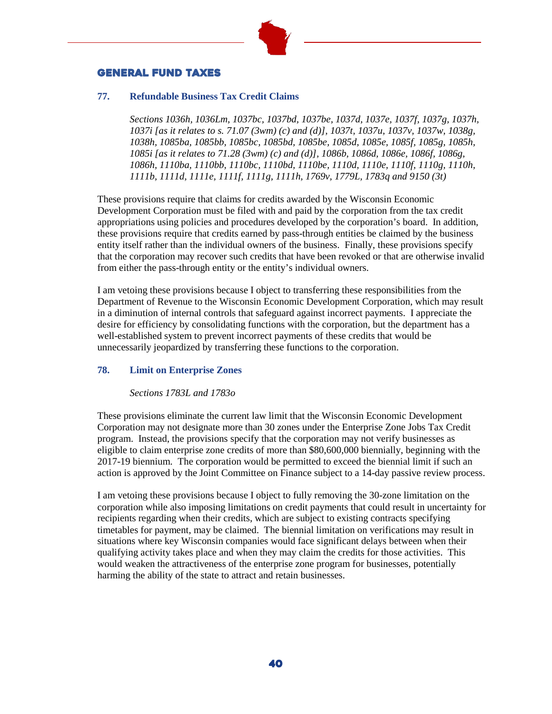

# General Fund Taxes

#### **77. Refundable Business Tax Credit Claims**

*Sections 1036h, 1036Lm, 1037bc, 1037bd, 1037be, 1037d, 1037e, 1037f, 1037g, 1037h, 1037i [as it relates to s. 71.07 (3wm) (c) and (d)], 1037t, 1037u, 1037v, 1037w, 1038g, 1038h, 1085ba, 1085bb, 1085bc, 1085bd, 1085be, 1085d, 1085e, 1085f, 1085g, 1085h, 1085i [as it relates to 71.28 (3wm) (c) and (d)], 1086b, 1086d, 1086e, 1086f, 1086g, 1086h, 1110ba, 1110bb, 1110bc, 1110bd, 1110be, 1110d, 1110e, 1110f, 1110g, 1110h, 1111b, 1111d, 1111e, 1111f, 1111g, 1111h, 1769v, 1779L, 1783q and 9150 (3t)*

These provisions require that claims for credits awarded by the Wisconsin Economic Development Corporation must be filed with and paid by the corporation from the tax credit appropriations using policies and procedures developed by the corporation's board. In addition, these provisions require that credits earned by pass-through entities be claimed by the business entity itself rather than the individual owners of the business. Finally, these provisions specify that the corporation may recover such credits that have been revoked or that are otherwise invalid from either the pass-through entity or the entity's individual owners.

I am vetoing these provisions because I object to transferring these responsibilities from the Department of Revenue to the Wisconsin Economic Development Corporation, which may result in a diminution of internal controls that safeguard against incorrect payments. I appreciate the desire for efficiency by consolidating functions with the corporation, but the department has a well-established system to prevent incorrect payments of these credits that would be unnecessarily jeopardized by transferring these functions to the corporation.

## **78. Limit on Enterprise Zones**

*Sections 1783L and 1783o*

These provisions eliminate the current law limit that the Wisconsin Economic Development Corporation may not designate more than 30 zones under the Enterprise Zone Jobs Tax Credit program. Instead, the provisions specify that the corporation may not verify businesses as eligible to claim enterprise zone credits of more than \$80,600,000 biennially, beginning with the 2017-19 biennium. The corporation would be permitted to exceed the biennial limit if such an action is approved by the Joint Committee on Finance subject to a 14-day passive review process.

I am vetoing these provisions because I object to fully removing the 30-zone limitation on the corporation while also imposing limitations on credit payments that could result in uncertainty for recipients regarding when their credits, which are subject to existing contracts specifying timetables for payment, may be claimed. The biennial limitation on verifications may result in situations where key Wisconsin companies would face significant delays between when their qualifying activity takes place and when they may claim the credits for those activities. This would weaken the attractiveness of the enterprise zone program for businesses, potentially harming the ability of the state to attract and retain businesses.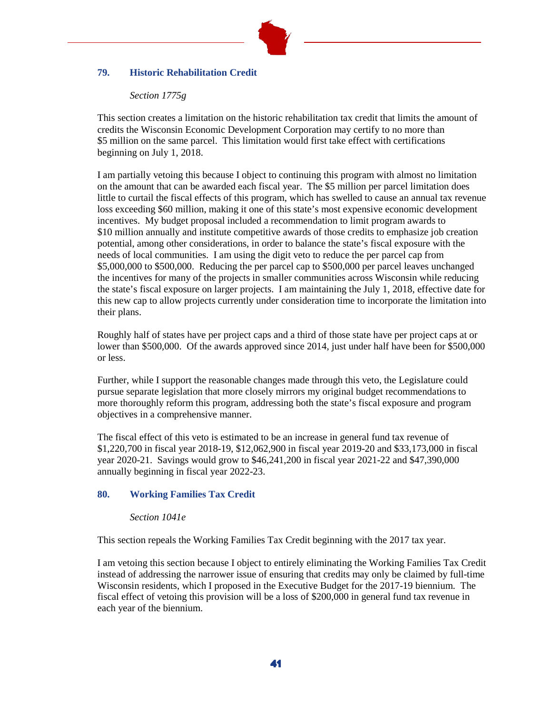

# **79. Historic Rehabilitation Credit**

#### *Section 1775g*

This section creates a limitation on the historic rehabilitation tax credit that limits the amount of credits the Wisconsin Economic Development Corporation may certify to no more than \$5 million on the same parcel. This limitation would first take effect with certifications beginning on July 1, 2018.

I am partially vetoing this because I object to continuing this program with almost no limitation on the amount that can be awarded each fiscal year. The \$5 million per parcel limitation does little to curtail the fiscal effects of this program, which has swelled to cause an annual tax revenue loss exceeding \$60 million, making it one of this state's most expensive economic development incentives. My budget proposal included a recommendation to limit program awards to \$10 million annually and institute competitive awards of those credits to emphasize job creation potential, among other considerations, in order to balance the state's fiscal exposure with the needs of local communities. I am using the digit veto to reduce the per parcel cap from \$5,000,000 to \$500,000. Reducing the per parcel cap to \$500,000 per parcel leaves unchanged the incentives for many of the projects in smaller communities across Wisconsin while reducing the state's fiscal exposure on larger projects. I am maintaining the July 1, 2018, effective date for this new cap to allow projects currently under consideration time to incorporate the limitation into their plans.

Roughly half of states have per project caps and a third of those state have per project caps at or lower than \$500,000. Of the awards approved since 2014, just under half have been for \$500,000 or less.

Further, while I support the reasonable changes made through this veto, the Legislature could pursue separate legislation that more closely mirrors my original budget recommendations to more thoroughly reform this program, addressing both the state's fiscal exposure and program objectives in a comprehensive manner.

The fiscal effect of this veto is estimated to be an increase in general fund tax revenue of \$1,220,700 in fiscal year 2018-19, \$12,062,900 in fiscal year 2019-20 and \$33,173,000 in fiscal year 2020-21. Savings would grow to \$46,241,200 in fiscal year 2021-22 and \$47,390,000 annually beginning in fiscal year 2022-23.

## **80. Working Families Tax Credit**

#### *Section 1041e*

This section repeals the Working Families Tax Credit beginning with the 2017 tax year.

I am vetoing this section because I object to entirely eliminating the Working Families Tax Credit instead of addressing the narrower issue of ensuring that credits may only be claimed by full-time Wisconsin residents, which I proposed in the Executive Budget for the 2017-19 biennium. The fiscal effect of vetoing this provision will be a loss of \$200,000 in general fund tax revenue in each year of the biennium.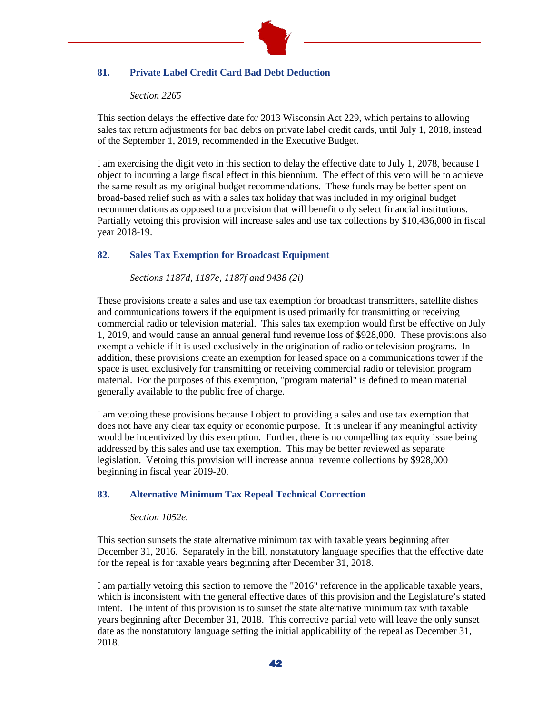

# **81. Private Label Credit Card Bad Debt Deduction**

## *Section 2265*

This section delays the effective date for 2013 Wisconsin Act 229, which pertains to allowing sales tax return adjustments for bad debts on private label credit cards, until July 1, 2018, instead of the September 1, 2019, recommended in the Executive Budget.

I am exercising the digit veto in this section to delay the effective date to July 1, 2078, because I object to incurring a large fiscal effect in this biennium. The effect of this veto will be to achieve the same result as my original budget recommendations. These funds may be better spent on broad-based relief such as with a sales tax holiday that was included in my original budget recommendations as opposed to a provision that will benefit only select financial institutions. Partially vetoing this provision will increase sales and use tax collections by \$10,436,000 in fiscal year 2018-19.

# **82. Sales Tax Exemption for Broadcast Equipment**

*Sections 1187d, 1187e, 1187f and 9438 (2i)*

These provisions create a sales and use tax exemption for broadcast transmitters, satellite dishes and communications towers if the equipment is used primarily for transmitting or receiving commercial radio or television material. This sales tax exemption would first be effective on July 1, 2019, and would cause an annual general fund revenue loss of \$928,000. These provisions also exempt a vehicle if it is used exclusively in the origination of radio or television programs. In addition, these provisions create an exemption for leased space on a communications tower if the space is used exclusively for transmitting or receiving commercial radio or television program material. For the purposes of this exemption, "program material" is defined to mean material generally available to the public free of charge.

I am vetoing these provisions because I object to providing a sales and use tax exemption that does not have any clear tax equity or economic purpose. It is unclear if any meaningful activity would be incentivized by this exemption. Further, there is no compelling tax equity issue being addressed by this sales and use tax exemption. This may be better reviewed as separate legislation. Vetoing this provision will increase annual revenue collections by \$928,000 beginning in fiscal year 2019-20.

## **83. Alternative Minimum Tax Repeal Technical Correction**

## *Section 1052e.*

This section sunsets the state alternative minimum tax with taxable years beginning after December 31, 2016. Separately in the bill, nonstatutory language specifies that the effective date for the repeal is for taxable years beginning after December 31, 2018.

I am partially vetoing this section to remove the "2016" reference in the applicable taxable years, which is inconsistent with the general effective dates of this provision and the Legislature's stated intent. The intent of this provision is to sunset the state alternative minimum tax with taxable years beginning after December 31, 2018. This corrective partial veto will leave the only sunset date as the nonstatutory language setting the initial applicability of the repeal as December 31, 2018.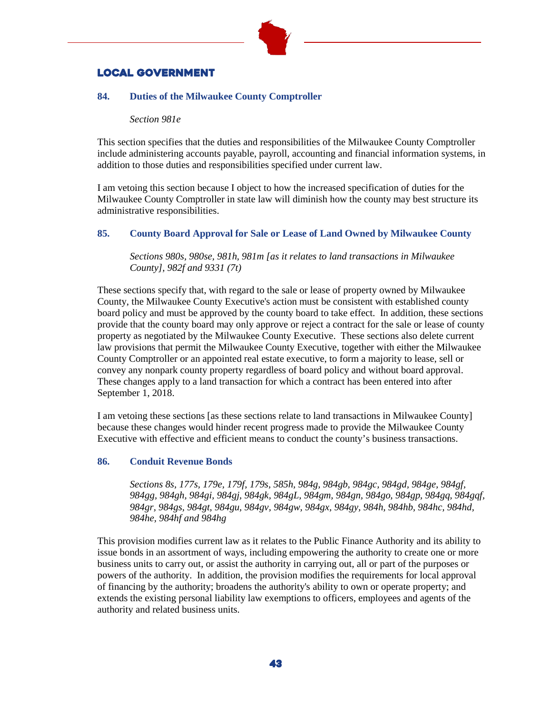

# Local government

# **84. Duties of the Milwaukee County Comptroller**

*Section 981e*

This section specifies that the duties and responsibilities of the Milwaukee County Comptroller include administering accounts payable, payroll, accounting and financial information systems, in addition to those duties and responsibilities specified under current law.

I am vetoing this section because I object to how the increased specification of duties for the Milwaukee County Comptroller in state law will diminish how the county may best structure its administrative responsibilities.

# **85. County Board Approval for Sale or Lease of Land Owned by Milwaukee County**

*Sections 980s, 980se, 981h, 981m [as it relates to land transactions in Milwaukee County], 982f and 9331 (7t)*

These sections specify that, with regard to the sale or lease of property owned by Milwaukee County, the Milwaukee County Executive's action must be consistent with established county board policy and must be approved by the county board to take effect. In addition, these sections provide that the county board may only approve or reject a contract for the sale or lease of county property as negotiated by the Milwaukee County Executive. These sections also delete current law provisions that permit the Milwaukee County Executive, together with either the Milwaukee County Comptroller or an appointed real estate executive, to form a majority to lease, sell or convey any nonpark county property regardless of board policy and without board approval. These changes apply to a land transaction for which a contract has been entered into after September 1, 2018.

I am vetoing these sections [as these sections relate to land transactions in Milwaukee County] because these changes would hinder recent progress made to provide the Milwaukee County Executive with effective and efficient means to conduct the county's business transactions.

## **86. Conduit Revenue Bonds**

*Sections 8s, 177s, 179e, 179f, 179s, 585h, 984g, 984gb, 984gc, 984gd, 984ge, 984gf, 984gg, 984gh, 984gi, 984gj, 984gk, 984gL, 984gm, 984gn, 984go, 984gp, 984gq, 984gqf, 984gr, 984gs, 984gt, 984gu, 984gv, 984gw, 984gx, 984gy, 984h, 984hb, 984hc, 984hd, 984he, 984hf and 984hg*

This provision modifies current law as it relates to the Public Finance Authority and its ability to issue bonds in an assortment of ways, including empowering the authority to create one or more business units to carry out, or assist the authority in carrying out, all or part of the purposes or powers of the authority. In addition, the provision modifies the requirements for local approval of financing by the authority; broadens the authority's ability to own or operate property; and extends the existing personal liability law exemptions to officers, employees and agents of the authority and related business units.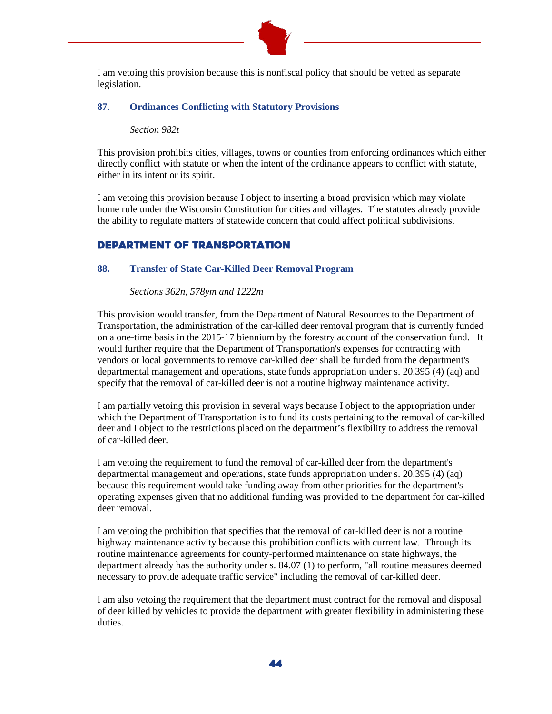

I am vetoing this provision because this is nonfiscal policy that should be vetted as separate legislation.

## **87. Ordinances Conflicting with Statutory Provisions**

#### *Section 982t*

This provision prohibits cities, villages, towns or counties from enforcing ordinances which either directly conflict with statute or when the intent of the ordinance appears to conflict with statute, either in its intent or its spirit.

I am vetoing this provision because I object to inserting a broad provision which may violate home rule under the Wisconsin Constitution for cities and villages. The statutes already provide the ability to regulate matters of statewide concern that could affect political subdivisions.

## Department of Transportation

#### **88. Transfer of State Car-Killed Deer Removal Program**

*Sections 362n, 578ym and 1222m*

This provision would transfer, from the Department of Natural Resources to the Department of Transportation, the administration of the car-killed deer removal program that is currently funded on a one-time basis in the 2015-17 biennium by the forestry account of the conservation fund. It would further require that the Department of Transportation's expenses for contracting with vendors or local governments to remove car-killed deer shall be funded from the department's departmental management and operations, state funds appropriation under s. 20.395 (4) (aq) and specify that the removal of car-killed deer is not a routine highway maintenance activity.

I am partially vetoing this provision in several ways because I object to the appropriation under which the Department of Transportation is to fund its costs pertaining to the removal of car-killed deer and I object to the restrictions placed on the department's flexibility to address the removal of car-killed deer.

I am vetoing the requirement to fund the removal of car-killed deer from the department's departmental management and operations, state funds appropriation under s. 20.395 (4) (aq) because this requirement would take funding away from other priorities for the department's operating expenses given that no additional funding was provided to the department for car-killed deer removal.

I am vetoing the prohibition that specifies that the removal of car-killed deer is not a routine highway maintenance activity because this prohibition conflicts with current law. Through its routine maintenance agreements for county-performed maintenance on state highways, the department already has the authority under s. 84.07 (1) to perform, "all routine measures deemed necessary to provide adequate traffic service" including the removal of car-killed deer.

I am also vetoing the requirement that the department must contract for the removal and disposal of deer killed by vehicles to provide the department with greater flexibility in administering these duties.

44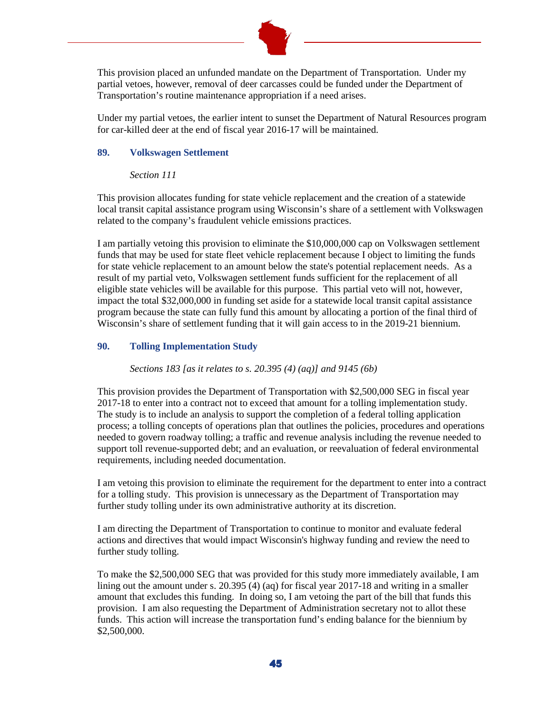

This provision placed an unfunded mandate on the Department of Transportation. Under my partial vetoes, however, removal of deer carcasses could be funded under the Department of Transportation's routine maintenance appropriation if a need arises.

Under my partial vetoes, the earlier intent to sunset the Department of Natural Resources program for car-killed deer at the end of fiscal year 2016-17 will be maintained.

#### **89. Volkswagen Settlement**

#### *Section 111*

This provision allocates funding for state vehicle replacement and the creation of a statewide local transit capital assistance program using Wisconsin's share of a settlement with Volkswagen related to the company's fraudulent vehicle emissions practices.

I am partially vetoing this provision to eliminate the \$10,000,000 cap on Volkswagen settlement funds that may be used for state fleet vehicle replacement because I object to limiting the funds for state vehicle replacement to an amount below the state's potential replacement needs. As a result of my partial veto, Volkswagen settlement funds sufficient for the replacement of all eligible state vehicles will be available for this purpose. This partial veto will not, however, impact the total \$32,000,000 in funding set aside for a statewide local transit capital assistance program because the state can fully fund this amount by allocating a portion of the final third of Wisconsin's share of settlement funding that it will gain access to in the 2019-21 biennium.

## **90. Tolling Implementation Study**

#### *Sections 183 [as it relates to s. 20.395 (4) (aq)] and 9145 (6b)*

This provision provides the Department of Transportation with \$2,500,000 SEG in fiscal year 2017-18 to enter into a contract not to exceed that amount for a tolling implementation study. The study is to include an analysis to support the completion of a federal tolling application process; a tolling concepts of operations plan that outlines the policies, procedures and operations needed to govern roadway tolling; a traffic and revenue analysis including the revenue needed to support toll revenue-supported debt; and an evaluation, or reevaluation of federal environmental requirements, including needed documentation.

I am vetoing this provision to eliminate the requirement for the department to enter into a contract for a tolling study. This provision is unnecessary as the Department of Transportation may further study tolling under its own administrative authority at its discretion.

I am directing the Department of Transportation to continue to monitor and evaluate federal actions and directives that would impact Wisconsin's highway funding and review the need to further study tolling.

To make the \$2,500,000 SEG that was provided for this study more immediately available, I am lining out the amount under s. 20.395 (4) (aq) for fiscal year 2017-18 and writing in a smaller amount that excludes this funding. In doing so, I am vetoing the part of the bill that funds this provision. I am also requesting the Department of Administration secretary not to allot these funds. This action will increase the transportation fund's ending balance for the biennium by \$2,500,000.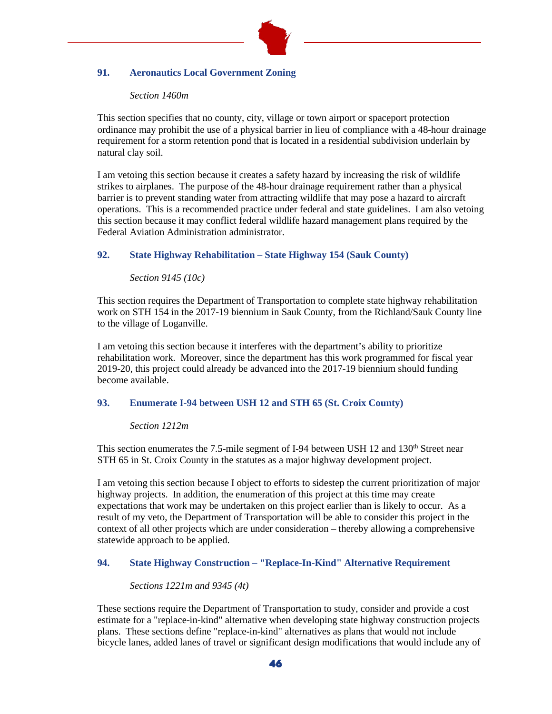

# **91. Aeronautics Local Government Zoning**

#### *Section 1460m*

This section specifies that no county, city, village or town airport or spaceport protection ordinance may prohibit the use of a physical barrier in lieu of compliance with a 48-hour drainage requirement for a storm retention pond that is located in a residential subdivision underlain by natural clay soil.

I am vetoing this section because it creates a safety hazard by increasing the risk of wildlife strikes to airplanes. The purpose of the 48-hour drainage requirement rather than a physical barrier is to prevent standing water from attracting wildlife that may pose a hazard to aircraft operations. This is a recommended practice under federal and state guidelines. I am also vetoing this section because it may conflict federal wildlife hazard management plans required by the Federal Aviation Administration administrator.

# **92. State Highway Rehabilitation – State Highway 154 (Sauk County)**

## *Section 9145 (10c)*

This section requires the Department of Transportation to complete state highway rehabilitation work on STH 154 in the 2017-19 biennium in Sauk County, from the Richland/Sauk County line to the village of Loganville.

I am vetoing this section because it interferes with the department's ability to prioritize rehabilitation work. Moreover, since the department has this work programmed for fiscal year 2019-20, this project could already be advanced into the 2017-19 biennium should funding become available.

## **93. Enumerate I-94 between USH 12 and STH 65 (St. Croix County)**

## *Section 1212m*

This section enumerates the 7.5-mile segment of I-94 between USH 12 and 130<sup>th</sup> Street near STH 65 in St. Croix County in the statutes as a major highway development project.

I am vetoing this section because I object to efforts to sidestep the current prioritization of major highway projects. In addition, the enumeration of this project at this time may create expectations that work may be undertaken on this project earlier than is likely to occur. As a result of my veto, the Department of Transportation will be able to consider this project in the context of all other projects which are under consideration – thereby allowing a comprehensive statewide approach to be applied.

# **94. State Highway Construction – "Replace-In-Kind" Alternative Requirement**

## *Sections 1221m and 9345 (4t)*

These sections require the Department of Transportation to study, consider and provide a cost estimate for a "replace-in-kind" alternative when developing state highway construction projects plans. These sections define "replace-in-kind" alternatives as plans that would not include bicycle lanes, added lanes of travel or significant design modifications that would include any of

46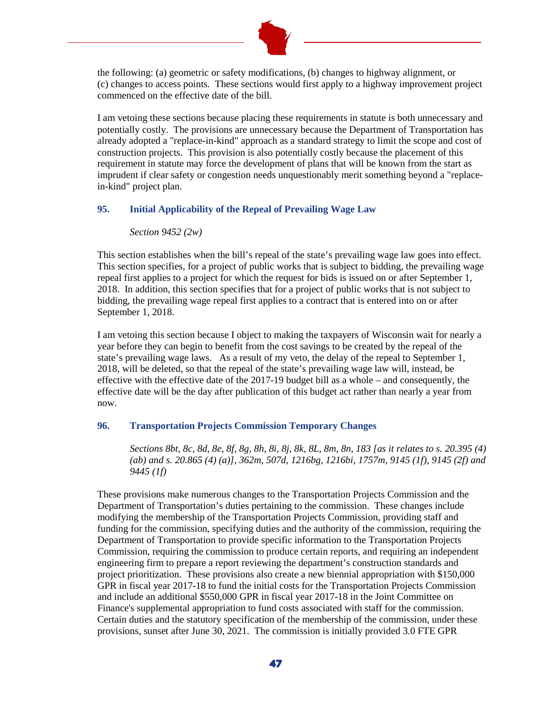

the following: (a) geometric or safety modifications, (b) changes to highway alignment, or (c) changes to access points. These sections would first apply to a highway improvement project commenced on the effective date of the bill.

I am vetoing these sections because placing these requirements in statute is both unnecessary and potentially costly. The provisions are unnecessary because the Department of Transportation has already adopted a "replace-in-kind" approach as a standard strategy to limit the scope and cost of construction projects. This provision is also potentially costly because the placement of this requirement in statute may force the development of plans that will be known from the start as imprudent if clear safety or congestion needs unquestionably merit something beyond a "replacein-kind" project plan.

## **95. Initial Applicability of the Repeal of Prevailing Wage Law**

#### *Section 9452 (2w)*

This section establishes when the bill's repeal of the state's prevailing wage law goes into effect. This section specifies, for a project of public works that is subject to bidding, the prevailing wage repeal first applies to a project for which the request for bids is issued on or after September 1, 2018. In addition, this section specifies that for a project of public works that is not subject to bidding, the prevailing wage repeal first applies to a contract that is entered into on or after September 1, 2018.

I am vetoing this section because I object to making the taxpayers of Wisconsin wait for nearly a year before they can begin to benefit from the cost savings to be created by the repeal of the state's prevailing wage laws. As a result of my veto, the delay of the repeal to September 1, 2018, will be deleted, so that the repeal of the state's prevailing wage law will, instead, be effective with the effective date of the 2017-19 budget bill as a whole – and consequently, the effective date will be the day after publication of this budget act rather than nearly a year from now.

#### **96. Transportation Projects Commission Temporary Changes**

*Sections 8bt, 8c, 8d, 8e, 8f, 8g, 8h, 8i, 8j, 8k, 8L, 8m, 8n, 183 [as it relates to s. 20.395 (4) (ab) and s. 20.865 (4) (a)], 362m, 507d, 1216bg, 1216bi, 1757m, 9145 (1f), 9145 (2f) and 9445 (1f)*

These provisions make numerous changes to the Transportation Projects Commission and the Department of Transportation's duties pertaining to the commission. These changes include modifying the membership of the Transportation Projects Commission, providing staff and funding for the commission, specifying duties and the authority of the commission, requiring the Department of Transportation to provide specific information to the Transportation Projects Commission, requiring the commission to produce certain reports, and requiring an independent engineering firm to prepare a report reviewing the department's construction standards and project prioritization. These provisions also create a new biennial appropriation with \$150,000 GPR in fiscal year 2017-18 to fund the initial costs for the Transportation Projects Commission and include an additional \$550,000 GPR in fiscal year 2017-18 in the Joint Committee on Finance's supplemental appropriation to fund costs associated with staff for the commission. Certain duties and the statutory specification of the membership of the commission, under these provisions, sunset after June 30, 2021. The commission is initially provided 3.0 FTE GPR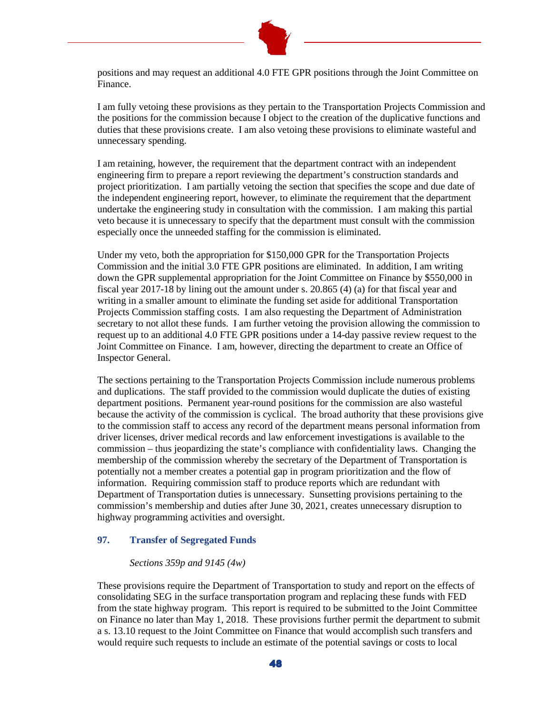

positions and may request an additional 4.0 FTE GPR positions through the Joint Committee on Finance.

I am fully vetoing these provisions as they pertain to the Transportation Projects Commission and the positions for the commission because I object to the creation of the duplicative functions and duties that these provisions create. I am also vetoing these provisions to eliminate wasteful and unnecessary spending.

I am retaining, however, the requirement that the department contract with an independent engineering firm to prepare a report reviewing the department's construction standards and project prioritization. I am partially vetoing the section that specifies the scope and due date of the independent engineering report, however, to eliminate the requirement that the department undertake the engineering study in consultation with the commission. I am making this partial veto because it is unnecessary to specify that the department must consult with the commission especially once the unneeded staffing for the commission is eliminated.

Under my veto, both the appropriation for \$150,000 GPR for the Transportation Projects Commission and the initial 3.0 FTE GPR positions are eliminated. In addition, I am writing down the GPR supplemental appropriation for the Joint Committee on Finance by \$550,000 in fiscal year 2017-18 by lining out the amount under s. 20.865 (4) (a) for that fiscal year and writing in a smaller amount to eliminate the funding set aside for additional Transportation Projects Commission staffing costs. I am also requesting the Department of Administration secretary to not allot these funds. I am further vetoing the provision allowing the commission to request up to an additional 4.0 FTE GPR positions under a 14-day passive review request to the Joint Committee on Finance. I am, however, directing the department to create an Office of Inspector General.

The sections pertaining to the Transportation Projects Commission include numerous problems and duplications. The staff provided to the commission would duplicate the duties of existing department positions. Permanent year-round positions for the commission are also wasteful because the activity of the commission is cyclical. The broad authority that these provisions give to the commission staff to access any record of the department means personal information from driver licenses, driver medical records and law enforcement investigations is available to the commission – thus jeopardizing the state's compliance with confidentiality laws. Changing the membership of the commission whereby the secretary of the Department of Transportation is potentially not a member creates a potential gap in program prioritization and the flow of information. Requiring commission staff to produce reports which are redundant with Department of Transportation duties is unnecessary. Sunsetting provisions pertaining to the commission's membership and duties after June 30, 2021, creates unnecessary disruption to highway programming activities and oversight.

## **97. Transfer of Segregated Funds**

## *Sections 359p and 9145 (4w)*

These provisions require the Department of Transportation to study and report on the effects of consolidating SEG in the surface transportation program and replacing these funds with FED from the state highway program. This report is required to be submitted to the Joint Committee on Finance no later than May 1, 2018. These provisions further permit the department to submit a s. 13.10 request to the Joint Committee on Finance that would accomplish such transfers and would require such requests to include an estimate of the potential savings or costs to local